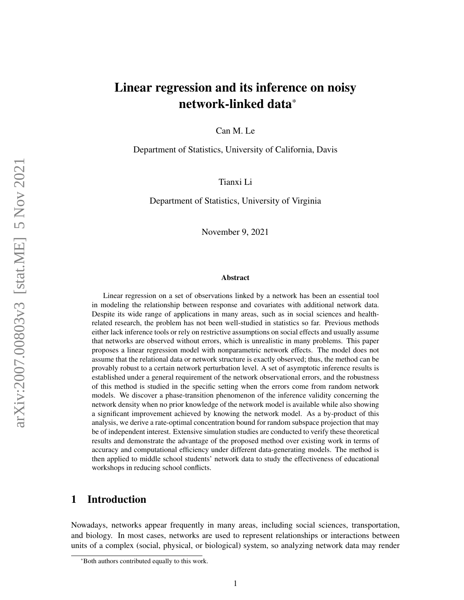# Linear regression and its inference on noisy network-linked data\*

Can M. Le

Department of Statistics, University of California, Davis

Tianxi Li

Department of Statistics, University of Virginia

November 9, 2021

#### Abstract

Linear regression on a set of observations linked by a network has been an essential tool in modeling the relationship between response and covariates with additional network data. Despite its wide range of applications in many areas, such as in social sciences and healthrelated research, the problem has not been well-studied in statistics so far. Previous methods either lack inference tools or rely on restrictive assumptions on social effects and usually assume that networks are observed without errors, which is unrealistic in many problems. This paper proposes a linear regression model with nonparametric network effects. The model does not assume that the relational data or network structure is exactly observed; thus, the method can be provably robust to a certain network perturbation level. A set of asymptotic inference results is established under a general requirement of the network observational errors, and the robustness of this method is studied in the specific setting when the errors come from random network models. We discover a phase-transition phenomenon of the inference validity concerning the network density when no prior knowledge of the network model is available while also showing a significant improvement achieved by knowing the network model. As a by-product of this analysis, we derive a rate-optimal concentration bound for random subspace projection that may be of independent interest. Extensive simulation studies are conducted to verify these theoretical results and demonstrate the advantage of the proposed method over existing work in terms of accuracy and computational efficiency under different data-generating models. The method is then applied to middle school students' network data to study the effectiveness of educational workshops in reducing school conflicts.

### 1 Introduction

Nowadays, networks appear frequently in many areas, including social sciences, transportation, and biology. In most cases, networks are used to represent relationships or interactions between units of a complex (social, physical, or biological) system, so analyzing network data may render

<sup>\*</sup>Both authors contributed equally to this work.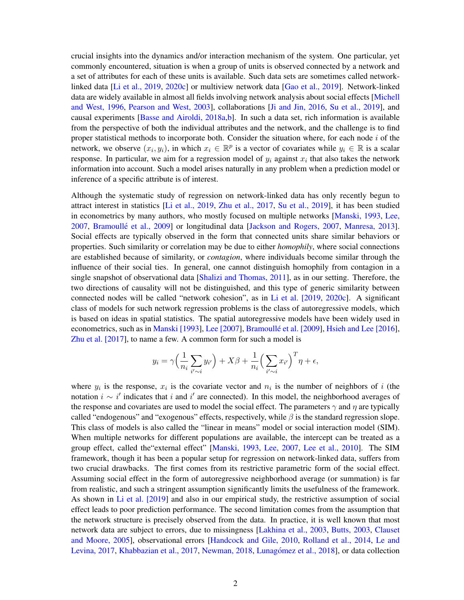crucial insights into the dynamics and/or interaction mechanism of the system. One particular, yet commonly encountered, situation is when a group of units is observed connected by a network and a set of attributes for each of these units is available. Such data sets are sometimes called networklinked data [\[Li et al., 2019,](#page-23-0) [2020c\]](#page-23-1) or multiview network data [\[Gao et al., 2019\]](#page-22-0). Network-linked data are widely available in almost all fields involving network analysis about social effects [\[Michell](#page-23-2) [and West, 1996,](#page-23-2) [Pearson and West, 2003\]](#page-24-0), collaborations [\[Ji and Jin, 2016,](#page-22-1) [Su et al., 2019\]](#page-24-1), and causal experiments [\[Basse and Airoldi, 2018a,](#page-21-0)[b\]](#page-21-1). In such a data set, rich information is available from the perspective of both the individual attributes and the network, and the challenge is to find proper statistical methods to incorporate both. Consider the situation where, for each node i of the network, we observe  $(x_i, y_i)$ , in which  $x_i \in \mathbb{R}^p$  is a vector of covariates while  $y_i \in \mathbb{R}$  is a scalar response. In particular, we aim for a regression model of  $y_i$  against  $x_i$  that also takes the network information into account. Such a model arises naturally in any problem when a prediction model or inference of a specific attribute is of interest.

Although the systematic study of regression on network-linked data has only recently begun to attract interest in statistics [\[Li et al., 2019,](#page-23-0) [Zhu et al., 2017,](#page-25-0) [Su et al., 2019\]](#page-24-1), it has been studied in econometrics by many authors, who mostly focused on multiple networks [\[Manski, 1993,](#page-23-3) [Lee,](#page-23-4) [2007,](#page-23-4) Bramoullé et al., 2009] or longitudinal data [\[Jackson and Rogers, 2007,](#page-22-2) [Manresa, 2013\]](#page-23-5). Social effects are typically observed in the form that connected units share similar behaviors or properties. Such similarity or correlation may be due to either *homophily*, where social connections are established because of similarity, or *contagion*, where individuals become similar through the influence of their social ties. In general, one cannot distinguish homophily from contagion in a single snapshot of observational data [\[Shalizi and Thomas, 2011\]](#page-24-2), as in our setting. Therefore, the two directions of causality will not be distinguished, and this type of generic similarity between connected nodes will be called "network cohesion", as in [Li et al. \[2019,](#page-23-0) [2020c\]](#page-23-1). A significant class of models for such network regression problems is the class of autoregressive models, which is based on ideas in spatial statistics. The spatial autoregressive models have been widely used in econometrics, such as in [Manski \[1993\]](#page-23-3), [Lee \[2007\]](#page-23-4), Bramoullé et al. [2009], [Hsieh and Lee \[2016\]](#page-22-3), [Zhu et al. \[2017\]](#page-25-0), to name a few. A common form for such a model is

$$
y_i = \gamma \Big( \frac{1}{n_i} \sum_{i' \sim i} y_{i'} \Big) + X\beta + \frac{1}{n_i} \Big( \sum_{i' \sim i} x_{i'} \Big)^T \eta + \epsilon,
$$

where  $y_i$  is the response,  $x_i$  is the covariate vector and  $n_i$  is the number of neighbors of i (the notation  $i \sim i'$  indicates that i and i' are connected). In this model, the neighborhood averages of the response and covariates are used to model the social effect. The parameters  $\gamma$  and  $\eta$  are typically called "endogenous" and "exogenous" effects, respectively, while  $\beta$  is the standard regression slope. This class of models is also called the "linear in means" model or social interaction model (SIM). When multiple networks for different populations are available, the intercept can be treated as a group effect, called the external effect" [\[Manski, 1993,](#page-23-3) [Lee, 2007,](#page-23-4) [Lee et al., 2010\]](#page-23-6). The SIM framework, though it has been a popular setup for regression on network-linked data, suffers from two crucial drawbacks. The first comes from its restrictive parametric form of the social effect. Assuming social effect in the form of autoregressive neighborhood average (or summation) is far from realistic, and such a stringent assumption significantly limits the usefulness of the framework. As shown in [Li et al. \[2019\]](#page-23-0) and also in our empirical study, the restrictive assumption of social effect leads to poor prediction performance. The second limitation comes from the assumption that the network structure is precisely observed from the data. In practice, it is well known that most network data are subject to errors, due to missingness [\[Lakhina et al., 2003,](#page-22-4) [Butts, 2003,](#page-21-3) [Clauset](#page-22-5) [and Moore, 2005\]](#page-22-5), observational errors [\[Handcock and Gile, 2010,](#page-22-6) [Rolland et al., 2014,](#page-24-3) [Le and](#page-23-7) [Levina, 2017,](#page-23-7) [Khabbazian et al., 2017,](#page-22-7) [Newman, 2018,](#page-23-8) Lunagómez et al., 2018], or data collection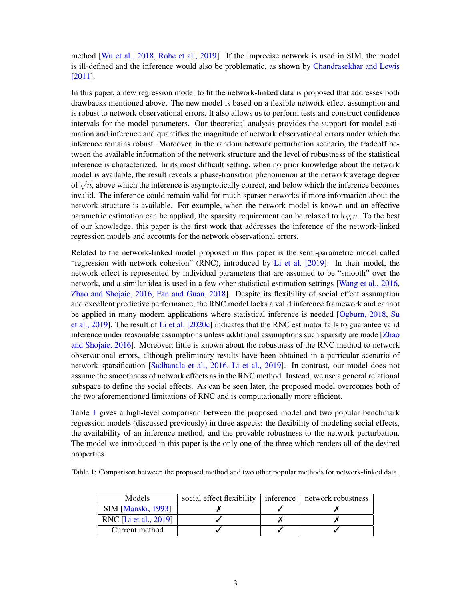method [\[Wu et al., 2018,](#page-25-1) [Rohe et al., 2019\]](#page-24-4). If the imprecise network is used in SIM, the model is ill-defined and the inference would also be problematic, as shown by [Chandrasekhar and Lewis](#page-21-4) [\[2011\]](#page-21-4).

In this paper, a new regression model to fit the network-linked data is proposed that addresses both drawbacks mentioned above. The new model is based on a flexible network effect assumption and is robust to network observational errors. It also allows us to perform tests and construct confidence intervals for the model parameters. Our theoretical analysis provides the support for model estimation and inference and quantifies the magnitude of network observational errors under which the inference remains robust. Moreover, in the random network perturbation scenario, the tradeoff between the available information of the network structure and the level of robustness of the statistical inference is characterized. In its most difficult setting, when no prior knowledge about the network model is available, the result reveals a phase-transition phenomenon at the network average degree of  $\sqrt{n}$ , above which the inference is asymptotically correct, and below which the inference becomes invalid. The inference could remain valid for much sparser networks if more information about the network structure is available. For example, when the network model is known and an effective parametric estimation can be applied, the sparsity requirement can be relaxed to  $\log n$ . To the best of our knowledge, this paper is the first work that addresses the inference of the network-linked regression models and accounts for the network observational errors.

Related to the network-linked model proposed in this paper is the semi-parametric model called "regression with network cohesion" (RNC), introduced by [Li et al. \[2019\]](#page-23-0). In their model, the network effect is represented by individual parameters that are assumed to be "smooth" over the network, and a similar idea is used in a few other statistical estimation settings [\[Wang et al., 2016,](#page-24-5) [Zhao and Shojaie, 2016,](#page-25-2) [Fan and Guan, 2018\]](#page-22-8). Despite its flexibility of social effect assumption and excellent predictive performance, the RNC model lacks a valid inference framework and cannot be applied in many modern applications where statistical inference is needed [\[Ogburn, 2018,](#page-24-6) [Su](#page-24-1) [et al., 2019\]](#page-24-1). The result of [Li et al. \[2020c\]](#page-23-1) indicates that the RNC estimator fails to guarantee valid inference under reasonable assumptions unless additional assumptions such sparsity are made [\[Zhao](#page-25-2) [and Shojaie, 2016\]](#page-25-2). Moreover, little is known about the robustness of the RNC method to network observational errors, although preliminary results have been obtained in a particular scenario of network sparsification [\[Sadhanala et al., 2016,](#page-24-7) [Li et al., 2019\]](#page-23-0). In contrast, our model does not assume the smoothness of network effects as in the RNC method. Instead, we use a general relational subspace to define the social effects. As can be seen later, the proposed model overcomes both of the two aforementioned limitations of RNC and is computationally more efficient.

Table [1](#page-2-0) gives a high-level comparison between the proposed model and two popular benchmark regression models (discussed previously) in three aspects: the flexibility of modeling social effects, the availability of an inference method, and the provable robustness to the network perturbation. The model we introduced in this paper is the only one of the three which renders all of the desired properties.

<span id="page-2-0"></span>Table 1: Comparison between the proposed method and two other popular methods for network-linked data.

| Models                    | social effect flexibility | inference   network robustness |
|---------------------------|---------------------------|--------------------------------|
| <b>SIM [Manski, 1993]</b> |                           |                                |
| RNC [Li et al., 2019]     |                           |                                |
| Current method            |                           |                                |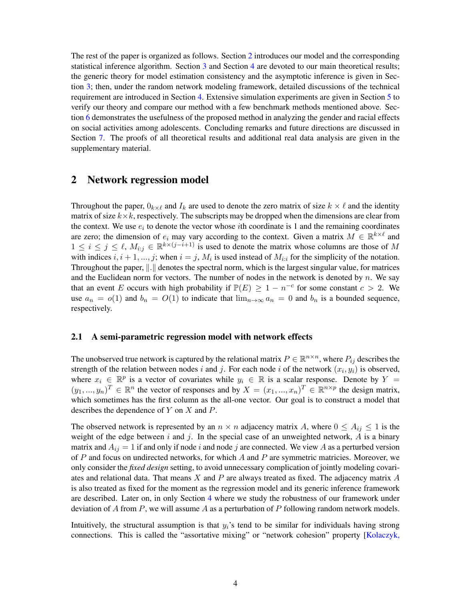The rest of the paper is organized as follows. Section [2](#page-3-0) introduces our model and the corresponding statistical inference algorithm. Section [3](#page-8-0) and Section [4](#page-11-0) are devoted to our main theoretical results; the generic theory for model estimation consistency and the asymptotic inference is given in Section [3;](#page-8-0) then, under the random network modeling framework, detailed discussions of the technical requirement are introduced in Section [4.](#page-11-0) Extensive simulation experiments are given in Section [5](#page-16-0) to verify our theory and compare our method with a few benchmark methods mentioned above. Section [6](#page-19-0) demonstrates the usefulness of the proposed method in analyzing the gender and racial effects on social activities among adolescents. Concluding remarks and future directions are discussed in Section [7.](#page-20-0) The proofs of all theoretical results and additional real data analysis are given in the supplementary material.

### <span id="page-3-0"></span>2 Network regression model

Throughout the paper,  $0_{k\times\ell}$  and  $I_k$  are used to denote the zero matrix of size  $k \times \ell$  and the identity matrix of size  $k \times k$ , respectively. The subscripts may be dropped when the dimensions are clear from the context. We use  $e_i$  to denote the vector whose *i*th coordinate is 1 and the remaining coordinates are zero; the dimension of  $e_i$  may vary according to the context. Given a matrix  $M \in \mathbb{R}^{k \times \ell}$  and  $1 \leq i \leq j \leq \ell$ ,  $M_{i:j} \in \mathbb{R}^{k \times (j-i+1)}$  is used to denote the matrix whose columns are those of M with indices  $i, i+1, ..., j$ ; when  $i = j, M_i$  is used instead of  $M_{i:i}$  for the simplicity of the notation. Throughout the paper,  $\Vert . \Vert$  denotes the spectral norm, which is the largest singular value, for matrices and the Euclidean norm for vectors. The number of nodes in the network is denoted by  $n$ . We say that an event E occurs with high probability if  $\mathbb{P}(E) \ge 1 - n^{-c}$  for some constant  $c > 2$ . We use  $a_n = o(1)$  and  $b_n = O(1)$  to indicate that  $\lim_{n\to\infty} a_n = 0$  and  $b_n$  is a bounded sequence, respectively.

#### 2.1 A semi-parametric regression model with network effects

The unobserved true network is captured by the relational matrix  $P \in \mathbb{R}^{n \times n}$ , where  $P_{ij}$  describes the strength of the relation between nodes i and j. For each node i of the network  $(x_i, y_i)$  is observed, where  $x_i \in \mathbb{R}^p$  is a vector of covariates while  $y_i \in \mathbb{R}$  is a scalar response. Denote by  $Y =$  $(y_1, ..., y_n)^T \in \mathbb{R}^n$  the vector of responses and by  $X = (x_1, ..., x_n)^T \in \mathbb{R}^{n \times p}$  the design matrix, which sometimes has the first column as the all-one vector. Our goal is to construct a model that describes the dependence of Y on X and P.

The observed network is represented by an  $n \times n$  adjacency matrix A, where  $0 \leq A_{ij} \leq 1$  is the weight of the edge between  $i$  and  $j$ . In the special case of an unweighted network,  $A$  is a binary matrix and  $A_{ij} = 1$  if and only if node i and node j are connected. We view A as a perturbed version of  $P$  and focus on undirected networks, for which  $A$  and  $P$  are symmetric matricies. Moreover, we only consider the *fixed design* setting, to avoid unnecessary complication of jointly modeling covariates and relational data. That means  $X$  and  $P$  are always treated as fixed. The adjacency matrix  $A$ is also treated as fixed for the moment as the regression model and its generic inference framework are described. Later on, in only Section [4](#page-11-0) where we study the robustness of our framework under deviation of A from P, we will assume A as a perturbation of P following random network models.

Intuitively, the structural assumption is that  $y_i$ 's tend to be similar for individuals having strong connections. This is called the "assortative mixing" or "network cohesion" property [\[Kolaczyk,](#page-22-9)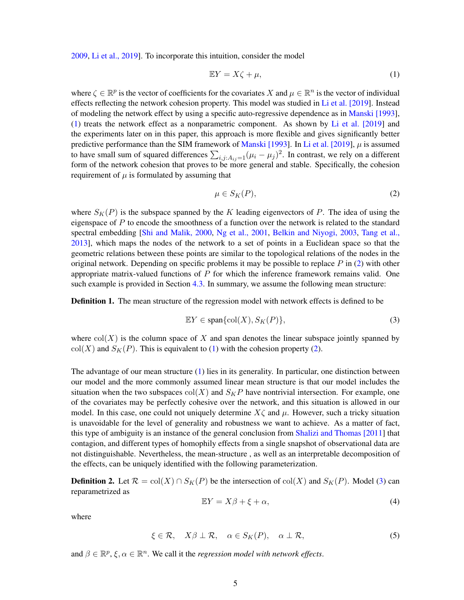[2009,](#page-22-9) [Li et al., 2019\]](#page-23-0). To incorporate this intuition, consider the model

<span id="page-4-0"></span>
$$
\mathbb{E}Y = X\zeta + \mu,\tag{1}
$$

where  $\zeta \in \mathbb{R}^p$  is the vector of coefficients for the covariates X and  $\mu \in \mathbb{R}^n$  is the vector of individual effects reflecting the network cohesion property. This model was studied in [Li et al. \[2019\]](#page-23-0). Instead of modeling the network effect by using a specific auto-regressive dependence as in [Manski \[1993\]](#page-23-3), [\(1\)](#page-4-0) treats the network effect as a nonparametric component. As shown by [Li et al. \[2019\]](#page-23-0) and the experiments later on in this paper, this approach is more flexible and gives significantly better predictive performance than the SIM framework of [Manski \[1993\]](#page-23-3). In [Li et al. \[2019\]](#page-23-0),  $\mu$  is assumed to have small sum of squared differences  $\sum_{i,j:A_{ij}=1} (\mu_i - \mu_j)^2$ . In contrast, we rely on a different form of the network cohesion that proves to be more general and stable. Specifically, the cohesion requirement of  $\mu$  is formulated by assuming that

<span id="page-4-1"></span>
$$
\mu \in S_K(P),\tag{2}
$$

where  $S_K(P)$  is the subspace spanned by the K leading eigenvectors of P. The idea of using the eigenspace of  $P$  to encode the smoothness of a function over the network is related to the standard spectral embedding [\[Shi and Malik, 2000,](#page-24-8) [Ng et al., 2001,](#page-24-9) [Belkin and Niyogi, 2003,](#page-21-5) [Tang et al.,](#page-24-10) [2013\]](#page-24-10), which maps the nodes of the network to a set of points in a Euclidean space so that the geometric relations between these points are similar to the topological relations of the nodes in the original network. Depending on specific problems it may be possible to replace  $P$  in [\(2\)](#page-4-1) with other appropriate matrix-valued functions of  $P$  for which the inference framework remains valid. One such example is provided in Section [4.3.](#page-15-0) In summary, we assume the following mean structure:

**Definition 1.** The mean structure of the regression model with network effects is defined to be

<span id="page-4-2"></span>
$$
\mathbb{E}Y \in \text{span}\{\text{col}(X), S_K(P)\},\tag{3}
$$

where  $col(X)$  is the column space of X and span denotes the linear subspace jointly spanned by  $col(X)$  and  $S<sub>K</sub>(P)$ . This is equivalent to [\(1\)](#page-4-0) with the cohesion property [\(2\)](#page-4-1).

The advantage of our mean structure [\(1\)](#page-4-0) lies in its generality. In particular, one distinction between our model and the more commonly assumed linear mean structure is that our model includes the situation when the two subspaces  $col(X)$  and  $S_KP$  have nontrivial intersection. For example, one of the covariates may be perfectly cohesive over the network, and this situation is allowed in our model. In this case, one could not uniquely determine  $X\zeta$  and  $\mu$ . However, such a tricky situation is unavoidable for the level of generality and robustness we want to achieve. As a matter of fact, this type of ambiguity is an instance of the general conclusion from [Shalizi and Thomas \[2011\]](#page-24-2) that contagion, and different types of homophily effects from a single snapshot of observational data are not distinguishable. Nevertheless, the mean-structure , as well as an interpretable decomposition of the effects, can be uniquely identified with the following parameterization.

<span id="page-4-4"></span>**Definition 2.** Let  $\mathcal{R} = \text{col}(X) \cap S_K(P)$  be the intersection of  $\text{col}(X)$  and  $S_K(P)$ . Model [\(3\)](#page-4-2) can reparametrized as

<span id="page-4-5"></span>
$$
\mathbb{E}Y = X\beta + \xi + \alpha,\tag{4}
$$

where

<span id="page-4-3"></span>
$$
\xi \in \mathcal{R}, \quad X\beta \perp \mathcal{R}, \quad \alpha \in S_K(P), \quad \alpha \perp \mathcal{R}, \tag{5}
$$

and  $\beta \in \mathbb{R}^p$ ,  $\xi, \alpha \in \mathbb{R}^n$ . We call it the *regression model with network effects*.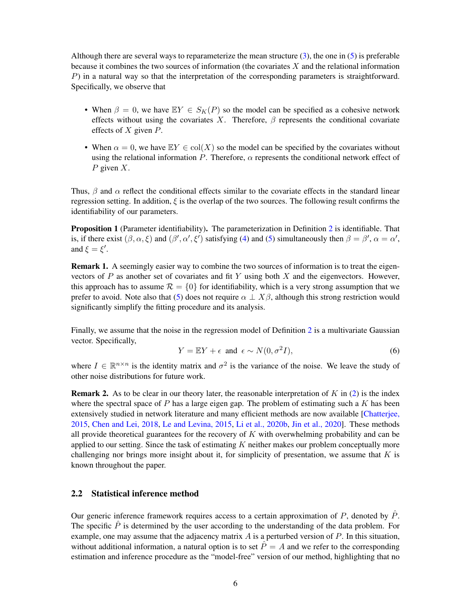Although there are several ways to reparameterize the mean structure  $(3)$ , the one in  $(5)$  is preferable because it combines the two sources of information (the covariates  $X$  and the relational information P) in a natural way so that the interpretation of the corresponding parameters is straightforward. Specifically, we observe that

- When  $\beta = 0$ , we have  $\mathbb{E}Y \in S_K(P)$  so the model can be specified as a cohesive network effects without using the covariates X. Therefore,  $\beta$  represents the conditional covariate effects of  $X$  given  $P$ .
- When  $\alpha = 0$ , we have  $EY \in col(X)$  so the model can be specified by the covariates without using the relational information P. Therefore,  $\alpha$  represents the conditional network effect of  $P$  given  $X$ .

Thus,  $\beta$  and  $\alpha$  reflect the conditional effects similar to the covariate effects in the standard linear regression setting. In addition,  $\xi$  is the overlap of the two sources. The following result confirms the identifiability of our parameters.

Proposition 1 (Parameter identifiability). The parameterization in Definition [2](#page-4-4) is identifiable. That is, if there exist  $(\beta, \alpha, \xi)$  and  $(\beta', \alpha', \xi')$  satisfying [\(4\)](#page-4-5) and [\(5\)](#page-4-3) simultaneously then  $\beta = \beta', \alpha = \alpha',$ and  $\xi = \xi'$ .

Remark 1. A seemingly easier way to combine the two sources of information is to treat the eigenvectors of  $P$  as another set of covariates and fit  $Y$  using both  $X$  and the eigenvectors. However, this approach has to assume  $\mathcal{R} = \{0\}$  for identifiability, which is a very strong assumption that we prefer to avoid. Note also that [\(5\)](#page-4-3) does not require  $\alpha \perp X\beta$ , although this strong restriction would significantly simplify the fitting procedure and its analysis.

Finally, we assume that the noise in the regression model of Definition [2](#page-4-4) is a multivariate Gaussian vector. Specifically,

$$
Y = \mathbb{E}Y + \epsilon \text{ and } \epsilon \sim N(0, \sigma^2 I), \tag{6}
$$

where  $I \in \mathbb{R}^{n \times n}$  is the identity matrix and  $\sigma^2$  is the variance of the noise. We leave the study of other noise distributions for future work.

**Remark 2.** As to be clear in our theory later, the reasonable interpretation of K in [\(2\)](#page-4-1) is the index where the spectral space of P has a large eigen gap. The problem of estimating such a K has been extensively studied in network literature and many efficient methods are now available [\[Chatterjee,](#page-21-6) [2015,](#page-21-6) [Chen and Lei, 2018,](#page-21-7) [Le and Levina, 2015,](#page-22-10) [Li et al., 2020b,](#page-23-10) [Jin et al., 2020\]](#page-22-11). These methods all provide theoretical guarantees for the recovery of  $K$  with overwhelming probability and can be applied to our setting. Since the task of estimating  $K$  neither makes our problem conceptually more challenging nor brings more insight about it, for simplicity of presentation, we assume that  $K$  is known throughout the paper.

#### 2.2 Statistical inference method

Our generic inference framework requires access to a certain approximation of  $P$ , denoted by  $P$ . The specific  $\hat{P}$  is determined by the user according to the understanding of the data problem. For example, one may assume that the adjacency matrix  $A$  is a perturbed version of  $P$ . In this situation, without additional information, a natural option is to set  $\hat{P} = A$  and we refer to the corresponding estimation and inference procedure as the "model-free" version of our method, highlighting that no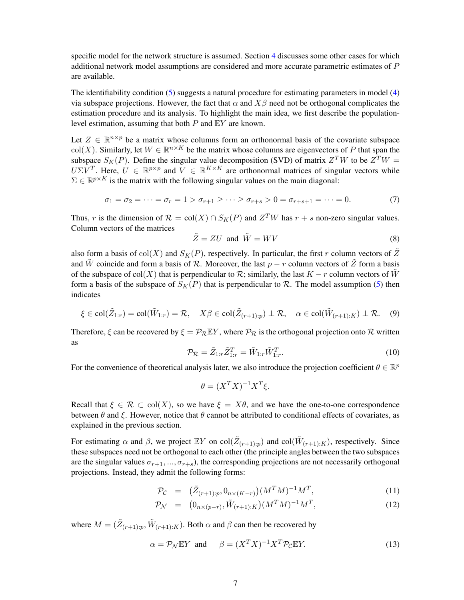specific model for the network structure is assumed. Section [4](#page-11-0) discusses some other cases for which additional network model assumptions are considered and more accurate parametric estimates of P are available.

The identifiability condition [\(5\)](#page-4-3) suggests a natural procedure for estimating parameters in model [\(4\)](#page-4-5) via subspace projections. However, the fact that  $\alpha$  and  $X\beta$  need not be orthogonal complicates the estimation procedure and its analysis. To highlight the main idea, we first describe the populationlevel estimation, assuming that both  $P$  and  $EY$  are known.

Let  $Z \in \mathbb{R}^{n \times p}$  be a matrix whose columns form an orthonormal basis of the covariate subspace col(X). Similarly, let  $W \in \mathbb{R}^{n \times K}$  be the matrix whose columns are eigenvectors of P that span the subspace  $S_K(P)$ . Define the singular value decomposition (SVD) of matrix  $Z^T W$  to be  $Z^T W =$  $U\Sigma V^T$ . Here,  $U \in \mathbb{R}^{p \times p}$  and  $V \in \mathbb{R}^{K \times K}$  are orthonormal matrices of singular vectors while  $\Sigma \in \mathbb{R}^{p \times K}$  is the matrix with the following singular values on the main diagonal:

<span id="page-6-2"></span>
$$
\sigma_1 = \sigma_2 = \dots = \sigma_r = 1 > \sigma_{r+1} \ge \dots \ge \sigma_{r+s} > 0 = \sigma_{r+s+1} = \dots = 0.
$$
 (7)

Thus, r is the dimension of  $\mathcal{R} = \text{col}(X) \cap S_K(P)$  and  $Z^T W$  has  $r + s$  non-zero singular values. Column vectors of the matrices

<span id="page-6-4"></span>
$$
\tilde{Z} = ZU \text{ and } \tilde{W} = WV \tag{8}
$$

also form a basis of col(X) and  $S_K(P)$ , respectively. In particular, the first r column vectors of  $\tilde{Z}$ and W coincide and form a basis of R. Moreover, the last  $p - r$  column vectors of  $\tilde{Z}$  form a basis of the subspace of col(X) that is perpendicular to  $\mathcal{R}$ ; similarly, the last  $K - r$  column vectors of W form a basis of the subspace of  $S_K(P)$  that is perpendicular to R. The model assumption [\(5\)](#page-4-3) then indicates

<span id="page-6-5"></span>
$$
\xi \in \text{col}(\tilde{Z}_{1:r}) = \text{col}(\tilde{W}_{1:r}) = \mathcal{R}, \quad X\beta \in \text{col}(\tilde{Z}_{(r+1):p}) \perp \mathcal{R}, \quad \alpha \in \text{col}(\tilde{W}_{(r+1):K}) \perp \mathcal{R}.
$$
 (9)

Therefore,  $\xi$  can be recovered by  $\xi = \mathcal{P}_{\mathcal{R}} \mathbb{E} Y$ , where  $\mathcal{P}_{\mathcal{R}}$  is the orthogonal projection onto  $\mathcal R$  written as

<span id="page-6-0"></span>
$$
\mathcal{P}_{\mathcal{R}} = \tilde{Z}_{1:r}\tilde{Z}_{1:r}^T = \tilde{W}_{1:r}\tilde{W}_{1:r}^T.
$$
\n(10)

For the convenience of theoretical analysis later, we also introduce the projection coefficient  $\theta \in \mathbb{R}^p$ 

$$
\theta = (X^T X)^{-1} X^T \xi.
$$

Recall that  $\xi \in \mathcal{R} \subset \text{col}(X)$ , so we have  $\xi = X\theta$ , and we have the one-to-one correspondence between  $\theta$  and  $\xi$ . However, notice that  $\theta$  cannot be attributed to conditional effects of covariates, as explained in the previous section.

For estimating  $\alpha$  and  $\beta$ , we project  $\mathbb{E}Y$  on  $col(\tilde{Z}_{(r+1):p})$  and  $col(\tilde{W}_{(r+1):K})$ , respectively. Since these subspaces need not be orthogonal to each other (the principle angles between the two subspaces are the singular values  $\sigma_{r+1},...,\sigma_{r+s}$ , the corresponding projections are not necessarily orthogonal projections. Instead, they admit the following forms:

<span id="page-6-1"></span>
$$
\mathcal{P}_{\mathcal{C}} = (\tilde{Z}_{(r+1):p}, 0_{n \times (K-r)}) (M^T M)^{-1} M^T, \tag{11}
$$

$$
\mathcal{P}_{\mathcal{N}} = (0_{n \times (p-r)}, \tilde{W}_{(r+1):K})(M^T M)^{-1} M^T, \tag{12}
$$

where  $M = (\tilde{Z}_{(r+1):p}, \tilde{W}_{(r+1):K})$ . Both  $\alpha$  and  $\beta$  can then be recovered by

<span id="page-6-3"></span>
$$
\alpha = \mathcal{P}_{\mathcal{N}} \mathbb{E} Y \quad \text{and} \qquad \beta = (X^T X)^{-1} X^T \mathcal{P}_{\mathcal{C}} \mathbb{E} Y. \tag{13}
$$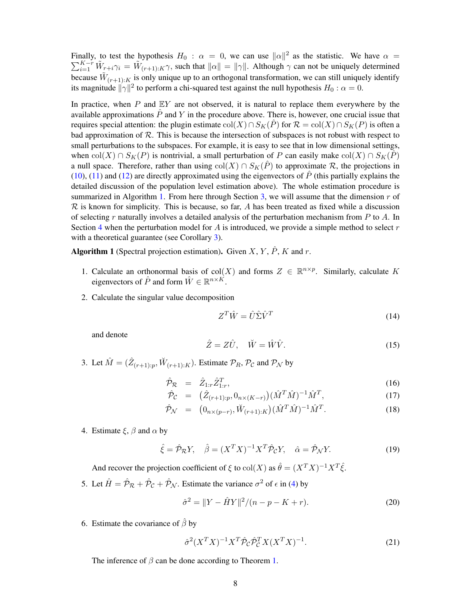Finally, to test the hypothesis  $H_0$ :  $\alpha = 0$ , we can use  $\|\alpha\|^2$  as the statistic. We have  $\alpha =$  $\sum_{i=1}^{K-r} \tilde{W}_{r+i}\gamma_i = \tilde{W}_{(r+1):K}\gamma$ , such that  $\|\alpha\| = \|\gamma\|$ . Although  $\gamma$  can not be uniquely determined because  $\tilde{W}_{(r+1):K}$  is only unique up to an orthogonal transformation, we can still uniquely identify its magnitude  $\|\gamma\|^2$  to perform a chi-squared test against the null hypothesis  $H_0$  :  $\alpha = 0$ .

In practice, when  $P$  and  $EY$  are not observed, it is natural to replace them everywhere by the available approximations  $\ddot{P}$  and Y in the procedure above. There is, however, one crucial issue that requires special attention: the plugin estimate  $col(X) \cap S_K(\hat{P})$  for  $\mathcal{R} = col(X) \cap S_K(P)$  is often a bad approximation of  $R$ . This is because the intersection of subspaces is not robust with respect to small perturbations to the subspaces. For example, it is easy to see that in low dimensional settings, when col(X) ∩  $S_K(P)$  is nontrivial, a small perturbation of P can easily make col(X) ∩  $S_K(\hat{P})$ a null space. Therefore, rather than using  $col(X) \cap S_K(\hat{P})$  to approximate R, the projections in [\(10\)](#page-6-0), [\(11\)](#page-6-1) and [\(12\)](#page-6-1) are directly approximated using the eigenvectors of  $\hat{P}$  (this partially explains the detailed discussion of the population level estimation above). The whole estimation procedure is summarized in Algorithm [1.](#page-7-0) From here through Section [3,](#page-8-0) we will assume that the dimension  $r$  of  $\mathcal R$  is known for simplicity. This is because, so far, A has been treated as fixed while a discussion of selecting r naturally involves a detailed analysis of the perturbation mechanism from  $P$  to  $\overline{A}$ . In Section [4](#page-11-0) when the perturbation model for A is introduced, we provide a simple method to select  $r$ with a theoretical guarantee (see Corollary [3\)](#page-13-0).

<span id="page-7-0"></span>Algorithm 1 (Spectral projection estimation). Given  $X, Y, \hat{P}, K$  and  $r$ .

- 1. Calculate an orthonormal basis of col(X) and forms  $Z \in \mathbb{R}^{n \times p}$ . Similarly, calculate K eigenvectors of  $\hat{P}$  and form  $\hat{W} \in \mathbb{R}^{n \times K}$ .
- 2. Calculate the singular value decomposition

<span id="page-7-4"></span>
$$
Z^T \hat{W} = \hat{U} \hat{\Sigma} \hat{V}^T
$$
 (14)

and denote

<span id="page-7-5"></span>
$$
\hat{Z} = Z\hat{U}, \quad \breve{W} = \hat{W}\hat{V}.
$$
\n(15)

3. Let  $\hat{M} = (\hat{Z}_{(r+1):p}, \check{W}_{(r+1):K})$ . Estimate  $\mathcal{P}_R$ ,  $\mathcal{P}_C$  and  $\mathcal{P}_\mathcal{N}$  by

<span id="page-7-3"></span>
$$
\hat{\mathcal{P}}_{\mathcal{R}} = \hat{Z}_{1:r}\hat{Z}_{1:r}^T,\tag{16}
$$

$$
\hat{\mathcal{P}}_{\mathcal{C}} = (\hat{Z}_{(r+1):p}, 0_{n \times (K-r)}) (\hat{M}^T \hat{M})^{-1} \hat{M}^T, \tag{17}
$$

$$
\hat{\mathcal{P}}_{\mathcal{N}} = (0_{n \times (p-r)}, \breve{W}_{(r+1):K})(\hat{M}^T \hat{M})^{-1} \hat{M}^T.
$$
\n(18)

4. Estimate  $\xi$ ,  $\beta$  and  $\alpha$  by

<span id="page-7-2"></span>
$$
\hat{\xi} = \hat{\mathcal{P}}_{\mathcal{R}} Y, \quad \hat{\beta} = (X^T X)^{-1} X^T \hat{\mathcal{P}}_{\mathcal{C}} Y, \quad \hat{\alpha} = \hat{\mathcal{P}}_{\mathcal{N}} Y. \tag{19}
$$

And recover the projection coefficient of  $\xi$  to  $\text{col}(X)$  as  $\hat{\theta} = (X^T X)^{-1} X^T \hat{\xi}$ .

5. Let  $\hat{H} = \hat{\mathcal{P}}_{\mathcal{R}} + \hat{\mathcal{P}}_{\mathcal{C}} + \hat{\mathcal{P}}_{\mathcal{N}}$ . Estimate the variance  $\sigma^2$  of  $\epsilon$  in [\(4\)](#page-4-5) by

<span id="page-7-1"></span>
$$
\hat{\sigma}^2 = \|Y - \hat{H}Y\|^2 / (n - p - K + r). \tag{20}
$$

6. Estimate the covariance of  $\hat{\beta}$  by

$$
\hat{\sigma}^2 (X^T X)^{-1} X^T \hat{\mathcal{P}}_{\mathcal{C}} \hat{\mathcal{P}}_{\mathcal{C}}^T X (X^T X)^{-1}.
$$
\n(21)

The inference of  $\beta$  can be done according to Theorem [1.](#page-9-0)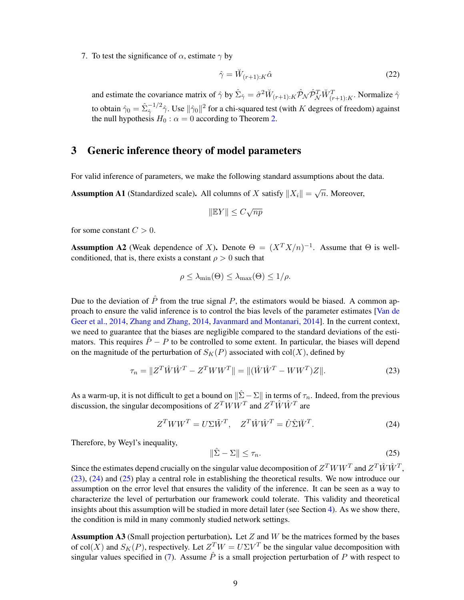7. To test the significance of  $\alpha$ , estimate  $\gamma$  by

<span id="page-8-7"></span>
$$
\hat{\gamma} = \breve{W}_{(r+1):K}\hat{\alpha}
$$
\n(22)

and estimate the covariance matrix of  $\hat{\gamma}$  by  $\hat{\Sigma}_{\hat{\gamma}} = \hat{\sigma}^2 \breve{W}_{(r+1):K} \hat{\mathcal{P}}_{\mathcal{N}} \hat{\mathcal{P}}_{\mathcal{N}}^T \breve{W}_{(r+1):K}^T$ . Normalize  $\hat{\gamma}$ to obtain  $\hat{\gamma}_0=\hat{\Sigma}_{\hat{\gamma}}^{-1/2}\hat{\gamma}.$  Use  $\|\hat{\gamma}_0\|^2$  for a chi-squared test (with  $K$  degrees of freedom) against the null hypothesis  $H_0$ :  $\alpha = 0$  according to Theorem [2.](#page-11-1)

# <span id="page-8-0"></span>3 Generic inference theory of model parameters

For valid inference of parameters, we make the following standard assumptions about the data.

<span id="page-8-4"></span>**Assumption A1** (Standardized scale). All columns of X satisfy  $||X_i|| = \sqrt{n}$ . Moreover,

$$
\|\mathbb{E}Y\| \le C\sqrt{np}
$$

for some constant  $C > 0$ .

<span id="page-8-6"></span>**Assumption A2** (Weak dependence of X). Denote  $\Theta = (X^T X/n)^{-1}$ . Assume that  $\Theta$  is wellconditioned, that is, there exists a constant  $\rho > 0$  such that

$$
\rho \leq \lambda_{\min}(\Theta) \leq \lambda_{\max}(\Theta) \leq 1/\rho.
$$

Due to the deviation of  $\hat{P}$  from the true signal P, the estimators would be biased. A common approach to ensure the valid inference is to control the bias levels of the parameter estimates [\[Van de](#page-24-11) [Geer et al., 2014,](#page-24-11) [Zhang and Zhang, 2014,](#page-25-3) [Javanmard and Montanari, 2014\]](#page-22-12). In the current context, we need to guarantee that the biases are negligible compared to the standard deviations of the estimators. This requires  $\hat{P} - P$  to be controlled to some extent. In particular, the biases will depend on the magnitude of the perturbation of  $S_K(P)$  associated with col(X), defined by

<span id="page-8-1"></span>
$$
\tau_n = \|Z^T \hat{W} \hat{W}^T - Z^T W W^T\| = \|(\hat{W} \hat{W}^T - W W^T) Z\|.
$$
\n(23)

As a warm-up, it is not difficult to get a bound on  $\|\hat{\Sigma} - \Sigma\|$  in terms of  $\tau_n$ . Indeed, from the previous discussion, the singular decompositions of  $Z^T W W^T$  and  $Z^T \hat{W} \hat{W}^T$  are

<span id="page-8-2"></span>
$$
Z^T WW^T = U\Sigma \tilde{W}^T, \quad Z^T \hat{W} \hat{W}^T = \hat{U} \hat{\Sigma} \tilde{W}^T.
$$
 (24)

Therefore, by Weyl's inequality,

<span id="page-8-3"></span>
$$
\|\hat{\Sigma} - \Sigma\| \le \tau_n. \tag{25}
$$

Since the estimates depend crucially on the singular value decomposition of  $Z^T W W^T$  and  $Z^T \hat{W} \hat{W}^T$ , [\(23\)](#page-8-1), [\(24\)](#page-8-2) and [\(25\)](#page-8-3) play a central role in establishing the theoretical results. We now introduce our assumption on the error level that ensures the validity of the inference. It can be seen as a way to characterize the level of perturbation our framework could tolerate. This validity and theoretical insights about this assumption will be studied in more detail later (see Section [4\)](#page-11-0). As we show there, the condition is mild in many commonly studied network settings.

<span id="page-8-5"></span>Assumption A3 (Small projection perturbation). Let  $Z$  and  $W$  be the matrices formed by the bases of col(X) and  $S_K(P)$ , respectively. Let  $Z^T W = U \Sigma V^T$  be the singular value decomposition with singular values specified in [\(7\)](#page-6-2). Assume  $\hat{P}$  is a small projection perturbation of P with respect to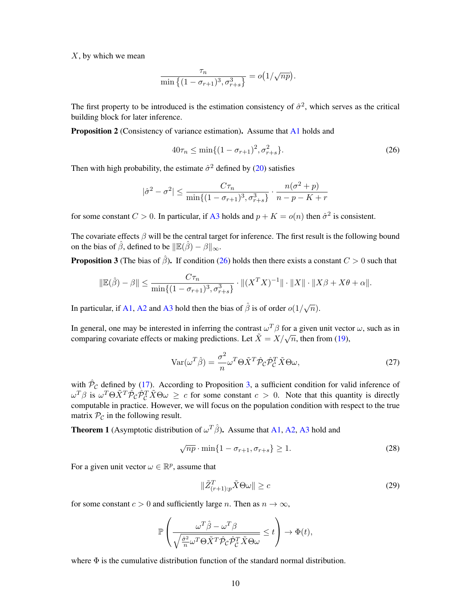$X$ , by which we mean

$$
\frac{\tau_n}{\min\left\{(1-\sigma_{r+1})^3, \sigma_{r+s}^3\right\}} = o\big(1/\sqrt{np}\big).
$$

The first property to be introduced is the estimation consistency of  $\hat{\sigma}^2$ , which serves as the critical building block for later inference.

<span id="page-9-4"></span>**Proposition 2** (Consistency of variance estimation). Assume that [A1](#page-8-4) holds and

<span id="page-9-1"></span>
$$
40\tau_n \le \min\{(1 - \sigma_{r+1})^2, \sigma_{r+s}^2\}.
$$
\n(26)

Then with high probability, the estimate  $\hat{\sigma}^2$  defined by [\(20\)](#page-7-1) satisfies

$$
|\hat{\sigma}^2 - \sigma^2| \le \frac{C\tau_n}{\min\{(1 - \sigma_{r+1})^3, \sigma_{r+s}^3\}} \cdot \frac{n(\sigma^2 + p)}{n - p - K + r}
$$

for some constant  $C > 0$ . In particular, if [A3](#page-8-5) holds and  $p + K = o(n)$  then  $\hat{\sigma}^2$  is consistent.

The covariate effects  $\beta$  will be the central target for inference. The first result is the following bound on the bias of  $\hat{\beta}$ , defined to be  $\|\mathbb{E}(\hat{\beta}) - \beta\|_{\infty}$ .

<span id="page-9-2"></span>**Proposition 3** (The bias of  $\hat{\beta}$ ). If condition [\(26\)](#page-9-1) holds then there exists a constant  $C > 0$  such that

$$
\|\mathbb{E}(\hat{\beta}) - \beta\| \le \frac{C\tau_n}{\min\{(1 - \sigma_{r+1})^3, \sigma_{r+s}^3\}} \cdot \|(X^T X)^{-1}\| \cdot \|X\| \cdot \|X\beta + X\theta + \alpha\|.
$$

In particular, if [A1,](#page-8-4) [A2](#page-8-6) and [A3](#page-8-5) hold then the bias of  $\hat{\beta}$  is of order  $o(1/\sqrt{n})$ .

In general, one may be interested in inferring the contrast  $\omega^T\beta$  for a given unit vector  $\omega$ , such as in In general, one may be interested in inferring the contrast  $\omega \to 0$  for a given time vector comparing covariate effects or making predictions. Let  $\tilde{X} = X/\sqrt{n}$ , then from [\(19\)](#page-7-2),

<span id="page-9-5"></span>
$$
Var(\omega^T \hat{\beta}) = \frac{\sigma^2}{n} \omega^T \Theta \tilde{X}^T \hat{\mathcal{P}}_{\mathcal{C}} \hat{\mathcal{P}}_{\mathcal{C}}^T \tilde{X} \Theta \omega,
$$
\n(27)

with  $\hat{\mathcal{P}}_{\mathcal{C}}$  defined by [\(17\)](#page-7-3). According to Proposition [3,](#page-9-2) a sufficient condition for valid inference of  $\omega^T \beta$  is  $\omega^T \Theta \tilde{X}^T \hat{\mathcal{P}}_{\mathcal{C}} \hat{\mathcal{P}}_{\mathcal{C}}^T \tilde{X} \Theta \omega \geq c$  for some constant  $c > 0$ . Note that this quantity is directly computable in practice. However, we will focus on the population condition with respect to the true matrix  $P_c$  in the following result.

<span id="page-9-0"></span>**Theorem 1** (Asymptotic distribution of  $\omega^T \hat{\beta}$ ). Assume that [A1,](#page-8-4) [A2,](#page-8-6) [A3](#page-8-5) hold and

<span id="page-9-6"></span>
$$
\sqrt{np} \cdot \min\{1 - \sigma_{r+1}, \sigma_{r+s}\} \ge 1. \tag{28}
$$

For a given unit vector  $\omega \in \mathbb{R}^p$ , assume that

<span id="page-9-3"></span>
$$
\|\tilde{Z}_{(r+1):p}^T \tilde{X} \Theta \omega\| \ge c \tag{29}
$$

for some constant  $c > 0$  and sufficiently large n. Then as  $n \to \infty$ ,

$$
\mathbb{P}\left(\frac{\omega^T\hat{\beta} - \omega^T\beta}{\sqrt{\frac{\hat{\sigma}^2}{n}\omega^T\Theta\tilde{X}^T\hat{\mathcal{P}}_C\hat{\mathcal{P}}_C^T\tilde{X}\Theta\omega}} \leq t\right) \to \Phi(t),
$$

where  $\Phi$  is the cumulative distribution function of the standard normal distribution.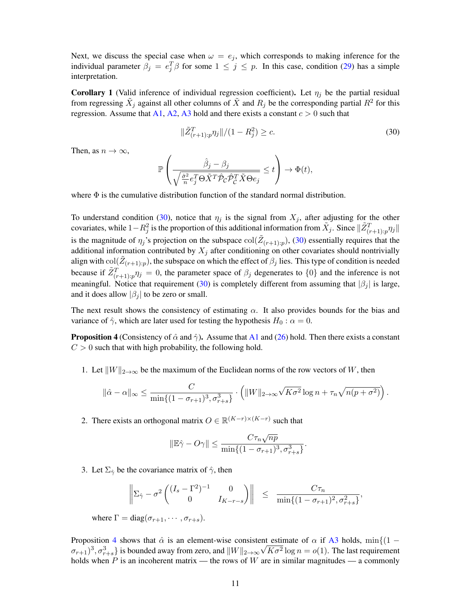Next, we discuss the special case when  $\omega = e_j$ , which corresponds to making inference for the individual parameter  $\beta_j = e_j^T \beta$  for some  $1 \leq j \leq p$ . In this case, condition [\(29\)](#page-9-3) has a simple interpretation.

<span id="page-10-2"></span>**Corollary 1** (Valid inference of individual regression coefficient). Let  $\eta_i$  be the partial residual from regressing  $\tilde{X}_j$  against all other columns of  $\tilde{X}$  and  $R_j$  be the corresponding partial  $R^2$  for this regression. Assume that [A1,](#page-8-4) [A2,](#page-8-6) [A3](#page-8-5) hold and there exists a constant  $c > 0$  such that

<span id="page-10-0"></span>
$$
\|\tilde{Z}_{(r+1):p}^T \eta_j\|/(1 - R_j^2) \ge c. \tag{30}
$$

Then, as  $n \to \infty$ ,

$$
\mathbb{P}\left(\frac{\hat{\beta}_j - \beta_j}{\sqrt{\frac{\hat{\sigma}^2}{n}e_j^T\Theta\tilde{X}^T\hat{\mathcal{P}}_{\mathcal{C}}\hat{\mathcal{P}}_{\mathcal{C}}^T\tilde{X}\Theta_{e_j}} \leq t\right) \to \Phi(t),\,
$$

where  $\Phi$  is the cumulative distribution function of the standard normal distribution.

To understand condition [\(30\)](#page-10-0), notice that  $\eta_j$  is the signal from  $X_j$ , after adjusting for the other covariates, while  $1-R_j^2$  is the proportion of this additional information from  $\tilde{X}_j$ . Since  $\|\tilde{Z}^T_{(r+1):p}\eta_j\|$ is the magnitude of  $\eta_j$ 's projection on the subspace  $col(\tilde{Z}_{(r+1):p})$ , [\(30\)](#page-10-0) essentially requires that the additional information contributed by  $X_j$  after conditioning on other covariates should nontrivially align with  $col(\tilde{Z}_{(r+1):p})$ , the subspace on which the effect of  $\beta_j$  lies. This type of condition is needed because if  $\tilde{Z}_{(r+1):p}^T \eta_j = 0$ , the parameter space of  $\beta_j$  degenerates to  $\{0\}$  and the inference is not meaningful. Notice that requirement [\(30\)](#page-10-0) is completely different from assuming that  $|\beta_j|$  is large, and it does allow  $|\beta_i|$  to be zero or small.

The next result shows the consistency of estimating  $\alpha$ . It also provides bounds for the bias and variance of  $\hat{\gamma}$ , which are later used for testing the hypothesis  $H_0 : \alpha = 0$ .

<span id="page-10-1"></span>**Proposition 4** (Consistency of  $\hat{\alpha}$  and  $\hat{\gamma}$ ). Assume that [A1](#page-8-4) and [\(26\)](#page-9-1) hold. Then there exists a constant  $C > 0$  such that with high probability, the following hold.

1. Let  $||W||_{2\to\infty}$  be the maximum of the Euclidean norms of the row vectors of W, then

$$
\|\hat{\alpha} - \alpha\|_{\infty} \le \frac{C}{\min\{(1 - \sigma_{r+1})^3, \sigma_{r+s}^3\}} \cdot \left( \|W\|_{2 \to \infty} \sqrt{K\sigma^2} \log n + \tau_n \sqrt{n(p + \sigma^2)} \right).
$$

2. There exists an orthogonal matrix  $O \in \mathbb{R}^{(K-r)\times (K-r)}$  such that

$$
\|\mathbb{E}\hat{\gamma} - O\gamma\| \le \frac{C\tau_n\sqrt{np}}{\min\{(1 - \sigma_{r+1})^3, \sigma_{r+s}^3\}}.
$$

3. Let  $\Sigma_{\hat{\gamma}}$  be the covariance matrix of  $\hat{\gamma}$ , then

$$
\left\| \Sigma_{\hat{\gamma}} - \sigma^2 \begin{pmatrix} (I_s - \Gamma^2)^{-1} & 0 \\ 0 & I_{K-r-s} \end{pmatrix} \right\| \leq \frac{C\tau_n}{\min\{(1 - \sigma_{r+1})^2, \sigma_{r+s}^2\}},
$$

where  $\Gamma = \text{diag}(\sigma_{r+1}, \cdots, \sigma_{r+s}).$ 

Proposition [4](#page-10-1) shows that  $\hat{\alpha}$  is an element-wise consistent estimate of  $\alpha$  if [A3](#page-8-5) holds, min $\{(1 - \alpha)^n\}$  $(\sigma_{r+1})^3, \sigma_{r+s}^3$  is bounded away from zero, and  $\|W\|_{2\to\infty}\sqrt{K\sigma^2}\log n = o(1)$ . The last requirement holds when P is an incoherent matrix — the rows of W are in similar magnitudes — a commonly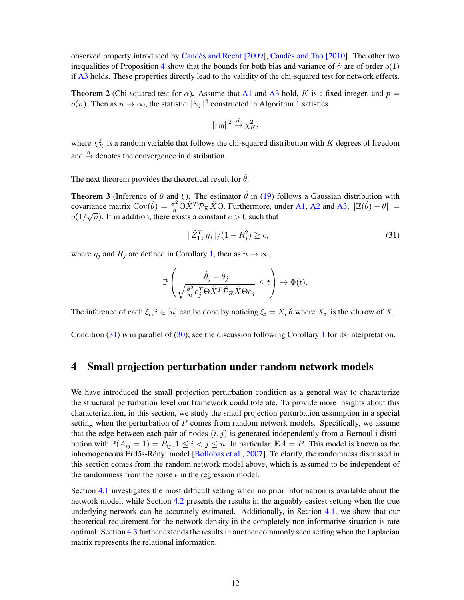observed property introduced by Candès and Recht  $[2009]$ , Candès and Tao  $[2010]$ . The other two inequalities of Proposition [4](#page-10-1) show that the bounds for both bias and variance of  $\hat{\gamma}$  are of order  $o(1)$ if [A3](#page-8-5) holds. These properties directly lead to the validity of the chi-squared test for network effects.

<span id="page-11-1"></span>**Theorem 2** (Chi-squared test for  $\alpha$ ). Assume that [A1](#page-8-4) and [A3](#page-8-5) hold, K is a fixed integer, and  $p =$  $o(n)$ . Then as  $n \to \infty$ , the statistic  $\|\hat{\gamma}_0\|^2$  constructed in Algorithm [1](#page-7-0) satisfies

$$
\|\hat{\gamma}_0\|^2 \xrightarrow{d} \chi_K^2,
$$

where  $\chi_K^2$  is a random variable that follows the chi-squared distribution with K degrees of freedom and  $\stackrel{d}{\rightarrow}$  denotes the convergence in distribution.

The next theorem provides the theoretical result for  $\hat{\theta}$ .

<span id="page-11-3"></span>**Theorem 3** (Inference of  $\theta$  and  $\xi$ ). The estimator  $\hat{\theta}$  in [\(19\)](#page-7-2) follows a Gaussian distribution with covariance matrix  $Cov(\hat{\theta}) = \frac{\sigma^2}{n} \Theta \tilde{X}^T \hat{\mathcal{P}}_{\mathcal{R}} \tilde{X} \Theta$ . Furthermore, under [A1,](#page-8-4) [A2](#page-8-6) and [A3,](#page-8-5)  $\|\mathbb{E}(\hat{\theta}) - \theta\| =$  $o(1/\sqrt{n})$ . If in addition, there exists a constant  $c > 0$  such that

<span id="page-11-2"></span>
$$
\|\tilde{Z}_{1:r}^T \eta_j\|/(1 - R_j^2) \ge c,\tag{31}
$$

where  $\eta_j$  and  $R_j$  are defined in Corollary [1,](#page-10-2) then as  $n \to \infty$ ,

$$
\mathbb{P}\left(\frac{\hat{\theta}_j-\theta_j}{\sqrt{\frac{\hat{\sigma}^2}{n}e_j^T\Theta\tilde{X}^T\hat{\mathcal{P}}_{\mathcal{R}}\tilde{X}\Theta e_j}}\leq t\right)\rightarrow \Phi(t).
$$

The inference of each  $\xi_i, i \in [n]$  can be done by noticing  $\xi_i = X_i \theta$  where  $X_i$  is the *i*th row of X.

Condition [\(31\)](#page-11-2) is in parallel of [\(30\)](#page-10-0); see the discussion following Corollary [1](#page-10-2) for its interpretation.

### <span id="page-11-0"></span>4 Small projection perturbation under random network models

We have introduced the small projection perturbation condition as a general way to characterize the structural perturbation level our framework could tolerate. To provide more insights about this characterization, in this section, we study the small projection perturbation assumption in a special setting when the perturbation of  $P$  comes from random network models. Specifically, we assume that the edge between each pair of nodes  $(i, j)$  is generated independently from a Bernoulli distribution with  $\mathbb{P}(A_{ij} = 1) = P_{ij}, 1 \le i < j \le n$ . In particular,  $\mathbb{E}A = P$ . This model is known as the inhomogeneous Erdős-Rényi model [[Bollobas et al., 2007\]](#page-21-10). To clarify, the randomness discussed in this section comes from the random network model above, which is assumed to be independent of the randomness from the noise  $\epsilon$  in the regression model.

Section [4.1](#page-12-0) investigates the most difficult setting when no prior information is available about the network model, while Section [4.2](#page-14-0) presents the results in the arguably easiest setting when the true underlying network can be accurately estimated. Additionally, in Section [4.1,](#page-12-0) we show that our theoretical requirement for the network density in the completely non-informative situation is rate optimal. Section [4.3](#page-15-0) further extends the results in another commonly seen setting when the Laplacian matrix represents the relational information.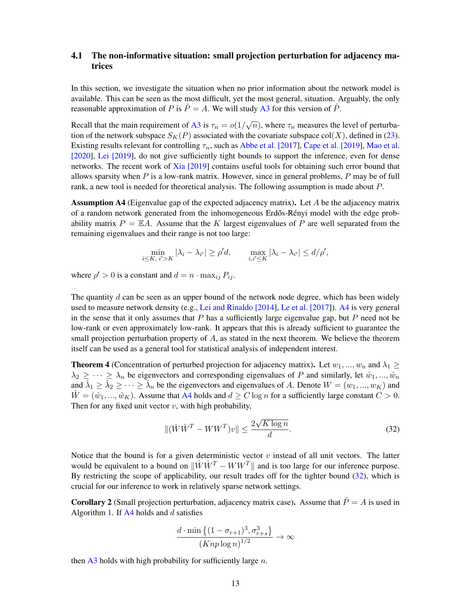#### <span id="page-12-0"></span>4.1 The non-informative situation: small projection perturbation for adjacency matrices

In this section, we investigate the situation when no prior information about the network model is available. This can be seen as the most difficult, yet the most general, situation. Arguably, the only reasonable approximation of P is  $\hat{P} = A$ . We will study [A3](#page-8-5) for this version of  $\hat{P}$ .

Recall that the main requirement of [A3](#page-8-5) is  $\tau_n = o(1/\sqrt{n})$ , where  $\tau_n$  measures the level of perturbation of the network subspace  $S_K(P)$  associated with the covariate subspace col(X), defined in [\(23\)](#page-8-1). Existing results relevant for controlling  $\tau_n$ , such as [Abbe et al. \[2017\]](#page-21-11), [Cape et al. \[2019\]](#page-21-12), [Mao et al.](#page-23-11) [\[2020\]](#page-23-11), [Lei \[2019\]](#page-23-12), do not give sufficiently tight bounds to support the inference, even for dense networks. The recent work of [Xia \[2019\]](#page-25-4) contains useful tools for obtaining such error bound that allows sparsity when  $P$  is a low-rank matrix. However, since in general problems,  $P$  may be of full rank, a new tool is needed for theoretical analysis. The following assumption is made about P.

<span id="page-12-1"></span>**Assumption A4** (Eigenvalue gap of the expected adjacency matrix). Let  $A$  be the adjacency matrix of a random network generated from the inhomogeneous Erdős-Rényi model with the edge probability matrix  $P = \mathbb{E}A$ . Assume that the K largest eigenvalues of P are well separated from the remaining eigenvalues and their range is not too large:

$$
\min_{i \leq K, i' > K} |\lambda_i - \lambda_{i'}| \geq \rho' d, \qquad \max_{i, i' \leq K} |\lambda_i - \lambda_{i'}| \leq d/\rho',
$$

where  $\rho' > 0$  is a constant and  $d = n \cdot \max_{ij} P_{ij}$ .

The quantity d can be seen as an upper bound of the network node degree, which has been widely used to measure network density (e.g., [Lei and Rinaldo \[2014\]](#page-23-13), [Le et al. \[2017\]](#page-23-14)). [A4](#page-12-1) is very general in the sense that it only assumes that  $P$  has a sufficiently large eigenvalue gap, but  $P$  need not be low-rank or even approximately low-rank. It appears that this is already sufficient to guarantee the small projection perturbation property of  $A$ , as stated in the next theorem. We believe the theorem itself can be used as a general tool for statistical analysis of independent interest.

<span id="page-12-4"></span>**Theorem 4** (Concentration of perturbed projection for adjacency matrix). Let  $w_1, ..., w_n$  and  $\lambda_1 \geq$  $\lambda_2 \geq \cdots \geq \lambda_n$  be eigenvectors and corresponding eigenvalues of P and similarly, let  $\hat{w}_1, \ldots, \hat{w}_n$ and  $\hat{\lambda}_1 \ge \hat{\lambda}_2 \ge \cdots \ge \hat{\lambda}_n$  be the eigenvectors and eigenvalues of A. Denote  $W = (w_1, ..., w_K)$  and  $\hat{W} = (\hat{w}_1, ..., \hat{w}_K)$ . Assume that [A4](#page-12-1) holds and  $d \ge C \log n$  for a sufficiently large constant  $C > 0$ . Then for any fixed unit vector  $v$ , with high probability,

<span id="page-12-2"></span>
$$
\|(\hat{W}\hat{W}^T - WW^T)v\| \le \frac{2\sqrt{K\log n}}{d}.\tag{32}
$$

Notice that the bound is for a given deterministic vector  $v$  instead of all unit vectors. The latter would be equivalent to a bound on  $\|\hat{W}\hat{W}^T - WW^T\|$  and is too large for our inference purpose. By restricting the scope of applicability, our result trades off for the tighter bound [\(32\)](#page-12-2), which is crucial for our inference to work in relatively sparse network settings.

<span id="page-12-3"></span>**Corollary 2** (Small projection perturbation, adjacency matrix case). Assume that  $\hat{P} = A$  is used in Algorithm [1.](#page-7-0) If  $A4$  holds and d satisfies

$$
\frac{d \cdot \min\left\{(1 - \sigma_{r+1})^3, \sigma_{r+s}^3\right\}}{(Knp \log n)^{1/2}} \to \infty
$$

then  $\overline{A3}$  $\overline{A3}$  $\overline{A3}$  holds with high probability for sufficiently large n.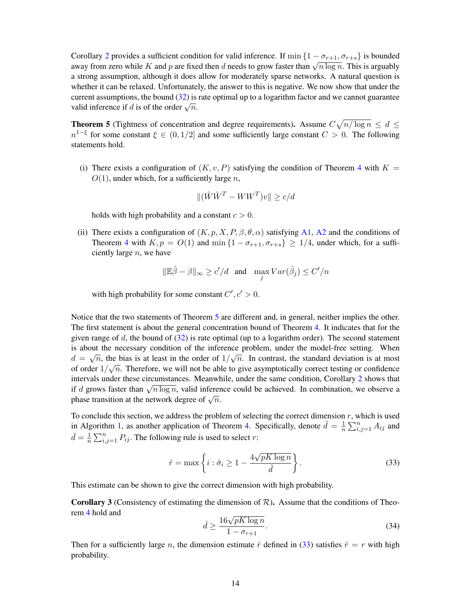Corollary [2](#page-12-3) provides a sufficient condition for valid inference. If  $\min\{1 - \sigma_{r+1}, \sigma_{r+s}\}\$ is bounded coronary z provides a summer condition for valid interence. If  $\lim_{x \to a} \frac{1 - \sigma_{r+1}, \sigma_{r+s}}{1 - \sigma_{r+s}}$  is bounded away from zero while K and p are fixed then d needs to grow faster than  $\sqrt{n \log n}$ . This is arguably a strong assumption, although it does allow for moderately sparse networks. A natural question is whether it can be relaxed. Unfortunately, the answer to this is negative. We now show that under the current assumptions, the bound [\(32\)](#page-12-2) is rate optimal up to a logarithm factor and we cannot guarantee valid inference if d is of the order  $\sqrt{n}$ .

<span id="page-13-1"></span>**Theorem 5** (Tightness of concentration and degree requirements). Assume  $C\sqrt{n/\log n} \leq d \leq$  $n^{1-\xi}$  for some constant  $\xi \in (0,1/2]$  and some sufficiently large constant  $C > 0$ . The following statements hold.

(i) There exists a configuration of  $(K, v, P)$  satisfying the condition of Theorem [4](#page-12-4) with  $K =$  $O(1)$ , under which, for a sufficiently large n,

$$
\|(\hat{W}\hat{W}^T - WW^T)v\| \ge c/d
$$

holds with high probability and a constant  $c > 0$ .

(ii) There exists a configuration of  $(K, p, X, P, \beta, \theta, \alpha)$  satisfying [A1,](#page-8-4) [A2](#page-8-6) and the conditions of Theorem [4](#page-12-4) with  $K, p = O(1)$  and  $\min\{1 - \sigma_{r+1}, \sigma_{r+s}\} \ge 1/4$ , under which, for a sufficiently large  $n$ , we have

$$
\|\mathbb{E}\hat{\beta}-\beta\|_{\infty}\geq c'/d \quad \text{and} \quad \max_jVar(\hat{\beta}_j)\leq C'/n
$$

with high probability for some constant  $C', c' > 0$ .

Notice that the two statements of Theorem [5](#page-13-1) are different and, in general, neither implies the other. The first statement is about the general concentration bound of Theorem [4.](#page-12-4) It indicates that for the given range of  $d$ , the bound of  $(32)$  is rate optimal (up to a logarithm order). The second statement is about the necessary condition of the inference problem, under the model-free setting. When  $d = \sqrt{n}$ , the bias is at least in the order of  $1/\sqrt{n}$ . In contrast, the standard deviation is at most of order  $1/\sqrt{n}$ . Therefore, we will not be able to give asymptotically correct testing or confidence intervals under these circumstances. Meanwhile, under the same condition, Corollary [2](#page-12-3) shows that if d grows faster than  $\sqrt{n \log n}$ , valid inference could be achieved. In combination, we observe a the a grows raster than  $\sqrt{n} \log n$ , valid interest<br>phase transition at the network degree of  $\sqrt{n}$ .

To conclude this section, we address the problem of selecting the correct dimension  $r$ , which is used in Algorithm [1,](#page-7-0) as another application of Theorem [4.](#page-12-4) Specifically, denote  $\hat{d} = \frac{1}{n}$  $\frac{1}{n} \sum_{i,j=1}^n A_{ij}$  and  $\bar{d} = \frac{1}{n}$  $\frac{1}{n} \sum_{i,j=1}^{n} P_{ij}$ . The following rule is used to select r:

<span id="page-13-2"></span>
$$
\hat{r} = \max\left\{i : \hat{\sigma}_i \ge 1 - \frac{4\sqrt{pK\log n}}{\hat{d}}\right\}.
$$
\n(33)

This estimate can be shown to give the correct dimension with high probability.

<span id="page-13-0"></span>**Corollary 3** (Consistency of estimating the dimension of  $\mathcal{R}$ ). Assume that the conditions of Theorem [4](#page-12-4) hold and

<span id="page-13-3"></span>
$$
\bar{d} \ge \frac{16\sqrt{pK\log n}}{1 - \sigma_{r+1}}.\tag{34}
$$

Then for a sufficiently large n, the dimension estimate  $\hat{r}$  defined in [\(33\)](#page-13-2) satisfies  $\hat{r} = r$  with high probability.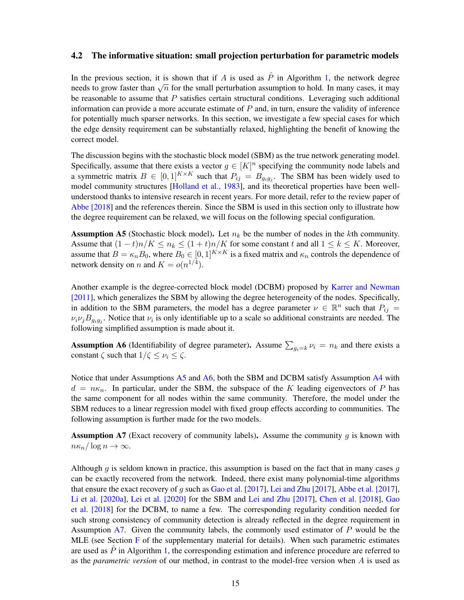#### <span id="page-14-0"></span>4.2 The informative situation: small projection perturbation for parametric models

In the previous section, it is shown that if A is used as  $\hat{P}$  in Algorithm [1,](#page-7-0) the network degree in the previous section, it is shown that if A is used as T in Algorithm 1, the hetwork degree needs to grow faster than  $\sqrt{n}$  for the small perturbation assumption to hold. In many cases, it may be reasonable to assume that  $P$  satisfies certain structural conditions. Leveraging such additional information can provide a more accurate estimate of  $P$  and, in turn, ensure the validity of inference for potentially much sparser networks. In this section, we investigate a few special cases for which the edge density requirement can be substantially relaxed, highlighting the benefit of knowing the correct model.

The discussion begins with the stochastic block model (SBM) as the true network generating model. Specifically, assume that there exists a vector  $g \in [K]^n$  specifying the community node labels and a symmetric matrix  $B \in [0,1]^{K \times K}$  such that  $P_{ij} = B_{g_i g_j}$ . The SBM has been widely used to model community structures [\[Holland et al., 1983\]](#page-22-13), and its theoretical properties have been wellunderstood thanks to intensive research in recent years. For more detail, refer to the review paper of [Abbe \[2018\]](#page-21-13) and the references therein. Since the SBM is used in this section only to illustrate how the degree requirement can be relaxed, we will focus on the following special configuration.

<span id="page-14-1"></span>**Assumption A5** (Stochastic block model). Let  $n_k$  be the number of nodes in the kth community. Assume that  $(1-t)n/K \le n_k \le (1+t)n/K$  for some constant t and all  $1 \le k \le K$ . Moreover, assume that  $B = \kappa_n B_0$ , where  $B_0 \in [0, 1]^{K \times K}$  is a fixed matrix and  $\kappa_n$  controls the dependence of network density on *n* and  $K = o(n^{1/4})$ .

Another example is the degree-corrected block model (DCBM) proposed by [Karrer and Newman](#page-22-14) [\[2011\]](#page-22-14), which generalizes the SBM by allowing the degree heterogeneity of the nodes. Specifically, in addition to the SBM parameters, the model has a degree parameter  $\nu \in \mathbb{R}^n$  such that  $P_{ij} =$  $\nu_i \nu_j B_{g_i g_j}$ . Notice that  $\nu_i$  is only identifiable up to a scale so additional constraints are needed. The following simplified assumption is made about it.

<span id="page-14-2"></span>**Assumption A6** (Identifiability of degree parameter). Assume  $\sum_{g_i=k} \nu_i = n_k$  and there exists a constant  $\zeta$  such that  $1/\zeta \le \nu_i \le \zeta$ .

Notice that under Assumptions [A5](#page-14-1) and [A6,](#page-14-2) both the SBM and DCBM satisfy Assumption [A4](#page-12-1) with  $d = n\kappa_n$ . In particular, under the SBM, the subspace of the K leading eigenvectors of P has the same component for all nodes within the same community. Therefore, the model under the SBM reduces to a linear regression model with fixed group effects according to communities. The following assumption is further made for the two models.

<span id="page-14-3"></span>Assumption A7 (Exact recovery of community labels). Assume the community  $q$  is known with  $n\kappa_n/\log n\to\infty$ .

Although q is seldom known in practice, this assumption is based on the fact that in many cases q can be exactly recovered from the network. Indeed, there exist many polynomial-time algorithms that ensure the exact recovery of q such as [Gao et al. \[2017\]](#page-22-15), [Lei and Zhu \[2017\]](#page-23-15), [Abbe et al. \[2017\]](#page-21-11), [Li et al. \[2020a\]](#page-23-16), [Lei et al. \[2020\]](#page-23-17) for the SBM and [Lei and Zhu \[2017\]](#page-23-15), [Chen et al. \[2018\]](#page-21-14), [Gao](#page-22-16) [et al. \[2018\]](#page-22-16) for the DCBM, to name a few. The corresponding regularity condition needed for such strong consistency of community detection is already reflected in the degree requirement in Assumption [A7.](#page-14-3) Given the community labels, the commonly used estimator of P would be the MLE (see Section  $F$  of the supplementary material for details). When such parametric estimates are used as  $P$  in Algorithm [1,](#page-7-0) the corresponding estimation and inference procedure are referred to as the *parametric version* of our method, in contrast to the model-free version when A is used as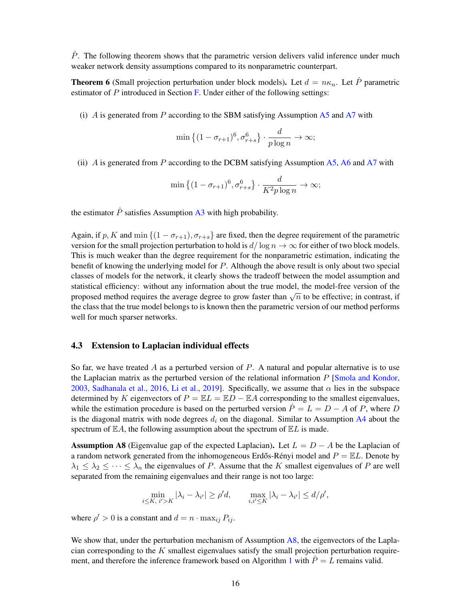$\hat{P}$ . The following theorem shows that the parametric version delivers valid inference under much weaker network density assumptions compared to its nonparametric counterpart.

<span id="page-15-2"></span>**Theorem 6** (Small projection perturbation under block models). Let  $d = n\kappa_n$ . Let  $\hat{P}$  parametric estimator of  $P$  introduced in Section  $\overline{F}$ . Under either of the following settings:

(i) A is generated from P according to the SBM satisfying Assumption  $\overline{A5}$  $\overline{A5}$  $\overline{A5}$  and  $\overline{A7}$  $\overline{A7}$  $\overline{A7}$  with

$$
\min\left\{(1-\sigma_{r+1})^6, \sigma_{r+s}^6\right\} \cdot \frac{d}{p\log n} \to \infty;
$$

(ii) A is generated from P according to the DCBM satisfying Assumption  $A5$ ,  $A6$  and  $A7$  with

$$
\min\left\{(1-\sigma_{r+1})^6, \sigma_{r+s}^6\right\} \cdot \frac{d}{K^2 p \log n} \to \infty;
$$

the estimator  $\hat{P}$  satisfies Assumption [A3](#page-8-5) with high probability.

Again, if p, K and min  $\{(1 - \sigma_{r+1}), \sigma_{r+s}\}$  are fixed, then the degree requirement of the parametric version for the small projection perturbation to hold is  $d/\log n \to \infty$  for either of two block models. This is much weaker than the degree requirement for the nonparametric estimation, indicating the benefit of knowing the underlying model for P. Although the above result is only about two special classes of models for the network, it clearly shows the tradeoff between the model assumption and statistical efficiency: without any information about the true model, the model-free version of the proposed method requires the average degree to grow faster than  $\sqrt{n}$  to be effective; in contrast, if the class that the true model belongs to is known then the parametric version of our method performs well for much sparser networks.

#### <span id="page-15-0"></span>4.3 Extension to Laplacian individual effects

So far, we have treated A as a perturbed version of  $P$ . A natural and popular alternative is to use the Laplacian matrix as the perturbed version of the relational information  $P$  [\[Smola and Kondor,](#page-24-12) [2003,](#page-24-12) [Sadhanala et al., 2016,](#page-24-7) [Li et al., 2019\]](#page-23-0). Specifically, we assume that  $\alpha$  lies in the subspace determined by K eigenvectors of  $P = \mathbb{E}L = \mathbb{E}D - \mathbb{E}A$  corresponding to the smallest eigenvalues, while the estimation procedure is based on the perturbed version  $\hat{P} = L = D - A$  of P, where D is the diagonal matrix with node degrees  $d_i$  on the diagonal. Similar to Assumption [A4](#page-12-1) about the spectrum of  $\mathbb{E}A$ , the following assumption about the spectrum of  $\mathbb{E}L$  is made.

<span id="page-15-1"></span>Assumption A8 (Eigenvalue gap of the expected Laplacian). Let  $L = D - A$  be the Laplacian of a random network generated from the inhomogeneous Erdős-Rényi model and  $P = \mathbb{E}L$ . Denote by  $\lambda_1 \leq \lambda_2 \leq \cdots \leq \lambda_n$  the eigenvalues of P. Assume that the K smallest eigenvalues of P are well separated from the remaining eigenvalues and their range is not too large:

$$
\min_{i \leq K, i' > K} |\lambda_i - \lambda_{i'}| \geq \rho' d, \qquad \max_{i, i' \leq K} |\lambda_i - \lambda_{i'}| \leq d/\rho',
$$

where  $\rho' > 0$  is a constant and  $d = n \cdot \max_{ij} P_{ij}$ .

We show that, under the perturbation mechanism of Assumption [A8,](#page-15-1) the eigenvectors of the Laplacian corresponding to the  $K$  smallest eigenvalues satisfy the small projection perturbation require-ment, and therefore the inference framework based on Algorithm [1](#page-7-0) with  $\hat{P} = L$  remains valid.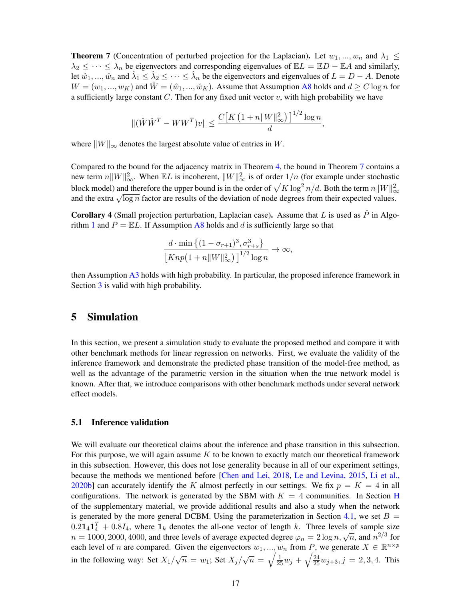<span id="page-16-1"></span>**Theorem 7** (Concentration of perturbed projection for the Laplacian). Let  $w_1, ..., w_n$  and  $\lambda_1 \leq$  $\lambda_2 \leq \cdots \leq \lambda_n$  be eigenvectors and corresponding eigenvalues of  $\mathbb{E}L = \mathbb{E}D - \mathbb{E}A$  and similarly, let  $\hat{w}_1, ..., \hat{w}_n$  and  $\hat{\lambda}_1 \le \hat{\lambda}_2 \le ... \le \hat{\lambda}_n$  be the eigenvectors and eigenvalues of  $L = D - A$ . Denote  $W = (w_1, ..., w_K)$  and  $\hat{W} = (\hat{w}_1, ..., \hat{w}_K)$ . Assume that Assumption [A8](#page-15-1) holds and  $d \ge C \log n$  for a sufficiently large constant  $C$ . Then for any fixed unit vector  $v$ , with high probability we have

$$
\|(\hat{W}\hat{W}^T - WW^T)v\| \le \frac{C\left[K\left(1 + n\|W\|_{\infty}^2\right)\right]^{1/2}\log n}{d},
$$

where  $||W||_{\infty}$  denotes the largest absolute value of entries in W.

Compared to the bound for the adjacency matrix in Theorem [4,](#page-12-4) the bound in Theorem [7](#page-16-1) contains a new term  $n||W||_{\infty}^2$ . When  $\mathbb{E}L$  is incoherent,  $||W||_{\infty}^2$  is of order  $1/n$  (for example under stochastic block model) and therefore the upper bound is in the order of  $\sqrt{K\log^2 n}/d$ . Both the term  $n\|W\|_\infty^2$ block model) and therefore the upper bound is in the order of  $\sqrt{R}$  log  $n/a$ . Boul the term  $n_{\parallel}w_{\parallel\parallel}$  and the extra  $\sqrt{\log n}$  factor are results of the deviation of node degrees from their expected values.

<span id="page-16-2"></span>**Corollary 4** (Small projection perturbation, Laplacian case). Assume that L is used as  $\hat{P}$  in Algo-rithm [1](#page-7-0) and  $P = \mathbb{E}L$ . If Assumption [A8](#page-15-1) holds and d is sufficiently large so that

$$
\frac{d \cdot \min\left\{(1 - \sigma_{r+1})^3, \sigma_{r+s}^3\right\}}{\left[Knp\left(1 + n \|W\|_{\infty}^2\right)\right]^{1/2} \log n} \to \infty,
$$

then Assumption [A3](#page-8-5) holds with high probability. In particular, the proposed inference framework in Section [3](#page-8-0) is valid with high probability.

### <span id="page-16-0"></span>5 Simulation

In this section, we present a simulation study to evaluate the proposed method and compare it with other benchmark methods for linear regression on networks. First, we evaluate the validity of the inference framework and demonstrate the predicted phase transition of the model-free method, as well as the advantage of the parametric version in the situation when the true network model is known. After that, we introduce comparisons with other benchmark methods under several network effect models.

#### 5.1 Inference validation

We will evaluate our theoretical claims about the inference and phase transition in this subsection. For this purpose, we will again assume  $K$  to be known to exactly match our theoretical framework in this subsection. However, this does not lose generality because in all of our experiment settings, because the methods we mentioned before [\[Chen and Lei, 2018,](#page-21-7) [Le and Levina, 2015,](#page-22-10) [Li et al.,](#page-23-10) [2020b\]](#page-23-10) can accurately identify the K almost perfectly in our settings. We fix  $p = K = 4$  in all configurations. The network is generated by the SBM with  $K = 4$  communities. In Section [H](#page-55-0) of the supplementary material, we provide additional results and also a study when the network is generated by the more general DCBM. Using the parameterization in Section [4.1,](#page-12-0) we set  $B =$  $0.21<sub>4</sub>1<sub>4</sub><sup>T</sup> + 0.8I<sub>4</sub>$ , where  $1<sub>k</sub>$  denotes the all-one vector of length k. Three levels of sample size  $n = 1000, 2000, 4000$ , and three levels of average expected degree  $\varphi_n = 2 \log n, \sqrt{n}$ , and  $n^{2/3}$  for each level of *n* are compared. Given the eigenvectors  $w_1, ..., w_n$  from *P*, we generate  $X \in \mathbb{R}^{n \times p}$ in the following way: Set  $X_1/\sqrt{n} = w_1$ ; Set  $X_j/\sqrt{n} = \sqrt{\frac{1}{25}}w_j + \sqrt{\frac{24}{25}}w_{j+3}, j = 2, 3, 4$ . This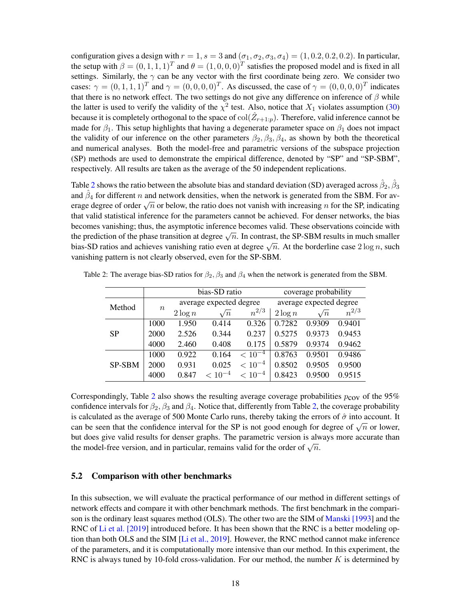configuration gives a design with  $r = 1$ ,  $s = 3$  and  $(\sigma_1, \sigma_2, \sigma_3, \sigma_4) = (1, 0.2, 0.2, 0.2)$ . In particular, the setup with  $\beta = (0, 1, 1, 1)^T$  and  $\theta = (1, 0, 0, 0)^T$  satisfies the proposed model and is fixed in all settings. Similarly, the  $\gamma$  can be any vector with the first coordinate being zero. We consider two cases:  $\gamma = (0, 1, 1, 1)^T$  and  $\gamma = (0, 0, 0, 0)^T$ . As discussed, the case of  $\gamma = (0, 0, 0, 0)^T$  indicates that there is no network effect. The two settings do not give any difference on inference of  $\beta$  while the latter is used to verify the validity of the  $\chi^2$  test. Also, notice that  $X_1$  violates assumption [\(30\)](#page-10-0) because it is completely orthogonal to the space of  $col(\hat{Z}_{r+1:p})$ . Therefore, valid inference cannot be made for  $\beta_1$ . This setup highlights that having a degenerate parameter space on  $\beta_1$  does not impact the validity of our inference on the other parameters  $\beta_2, \beta_3, \beta_4$ , as shown by both the theoretical and numerical analyses. Both the model-free and parametric versions of the subspace projection (SP) methods are used to demonstrate the empirical difference, denoted by "SP" and "SP-SBM", respectively. All results are taken as the average of the 50 independent replications.

Table [2](#page-17-0) shows the ratio between the absolute bias and standard deviation (SD) averaged across  $\hat\beta_2, \hat\beta_3$ and  $\hat{\beta}_4$  for different n and network densities, when the network is generated from the SBM. For average degree of order  $\sqrt{n}$  or below, the ratio does not vanish with increasing *n* for the SP, indicating energy degree of order  $\sqrt{n}$  or below, the ratio does not vanish with increasing *n* for the SP, indicating that valid statistical inference for the parameters cannot be achieved. For denser networks, the bias becomes vanishing; thus, the asymptotic inference becomes valid. These observations coincide with the prediction of the phase transition at degree  $\sqrt{n}$ . In contrast, the SP-SBM results in much smaller bias-SD ratios and achieves vanishing ratio even at degree  $\sqrt{n}$ . At the borderline case  $2 \log n$ , such bias-SD ratios and achieves vanishing ratio even at degree  $\sqrt{n}$ . At the borderline case  $2 \log n$ , such vanishing pattern is not clearly observed, even for the SP-SBM.

|               |        |            | bias-SD ratio           |             | coverage probability    |            |           |  |
|---------------|--------|------------|-------------------------|-------------|-------------------------|------------|-----------|--|
| Method        |        |            | average expected degree |             | average expected degree |            |           |  |
|               | $\, n$ | $2 \log n$ | $\sqrt{n}$              | $n^{2/3}$   | $2 \log n$              | $\sqrt{n}$ | $n^{2/3}$ |  |
|               | 1000   | 1.950      | 0.414                   | 0.326       | 0.7282                  | 0.9309     | 0.9401    |  |
| <b>SP</b>     | 2000   | 2.526      | 0.344                   | 0.237       | 0.5275                  | 0.9373     | 0.9453    |  |
|               | 4000   | 2.460      | 0.408                   | 0.175       | 0.5879                  | 0.9374     | 0.9462    |  |
|               | 1000   | 0.922      | 0.164                   | $< 10^{-4}$ | 0.8763                  | 0.9501     | 0.9486    |  |
| <b>SP-SBM</b> | 2000   | 0.931      | 0.025                   | $< 10^{-4}$ | 0.8502                  | 0.9505     | 0.9500    |  |
|               | 4000   | 0.847      | $< 10^{-4}$             | $< 10^{-4}$ | 0.8423                  | 0.9500     | 0.9515    |  |

<span id="page-17-0"></span>Table 2: The average bias-SD ratios for  $\beta_2$ ,  $\beta_3$  and  $\beta_4$  when the network is generated from the SBM.

Correspondingly, Table [2](#page-17-0) also shows the resulting average coverage probabilities  $p_{\text{cov}}$  of the 95% confidence intervals for  $\beta_2$ ,  $\beta_3$  and  $\beta_4$ . Notice that, differently from Table [2,](#page-17-0) the coverage probability is calculated as the average of 500 Monte Carlo runs, thereby taking the errors of  $\hat{\sigma}$  into account. It can be seen that the confidence interval for the SP is not good enough for degree of  $\sqrt{n}$  or lower, but does give valid results for denser graphs. The parametric version is always more accurate than the model-free version, and in particular, remains valid for the order of  $\sqrt{n}$ .

#### 5.2 Comparison with other benchmarks

In this subsection, we will evaluate the practical performance of our method in different settings of network effects and compare it with other benchmark methods. The first benchmark in the comparison is the ordinary least squares method (OLS). The other two are the SIM of [Manski \[1993\]](#page-23-3) and the RNC of [Li et al. \[2019\]](#page-23-0) introduced before. It has been shown that the RNC is a better modeling option than both OLS and the SIM [\[Li et al., 2019\]](#page-23-0). However, the RNC method cannot make inference of the parameters, and it is computationally more intensive than our method. In this experiment, the RNC is always tuned by 10-fold cross-validation. For our method, the number  $K$  is determined by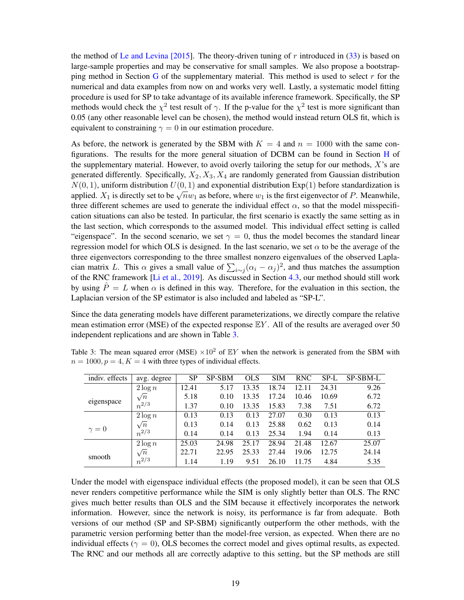the method of [Le and Levina \[2015\]](#page-22-10). The theory-driven tuning of r introduced in  $(33)$  is based on large-sample properties and may be conservative for small samples. We also propose a bootstrap-ping method in Section [G](#page-54-0) of the supplementary material. This method is used to select  $r$  for the numerical and data examples from now on and works very well. Lastly, a systematic model fitting procedure is used for SP to take advantage of its available inference framework. Specifically, the SP methods would check the  $\chi^2$  test result of  $\gamma$ . If the p-value for the  $\chi^2$  test is more significant than 0.05 (any other reasonable level can be chosen), the method would instead return OLS fit, which is equivalent to constraining  $\gamma = 0$  in our estimation procedure.

As before, the network is generated by the SBM with  $K = 4$  and  $n = 1000$  with the same configurations. The results for the more general situation of DCBM can be found in Section [H](#page-55-0) of the supplementary material. However, to avoid overly tailoring the setup for our methods,  $X$ 's are generated differently. Specifically,  $X_2, X_3, X_4$  are randomly generated from Gaussian distribution  $N(0, 1)$ , uniform distribution  $U(0, 1)$  and exponential distribution  $Exp(1)$  before standardization is applied.  $X_1$  is directly set to be  $\sqrt{n}w_1$  as before, where  $w_1$  is the first eigenvector of P. Meanwhile, three different schemes are used to generate the individual effect  $\alpha$ , so that the model misspecification situations can also be tested. In particular, the first scenario is exactly the same setting as in the last section, which corresponds to the assumed model. This individual effect setting is called "eigenspace". In the second scenario, we set  $\gamma = 0$ , thus the model becomes the standard linear regression model for which OLS is designed. In the last scenario, we set  $\alpha$  to be the average of the three eigenvectors corresponding to the three smallest nonzero eigenvalues of the observed Laplacian matrix L. This  $\alpha$  gives a small value of  $\sum_{i \sim j} (\alpha_i - \alpha_j)^2$ , and thus matches the assumption of the RNC framework [\[Li et al., 2019\]](#page-23-0). As discussed in Section [4.3,](#page-15-0) our method should still work by using  $\hat{P} = L$  when  $\alpha$  is defined in this way. Therefore, for the evaluation in this section, the Laplacian version of the SP estimator is also included and labeled as "SP-L".

Since the data generating models have different parameterizations, we directly compare the relative mean estimation error (MSE) of the expected response  $EY$ . All of the results are averaged over 50 independent replications and are shown in Table [3.](#page-18-0)

<span id="page-18-0"></span>

|  |                                                                  |  |  |  |  | Table 3: The mean squared error (MSE) $\times 10^2$ of $EY$ when the network is generated from the SBM with |  |  |
|--|------------------------------------------------------------------|--|--|--|--|-------------------------------------------------------------------------------------------------------------|--|--|
|  | $n = 1000, p = 4, K = 4$ with three types of individual effects. |  |  |  |  |                                                                                                             |  |  |

| indiv. effects | avg. degree | SP    | <b>SP-SBM</b> | <b>OLS</b> | <b>SIM</b> | <b>RNC</b> | SP-L  | <b>SP-SBM-L</b> |
|----------------|-------------|-------|---------------|------------|------------|------------|-------|-----------------|
|                | $2 \log n$  | 12.41 | 5.17          | 13.35      | 18.74      | 12.11      | 24.31 | 9.26            |
|                | $\sqrt{n}$  | 5.18  | 0.10          | 13.35      | 17.24      | 10.46      | 10.69 | 6.72            |
| eigenspace     | $n^{2/3}$   | 1.37  | 0.10          | 13.35      | 15.83      | 7.38       | 7.51  | 6.72            |
|                | $2\log n$   | 0.13  | 0.13          | 0.13       | 27.07      | 0.30       | 0.13  | 0.13            |
|                | $\sqrt{n}$  | 0.13  | 0.14          | 0.13       | 25.88      | 0.62       | 0.13  | 0.14            |
| $\gamma = 0$   | $n^{2/3}$   | 0.14  | 0.14          | 0.13       | 25.34      | 1.94       | 0.14  | 0.13            |
|                | $2 \log n$  | 25.03 | 24.98         | 25.17      | 28.94      | 21.48      | 12.67 | 25.07           |
| smooth         | $\sqrt{n}$  | 22.71 | 22.95         | 25.33      | 27.44      | 19.06      | 12.75 | 24.14           |
|                | $n^{2/3}$   | 1.14  | 1.19          | 9.51       | 26.10      | 11.75      | 4.84  | 5.35            |

Under the model with eigenspace individual effects (the proposed model), it can be seen that OLS never renders competitive performance while the SIM is only slightly better than OLS. The RNC gives much better results than OLS and the SIM because it effectively incorporates the network information. However, since the network is noisy, its performance is far from adequate. Both versions of our method (SP and SP-SBM) significantly outperform the other methods, with the parametric version performing better than the model-free version, as expected. When there are no individual effects ( $\gamma = 0$ ), OLS becomes the correct model and gives optimal results, as expected. The RNC and our methods all are correctly adaptive to this setting, but the SP methods are still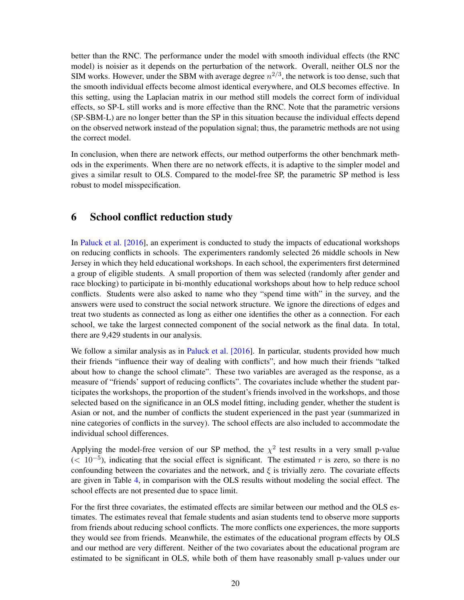better than the RNC. The performance under the model with smooth individual effects (the RNC model) is noisier as it depends on the perturbation of the network. Overall, neither OLS nor the SIM works. However, under the SBM with average degree  $n^{2/3}$ , the network is too dense, such that the smooth individual effects become almost identical everywhere, and OLS becomes effective. In this setting, using the Laplacian matrix in our method still models the correct form of individual effects, so SP-L still works and is more effective than the RNC. Note that the parametric versions (SP-SBM-L) are no longer better than the SP in this situation because the individual effects depend on the observed network instead of the population signal; thus, the parametric methods are not using the correct model.

In conclusion, when there are network effects, our method outperforms the other benchmark methods in the experiments. When there are no network effects, it is adaptive to the simpler model and gives a similar result to OLS. Compared to the model-free SP, the parametric SP method is less robust to model misspecification.

# <span id="page-19-0"></span>6 School conflict reduction study

In [Paluck et al. \[2016\]](#page-24-13), an experiment is conducted to study the impacts of educational workshops on reducing conflicts in schools. The experimenters randomly selected 26 middle schools in New Jersey in which they held educational workshops. In each school, the experimenters first determined a group of eligible students. A small proportion of them was selected (randomly after gender and race blocking) to participate in bi-monthly educational workshops about how to help reduce school conflicts. Students were also asked to name who they "spend time with" in the survey, and the answers were used to construct the social network structure. We ignore the directions of edges and treat two students as connected as long as either one identifies the other as a connection. For each school, we take the largest connected component of the social network as the final data. In total, there are 9,429 students in our analysis.

We follow a similar analysis as in [Paluck et al. \[2016\]](#page-24-13). In particular, students provided how much their friends "influence their way of dealing with conflicts", and how much their friends "talked about how to change the school climate". These two variables are averaged as the response, as a measure of "friends' support of reducing conflicts". The covariates include whether the student participates the workshops, the proportion of the student's friends involved in the workshops, and those selected based on the significance in an OLS model fitting, including gender, whether the student is Asian or not, and the number of conflicts the student experienced in the past year (summarized in nine categories of conflicts in the survey). The school effects are also included to accommodate the individual school differences.

Applying the model-free version of our SP method, the  $\chi^2$  test results in a very small p-value  $($   $10<sup>-5</sup>)$ , indicating that the social effect is significant. The estimated r is zero, so there is no confounding between the covariates and the network, and  $\xi$  is trivially zero. The covariate effects are given in Table [4,](#page-20-1) in comparison with the OLS results without modeling the social effect. The school effects are not presented due to space limit.

For the first three covariates, the estimated effects are similar between our method and the OLS estimates. The estimates reveal that female students and asian students tend to observe more supports from friends about reducing school conflicts. The more conflicts one experiences, the more supports they would see from friends. Meanwhile, the estimates of the educational program effects by OLS and our method are very different. Neither of the two covariates about the educational program are estimated to be significant in OLS, while both of them have reasonably small p-values under our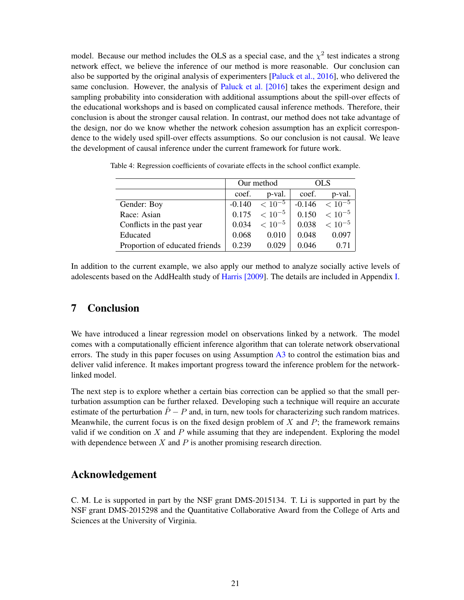model. Because our method includes the OLS as a special case, and the  $\chi^2$  test indicates a strong network effect, we believe the inference of our method is more reasonable. Our conclusion can also be supported by the original analysis of experimenters [\[Paluck et al., 2016\]](#page-24-13), who delivered the same conclusion. However, the analysis of [Paluck et al. \[2016\]](#page-24-13) takes the experiment design and sampling probability into consideration with additional assumptions about the spill-over effects of the educational workshops and is based on complicated causal inference methods. Therefore, their conclusion is about the stronger causal relation. In contrast, our method does not take advantage of the design, nor do we know whether the network cohesion assumption has an explicit correspondence to the widely used spill-over effects assumptions. So our conclusion is not causal. We leave the development of causal inference under the current framework for future work.

|                                |          | Our method  |       | OL S                 |
|--------------------------------|----------|-------------|-------|----------------------|
|                                | coef.    | p-val.      | coef. | p-val.               |
| Gender: Boy                    | $-0.140$ | $< 10^{-5}$ |       | $-0.146 \le 10^{-5}$ |
| Race: Asian                    | 0.175    | $< 10^{-5}$ | 0.150 | $< 10^{-5}$          |
| Conflicts in the past year     | 0.034    | $< 10^{-5}$ | 0.038 | $< 10^{-5}$          |
| Educated                       | 0.068    | 0.010       | 0.048 | 0.097                |
| Proportion of educated friends | 0.239    | 0.029       | 0.046 | 0.71                 |

<span id="page-20-1"></span>Table 4: Regression coefficients of covariate effects in the school conflict example.

In addition to the current example, we also apply our method to analyze socially active levels of adolescents based on the AddHealth study of [Harris \[2009\]](#page-22-17). The details are included in Appendix [I.](#page-57-0)

### <span id="page-20-0"></span>7 Conclusion

We have introduced a linear regression model on observations linked by a network. The model comes with a computationally efficient inference algorithm that can tolerate network observational errors. The study in this paper focuses on using Assumption [A3](#page-8-5) to control the estimation bias and deliver valid inference. It makes important progress toward the inference problem for the networklinked model.

The next step is to explore whether a certain bias correction can be applied so that the small perturbation assumption can be further relaxed. Developing such a technique will require an accurate estimate of the perturbation  $\hat{P} - P$  and, in turn, new tools for characterizing such random matrices. Meanwhile, the current focus is on the fixed design problem of  $X$  and  $P$ ; the framework remains valid if we condition on  $X$  and  $P$  while assuming that they are independent. Exploring the model with dependence between  $X$  and  $P$  is another promising research direction.

### Acknowledgement

C. M. Le is supported in part by the NSF grant DMS-2015134. T. Li is supported in part by the NSF grant DMS-2015298 and the Quantitative Collaborative Award from the College of Arts and Sciences at the University of Virginia.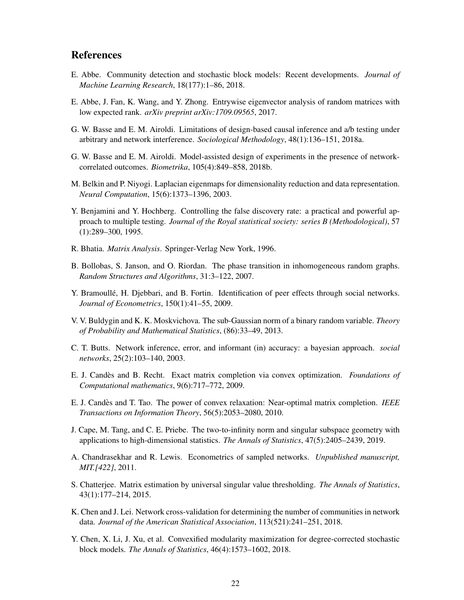## References

- <span id="page-21-13"></span>E. Abbe. Community detection and stochastic block models: Recent developments. *Journal of Machine Learning Research*, 18(177):1–86, 2018.
- <span id="page-21-11"></span>E. Abbe, J. Fan, K. Wang, and Y. Zhong. Entrywise eigenvector analysis of random matrices with low expected rank. *arXiv preprint arXiv:1709.09565*, 2017.
- <span id="page-21-0"></span>G. W. Basse and E. M. Airoldi. Limitations of design-based causal inference and a/b testing under arbitrary and network interference. *Sociological Methodology*, 48(1):136–151, 2018a.
- <span id="page-21-1"></span>G. W. Basse and E. M. Airoldi. Model-assisted design of experiments in the presence of networkcorrelated outcomes. *Biometrika*, 105(4):849–858, 2018b.
- <span id="page-21-5"></span>M. Belkin and P. Niyogi. Laplacian eigenmaps for dimensionality reduction and data representation. *Neural Computation*, 15(6):1373–1396, 2003.
- <span id="page-21-17"></span>Y. Benjamini and Y. Hochberg. Controlling the false discovery rate: a practical and powerful approach to multiple testing. *Journal of the Royal statistical society: series B (Methodological)*, 57 (1):289–300, 1995.
- <span id="page-21-15"></span>R. Bhatia. *Matrix Analysis*. Springer-Verlag New York, 1996.
- <span id="page-21-10"></span>B. Bollobas, S. Janson, and O. Riordan. The phase transition in inhomogeneous random graphs. *Random Structures and Algorithms*, 31:3–122, 2007.
- <span id="page-21-2"></span>Y. Bramoulle, H. Djebbari, and B. Fortin. Identification of peer effects through social networks. ´ *Journal of Econometrics*, 150(1):41–55, 2009.
- <span id="page-21-16"></span>V. V. Buldygin and K. K. Moskvichova. The sub-Gaussian norm of a binary random variable. *Theory of Probability and Mathematical Statistics*, (86):33–49, 2013.
- <span id="page-21-3"></span>C. T. Butts. Network inference, error, and informant (in) accuracy: a bayesian approach. *social networks*, 25(2):103–140, 2003.
- <span id="page-21-8"></span>E. J. Candes and B. Recht. Exact matrix completion via convex optimization. ` *Foundations of Computational mathematics*, 9(6):717–772, 2009.
- <span id="page-21-9"></span>E. J. Candes and T. Tao. The power of convex relaxation: Near-optimal matrix completion. ` *IEEE Transactions on Information Theory*, 56(5):2053–2080, 2010.
- <span id="page-21-12"></span>J. Cape, M. Tang, and C. E. Priebe. The two-to-infinity norm and singular subspace geometry with applications to high-dimensional statistics. *The Annals of Statistics*, 47(5):2405–2439, 2019.
- <span id="page-21-4"></span>A. Chandrasekhar and R. Lewis. Econometrics of sampled networks. *Unpublished manuscript, MIT.[422]*, 2011.
- <span id="page-21-6"></span>S. Chatterjee. Matrix estimation by universal singular value thresholding. *The Annals of Statistics*, 43(1):177–214, 2015.
- <span id="page-21-7"></span>K. Chen and J. Lei. Network cross-validation for determining the number of communities in network data. *Journal of the American Statistical Association*, 113(521):241–251, 2018.
- <span id="page-21-14"></span>Y. Chen, X. Li, J. Xu, et al. Convexified modularity maximization for degree-corrected stochastic block models. *The Annals of Statistics*, 46(4):1573–1602, 2018.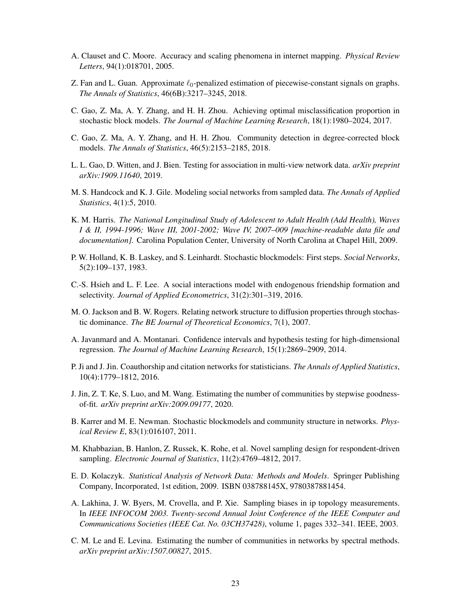- <span id="page-22-5"></span>A. Clauset and C. Moore. Accuracy and scaling phenomena in internet mapping. *Physical Review Letters*, 94(1):018701, 2005.
- <span id="page-22-8"></span>Z. Fan and L. Guan. Approximate  $\ell_0$ -penalized estimation of piecewise-constant signals on graphs. *The Annals of Statistics*, 46(6B):3217–3245, 2018.
- <span id="page-22-15"></span>C. Gao, Z. Ma, A. Y. Zhang, and H. H. Zhou. Achieving optimal misclassification proportion in stochastic block models. *The Journal of Machine Learning Research*, 18(1):1980–2024, 2017.
- <span id="page-22-16"></span>C. Gao, Z. Ma, A. Y. Zhang, and H. H. Zhou. Community detection in degree-corrected block models. *The Annals of Statistics*, 46(5):2153–2185, 2018.
- <span id="page-22-0"></span>L. L. Gao, D. Witten, and J. Bien. Testing for association in multi-view network data. *arXiv preprint arXiv:1909.11640*, 2019.
- <span id="page-22-6"></span>M. S. Handcock and K. J. Gile. Modeling social networks from sampled data. *The Annals of Applied Statistics*, 4(1):5, 2010.
- <span id="page-22-17"></span>K. M. Harris. *The National Longitudinal Study of Adolescent to Adult Health (Add Health), Waves I & II, 1994-1996; Wave III, 2001-2002; Wave IV, 2007–009 [machine-readable data file and documentation].* Carolina Population Center, University of North Carolina at Chapel Hill, 2009.
- <span id="page-22-13"></span>P. W. Holland, K. B. Laskey, and S. Leinhardt. Stochastic blockmodels: First steps. *Social Networks*, 5(2):109–137, 1983.
- <span id="page-22-3"></span>C.-S. Hsieh and L. F. Lee. A social interactions model with endogenous friendship formation and selectivity. *Journal of Applied Econometrics*, 31(2):301–319, 2016.
- <span id="page-22-2"></span>M. O. Jackson and B. W. Rogers. Relating network structure to diffusion properties through stochastic dominance. *The BE Journal of Theoretical Economics*, 7(1), 2007.
- <span id="page-22-12"></span>A. Javanmard and A. Montanari. Confidence intervals and hypothesis testing for high-dimensional regression. *The Journal of Machine Learning Research*, 15(1):2869–2909, 2014.
- <span id="page-22-1"></span>P. Ji and J. Jin. Coauthorship and citation networks for statisticians. *The Annals of Applied Statistics*, 10(4):1779–1812, 2016.
- <span id="page-22-11"></span>J. Jin, Z. T. Ke, S. Luo, and M. Wang. Estimating the number of communities by stepwise goodnessof-fit. *arXiv preprint arXiv:2009.09177*, 2020.
- <span id="page-22-14"></span>B. Karrer and M. E. Newman. Stochastic blockmodels and community structure in networks. *Physical Review E*, 83(1):016107, 2011.
- <span id="page-22-7"></span>M. Khabbazian, B. Hanlon, Z. Russek, K. Rohe, et al. Novel sampling design for respondent-driven sampling. *Electronic Journal of Statistics*, 11(2):4769–4812, 2017.
- <span id="page-22-9"></span>E. D. Kolaczyk. *Statistical Analysis of Network Data: Methods and Models*. Springer Publishing Company, Incorporated, 1st edition, 2009. ISBN 038788145X, 9780387881454.
- <span id="page-22-4"></span>A. Lakhina, J. W. Byers, M. Crovella, and P. Xie. Sampling biases in ip topology measurements. In *IEEE INFOCOM 2003. Twenty-second Annual Joint Conference of the IEEE Computer and Communications Societies (IEEE Cat. No. 03CH37428)*, volume 1, pages 332–341. IEEE, 2003.
- <span id="page-22-10"></span>C. M. Le and E. Levina. Estimating the number of communities in networks by spectral methods. *arXiv preprint arXiv:1507.00827*, 2015.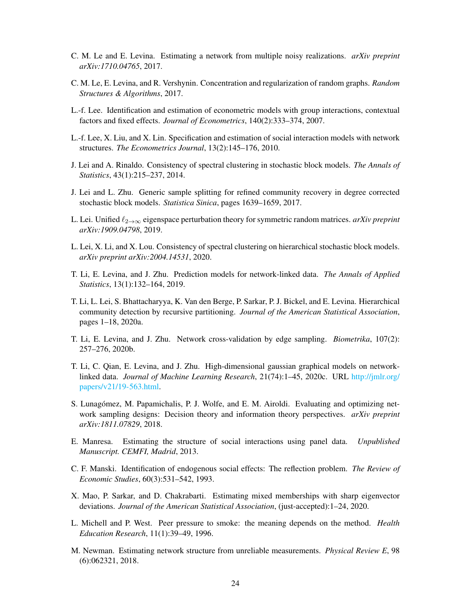- <span id="page-23-7"></span>C. M. Le and E. Levina. Estimating a network from multiple noisy realizations. *arXiv preprint arXiv:1710.04765*, 2017.
- <span id="page-23-14"></span>C. M. Le, E. Levina, and R. Vershynin. Concentration and regularization of random graphs. *Random Structures & Algorithms*, 2017.
- <span id="page-23-4"></span>L.-f. Lee. Identification and estimation of econometric models with group interactions, contextual factors and fixed effects. *Journal of Econometrics*, 140(2):333–374, 2007.
- <span id="page-23-6"></span>L.-f. Lee, X. Liu, and X. Lin. Specification and estimation of social interaction models with network structures. *The Econometrics Journal*, 13(2):145–176, 2010.
- <span id="page-23-13"></span>J. Lei and A. Rinaldo. Consistency of spectral clustering in stochastic block models. *The Annals of Statistics*, 43(1):215–237, 2014.
- <span id="page-23-15"></span>J. Lei and L. Zhu. Generic sample splitting for refined community recovery in degree corrected stochastic block models. *Statistica Sinica*, pages 1639–1659, 2017.
- <span id="page-23-12"></span>L. Lei. Unified `2→∞ eigenspace perturbation theory for symmetric random matrices. *arXiv preprint arXiv:1909.04798*, 2019.
- <span id="page-23-17"></span>L. Lei, X. Li, and X. Lou. Consistency of spectral clustering on hierarchical stochastic block models. *arXiv preprint arXiv:2004.14531*, 2020.
- <span id="page-23-0"></span>T. Li, E. Levina, and J. Zhu. Prediction models for network-linked data. *The Annals of Applied Statistics*, 13(1):132–164, 2019.
- <span id="page-23-16"></span>T. Li, L. Lei, S. Bhattacharyya, K. Van den Berge, P. Sarkar, P. J. Bickel, and E. Levina. Hierarchical community detection by recursive partitioning. *Journal of the American Statistical Association*, pages 1–18, 2020a.
- <span id="page-23-10"></span>T. Li, E. Levina, and J. Zhu. Network cross-validation by edge sampling. *Biometrika*, 107(2): 257–276, 2020b.
- <span id="page-23-1"></span>T. Li, C. Qian, E. Levina, and J. Zhu. High-dimensional gaussian graphical models on networklinked data. *Journal of Machine Learning Research*, 21(74):1–45, 2020c. URL [http://jmlr.org/](http://jmlr.org/papers/v21/19-563.html) [papers/v21/19-563.html.](http://jmlr.org/papers/v21/19-563.html)
- <span id="page-23-9"></span>S. Lunagómez, M. Papamichalis, P. J. Wolfe, and E. M. Airoldi. Evaluating and optimizing network sampling designs: Decision theory and information theory perspectives. *arXiv preprint arXiv:1811.07829*, 2018.
- <span id="page-23-5"></span>E. Manresa. Estimating the structure of social interactions using panel data. *Unpublished Manuscript. CEMFI, Madrid*, 2013.
- <span id="page-23-3"></span>C. F. Manski. Identification of endogenous social effects: The reflection problem. *The Review of Economic Studies*, 60(3):531–542, 1993.
- <span id="page-23-11"></span>X. Mao, P. Sarkar, and D. Chakrabarti. Estimating mixed memberships with sharp eigenvector deviations. *Journal of the American Statistical Association*, (just-accepted):1–24, 2020.
- <span id="page-23-2"></span>L. Michell and P. West. Peer pressure to smoke: the meaning depends on the method. *Health Education Research*, 11(1):39–49, 1996.
- <span id="page-23-8"></span>M. Newman. Estimating network structure from unreliable measurements. *Physical Review E*, 98 (6):062321, 2018.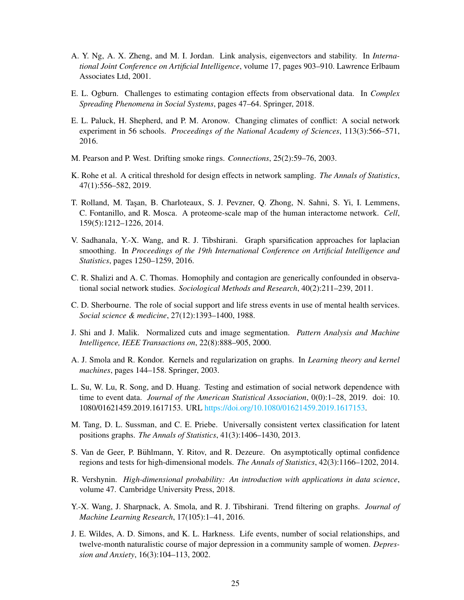- <span id="page-24-9"></span>A. Y. Ng, A. X. Zheng, and M. I. Jordan. Link analysis, eigenvectors and stability. In *International Joint Conference on Artificial Intelligence*, volume 17, pages 903–910. Lawrence Erlbaum Associates Ltd, 2001.
- <span id="page-24-6"></span>E. L. Ogburn. Challenges to estimating contagion effects from observational data. In *Complex Spreading Phenomena in Social Systems*, pages 47–64. Springer, 2018.
- <span id="page-24-13"></span>E. L. Paluck, H. Shepherd, and P. M. Aronow. Changing climates of conflict: A social network experiment in 56 schools. *Proceedings of the National Academy of Sciences*, 113(3):566–571, 2016.
- <span id="page-24-0"></span>M. Pearson and P. West. Drifting smoke rings. *Connections*, 25(2):59–76, 2003.
- <span id="page-24-4"></span>K. Rohe et al. A critical threshold for design effects in network sampling. *The Annals of Statistics*, 47(1):556–582, 2019.
- <span id="page-24-3"></span>T. Rolland, M. Taşan, B. Charloteaux, S. J. Pevzner, Q. Zhong, N. Sahni, S. Yi, I. Lemmens, C. Fontanillo, and R. Mosca. A proteome-scale map of the human interactome network. *Cell*, 159(5):1212–1226, 2014.
- <span id="page-24-7"></span>V. Sadhanala, Y.-X. Wang, and R. J. Tibshirani. Graph sparsification approaches for laplacian smoothing. In *Proceedings of the 19th International Conference on Artificial Intelligence and Statistics*, pages 1250–1259, 2016.
- <span id="page-24-2"></span>C. R. Shalizi and A. C. Thomas. Homophily and contagion are generically confounded in observational social network studies. *Sociological Methods and Research*, 40(2):211–239, 2011.
- <span id="page-24-15"></span>C. D. Sherbourne. The role of social support and life stress events in use of mental health services. *Social science & medicine*, 27(12):1393–1400, 1988.
- <span id="page-24-8"></span>J. Shi and J. Malik. Normalized cuts and image segmentation. *Pattern Analysis and Machine Intelligence, IEEE Transactions on*, 22(8):888–905, 2000.
- <span id="page-24-12"></span>A. J. Smola and R. Kondor. Kernels and regularization on graphs. In *Learning theory and kernel machines*, pages 144–158. Springer, 2003.
- <span id="page-24-1"></span>L. Su, W. Lu, R. Song, and D. Huang. Testing and estimation of social network dependence with time to event data. *Journal of the American Statistical Association*, 0(0):1–28, 2019. doi: 10. 1080/01621459.2019.1617153. URL [https://doi.org/10.1080/01621459.2019.1617153.](https://doi.org/10.1080/01621459.2019.1617153)
- <span id="page-24-10"></span>M. Tang, D. L. Sussman, and C. E. Priebe. Universally consistent vertex classification for latent positions graphs. *The Annals of Statistics*, 41(3):1406–1430, 2013.
- <span id="page-24-11"></span>S. Van de Geer, P. Bühlmann, Y. Ritov, and R. Dezeure. On asymptotically optimal confidence regions and tests for high-dimensional models. *The Annals of Statistics*, 42(3):1166–1202, 2014.
- <span id="page-24-14"></span>R. Vershynin. *High-dimensional probability: An introduction with applications in data science*, volume 47. Cambridge University Press, 2018.
- <span id="page-24-5"></span>Y.-X. Wang, J. Sharpnack, A. Smola, and R. J. Tibshirani. Trend filtering on graphs. *Journal of Machine Learning Research*, 17(105):1–41, 2016.
- <span id="page-24-16"></span>J. E. Wildes, A. D. Simons, and K. L. Harkness. Life events, number of social relationships, and twelve-month naturalistic course of major depression in a community sample of women. *Depression and Anxiety*, 16(3):104–113, 2002.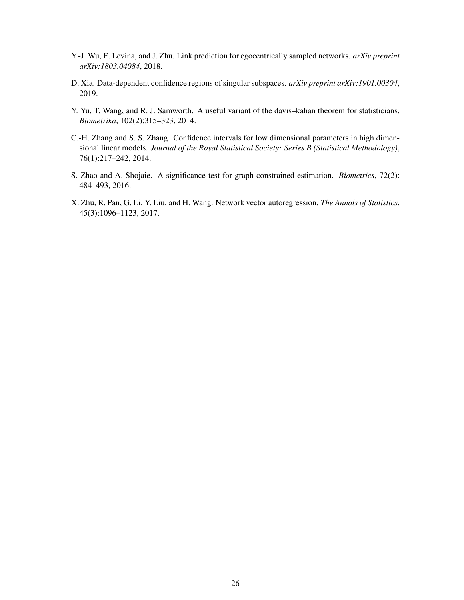- <span id="page-25-1"></span>Y.-J. Wu, E. Levina, and J. Zhu. Link prediction for egocentrically sampled networks. *arXiv preprint arXiv:1803.04084*, 2018.
- <span id="page-25-4"></span>D. Xia. Data-dependent confidence regions of singular subspaces. *arXiv preprint arXiv:1901.00304*, 2019.
- <span id="page-25-5"></span>Y. Yu, T. Wang, and R. J. Samworth. A useful variant of the davis–kahan theorem for statisticians. *Biometrika*, 102(2):315–323, 2014.
- <span id="page-25-3"></span>C.-H. Zhang and S. S. Zhang. Confidence intervals for low dimensional parameters in high dimensional linear models. *Journal of the Royal Statistical Society: Series B (Statistical Methodology)*, 76(1):217–242, 2014.
- <span id="page-25-2"></span>S. Zhao and A. Shojaie. A significance test for graph-constrained estimation. *Biometrics*, 72(2): 484–493, 2016.
- <span id="page-25-0"></span>X. Zhu, R. Pan, G. Li, Y. Liu, and H. Wang. Network vector autoregression. *The Annals of Statistics*, 45(3):1096–1123, 2017.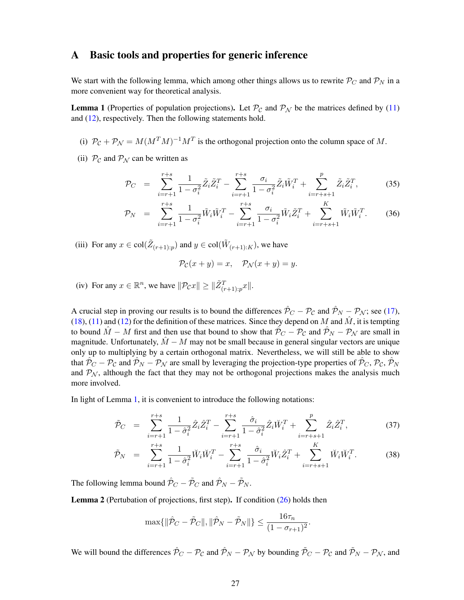### A Basic tools and properties for generic inference

We start with the following lemma, which among other things allows us to rewrite  $P_C$  and  $P_N$  in a more convenient way for theoretical analysis.

<span id="page-26-0"></span>**Lemma 1** (Properties of population projections). Let  $\mathcal{P}_{\mathcal{C}}$  and  $\mathcal{P}_{\mathcal{N}}$  be the matrices defined by [\(11\)](#page-6-1) and [\(12\)](#page-6-1), respectively. Then the following statements hold.

- (i)  $P_C + P_N = M(M^T M)^{-1} M^T$  is the orthogonal projection onto the column space of M.
- (ii)  $P_c$  and  $P_N$  can be written as

<span id="page-26-2"></span>
$$
\mathcal{P}_C = \sum_{i=r+1}^{r+s} \frac{1}{1 - \sigma_i^2} \tilde{Z}_i \tilde{Z}_i^T - \sum_{i=r+1}^{r+s} \frac{\sigma_i}{1 - \sigma_i^2} \tilde{Z}_i \tilde{W}_i^T + \sum_{i=r+s+1}^{p} \tilde{Z}_i \tilde{Z}_i^T, \tag{35}
$$

$$
\mathcal{P}_N = \sum_{i=r+1}^{r+s} \frac{1}{1-\sigma_i^2} \tilde{W}_i \tilde{W}_i^T - \sum_{i=r+1}^{r+s} \frac{\sigma_i}{1-\sigma_i^2} \tilde{W}_i \tilde{Z}_i^T + \sum_{i=r+s+1}^K \tilde{W}_i \tilde{W}_i^T.
$$
 (36)

(iii) For any  $x \in \text{col}(\tilde{Z}_{(r+1):p})$  and  $y \in \text{col}(\tilde{W}_{(r+1):K})$ , we have

$$
\mathcal{P}_{\mathcal{C}}(x+y) = x, \quad \mathcal{P}_{\mathcal{N}}(x+y) = y.
$$

(iv) For any  $x \in \mathbb{R}^n$ , we have  $\|\mathcal{P}_{\mathcal{C}}x\| \ge \|\tilde{Z}_{(r+1):p}^T x\|$ .

A crucial step in proving our results is to bound the differences  $\hat{\mathcal{P}}_C - \mathcal{P}_C$  and  $\hat{\mathcal{P}}_N - \mathcal{P}_N$ ; see [\(17\)](#page-7-3), [\(18\)](#page-7-3), [\(11\)](#page-6-1) and [\(12\)](#page-6-1) for the definition of these matrices. Since they depend on M and  $\hat{M}$ , it is tempting to bound  $M - M$  first and then use that bound to show that  $P_C - P_C$  and  $P_N - P_N$  are small in magnitude. Unfortunately,  $\hat{M} - M$  may not be small because in general singular vectors are unique only up to multiplying by a certain orthogonal matrix. Nevertheless, we will still be able to show that  $\hat{\mathcal{P}}_C - \mathcal{P}_C$  and  $\hat{\mathcal{P}}_N - \mathcal{P}_N$  are small by leveraging the projection-type properties of  $\hat{\mathcal{P}}_C, \mathcal{P}_C, \hat{\mathcal{P}}_N$ and  $P_N$ , although the fact that they may not be orthogonal projections makes the analysis much more involved.

In light of Lemma [1,](#page-26-0) it is convenient to introduce the following notations:

<span id="page-26-3"></span>
$$
\tilde{\mathcal{P}}_C = \sum_{i=r+1}^{r+s} \frac{1}{1-\hat{\sigma}_i^2} \hat{Z}_i \hat{Z}_i^T - \sum_{i=r+1}^{r+s} \frac{\hat{\sigma}_i}{1-\hat{\sigma}_i^2} \hat{Z}_i \breve{W}_i^T + \sum_{i=r+s+1}^{p} \hat{Z}_i \hat{Z}_i^T, \tag{37}
$$

$$
\tilde{\mathcal{P}}_N = \sum_{i=r+1}^{r+s} \frac{1}{1-\hat{\sigma}_i^2} \breve{W}_i \breve{W}_i^T - \sum_{i=r+1}^{r+s} \frac{\hat{\sigma}_i}{1-\hat{\sigma}_i^2} \breve{W}_i \hat{Z}_i^T + \sum_{i=r+s+1}^K \breve{W}_i \breve{W}_i^T.
$$
 (38)

The following lemma bound  $\hat{\mathcal{P}}_C - \tilde{\mathcal{P}}_C$  and  $\hat{\mathcal{P}}_N - \tilde{\mathcal{P}}_N$ .

<span id="page-26-1"></span>**Lemma 2** (Pertubation of projections, first step). If condition  $(26)$  holds then

$$
\max\{\|\hat{\mathcal{P}}_C - \tilde{\mathcal{P}}_C\|, \|\hat{\mathcal{P}}_N - \tilde{\mathcal{P}}_N\|\} \le \frac{16\tau_n}{(1 - \sigma_{r+1})^2}.
$$

We will bound the differences  $\hat{\mathcal{P}}_C - \mathcal{P}_C$  and  $\hat{\mathcal{P}}_N - \mathcal{P}_N$  by bounding  $\tilde{\mathcal{P}}_C - \mathcal{P}_C$  and  $\tilde{\mathcal{P}}_N - \mathcal{P}_N$ , and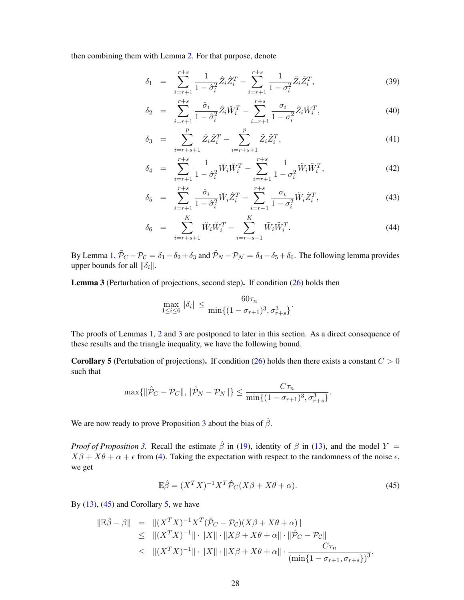then combining them with Lemma [2.](#page-26-1) For that purpose, denote

$$
\delta_1 = \sum_{i=r+1}^{r+s} \frac{1}{1-\hat{\sigma}_i^2} \hat{Z}_i \hat{Z}_i^T - \sum_{i=r+1}^{r+s} \frac{1}{1-\sigma_i^2} \tilde{Z}_i \tilde{Z}_i^T,
$$
\n(39)

$$
\delta_2 = \sum_{i=r+1}^{r+s} \frac{\hat{\sigma}_i}{1 - \hat{\sigma}_i^2} \hat{Z}_i \breve{W}_i^T - \sum_{i=r+1}^{r+s} \frac{\sigma_i}{1 - \sigma_i^2} \tilde{Z}_i \tilde{W}_i^T, \tag{40}
$$

$$
\delta_3 = \sum_{i=r+s+1}^p \hat{Z}_i \hat{Z}_i^T - \sum_{i=r+s+1}^p \tilde{Z}_i \tilde{Z}_i^T,
$$
\n(41)

$$
\delta_4 = \sum_{i=r+1}^{r+s} \frac{1}{1-\hat{\sigma}_i^2} \breve{W}_i \breve{W}_i^T - \sum_{i=r+1}^{r+s} \frac{1}{1-\sigma_i^2} \tilde{W}_i \tilde{W}_i^T, \tag{42}
$$

$$
\delta_5 = \sum_{i=r+1}^{r+s} \frac{\hat{\sigma}_i}{1 - \hat{\sigma}_i^2} \breve{W}_i \hat{Z}_i^T - \sum_{i=r+1}^{r+s} \frac{\sigma_i}{1 - \sigma_i^2} \tilde{W}_i \tilde{Z}_i^T,
$$
\n(43)

$$
\delta_6 = \sum_{i=r+s+1}^{K} \breve{W}_i \breve{W}_i^T - \sum_{i=r+s+1}^{K} \tilde{W}_i \tilde{W}_i^T.
$$
\n(44)

By Lemma [1,](#page-26-0)  $\tilde{\mathcal{P}}_C - \mathcal{P}_C = \delta_1 - \delta_2 + \delta_3$  and  $\tilde{\mathcal{P}}_N - \mathcal{P}_N = \delta_4 - \delta_5 + \delta_6$ . The following lemma provides upper bounds for all  $\|\delta_i\|$ .

<span id="page-27-0"></span>Lemma 3 (Perturbation of projections, second step). If condition [\(26\)](#page-9-1) holds then

$$
\max_{1 \le i \le 6} \|\delta_i\| \le \frac{60\tau_n}{\min\{(1 - \sigma_{r+1})^3, \sigma_{r+s}^3\}}.
$$

The proofs of Lemmas [1,](#page-26-0) [2](#page-26-1) and [3](#page-27-0) are postponed to later in this section. As a direct consequence of these results and the triangle inequality, we have the following bound.

<span id="page-27-2"></span>**Corollary 5** (Pertubation of projections). If condition [\(26\)](#page-9-1) holds then there exists a constant  $C > 0$ such that

$$
\max\{\|\hat{\mathcal{P}}_C-\mathcal{P}_C\|,\|\hat{\mathcal{P}}_N-\mathcal{P}_N\|\}\leq \frac{C\tau_n}{\min\{(1-\sigma_{r+1})^3,\sigma_{r+s}^3\}}.
$$

We are now ready to prove Proposition [3](#page-9-2) about the bias of  $\hat{\beta}$ .

*Proof of Proposition* [3.](#page-9-2) Recall the estimate  $\hat{\beta}$  in [\(19\)](#page-7-2), identity of  $\beta$  in [\(13\)](#page-6-3), and the model Y =  $X\beta + X\theta + \alpha + \epsilon$  from [\(4\)](#page-4-5). Taking the expectation with respect to the randomness of the noise  $\epsilon$ , we get

<span id="page-27-1"></span>
$$
\mathbb{E}\hat{\beta} = (X^T X)^{-1} X^T \hat{\mathcal{P}}_C (X\beta + X\theta + \alpha). \tag{45}
$$

By  $(13)$ ,  $(45)$  and Corollary [5,](#page-27-2) we have

$$
\|\mathbb{E}\hat{\beta} - \beta\| = \| (X^T X)^{-1} X^T (\hat{\mathcal{P}}_C - \mathcal{P}_C) (X\beta + X\theta + \alpha) \| \n\le \| (X^T X)^{-1} \| \cdot \|X\| \cdot \|X\beta + X\theta + \alpha \| \cdot \| \hat{\mathcal{P}}_C - \mathcal{P}_C \| \n\le \| (X^T X)^{-1} \| \cdot \|X\| \cdot \|X\beta + X\theta + \alpha \| \cdot \frac{C\tau_n}{(\min\{1 - \sigma_{r+1}, \sigma_{r+s}\})^3}.
$$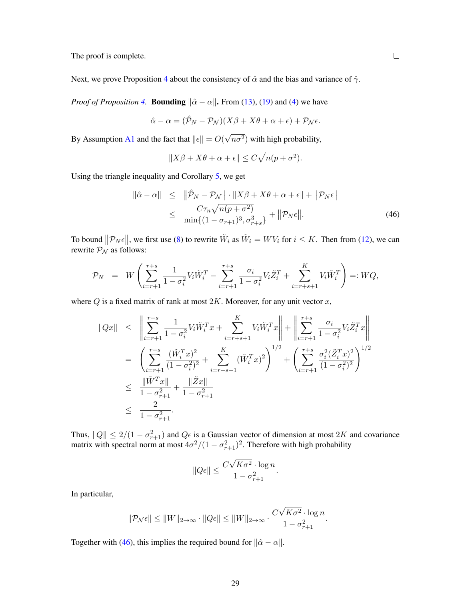The proof is complete.

Next, we prove Proposition [4](#page-10-1) about the consistency of  $\hat{\alpha}$  and the bias and variance of  $\hat{\gamma}$ .

*Proof of Proposition* [4.](#page-10-1) **Bounding**  $\|\hat{\alpha} - \alpha\|$ . From [\(13\)](#page-6-3), [\(19\)](#page-7-2) and [\(4\)](#page-4-5) we have

$$
\hat{\alpha} - \alpha = (\hat{\mathcal{P}}_N - \mathcal{P}_N)(X\beta + X\theta + \alpha + \epsilon) + \mathcal{P}_N\epsilon.
$$

By Assumption [A1](#page-8-4) and the fact that  $||\epsilon|| = O(k)$ √  $(n\sigma^2)$  with high probability,

$$
||X\beta + X\theta + \alpha + \epsilon|| \le C\sqrt{n(p + \sigma^2)}.
$$

Using the triangle inequality and Corollary [5,](#page-27-2) we get

<span id="page-28-0"></span>
$$
\|\hat{\alpha} - \alpha\| \leq \|\hat{\mathcal{P}}_N - \mathcal{P}_N\| \cdot \|X\beta + X\theta + \alpha + \epsilon\| + \|\mathcal{P}_N\epsilon\|
$$
  

$$
\leq \frac{C\tau_n\sqrt{n(p + \sigma^2)}}{\min\{(1 - \sigma_{r+1})^3, \sigma_{r+s}^3\}} + \|\mathcal{P}_N\epsilon\|.
$$
 (46)

To bound  $||\mathcal{P}_N \epsilon||$ , we first use [\(8\)](#page-6-4) to rewrite  $\tilde{W}_i$  as  $\tilde{W}_i = W V_i$  for  $i \leq K$ . Then from [\(12\)](#page-6-1), we can rewrite  $P_N$  as follows:

$$
\mathcal{P}_N = W \left( \sum_{i=r+1}^{r+s} \frac{1}{1 - \sigma_i^2} V_i \tilde{W}_i^T - \sum_{i=r+1}^{r+s} \frac{\sigma_i}{1 - \sigma_i^2} V_i \tilde{Z}_i^T + \sum_{i=r+s+1}^K V_i \tilde{W}_i^T \right) =: WQ,
$$

where  $Q$  is a fixed matrix of rank at most  $2K$ . Moreover, for any unit vector  $x$ ,

$$
\|Qx\| \leq \left\| \sum_{i=r+1}^{r+s} \frac{1}{1 - \sigma_i^2} V_i \tilde{W}_i^T x + \sum_{i=r+s+1}^K V_i \tilde{W}_i^T x \right\| + \left\| \sum_{i=r+1}^{r+s} \frac{\sigma_i}{1 - \sigma_i^2} V_i \tilde{Z}_i^T x \right\|
$$
  
\n
$$
= \left( \sum_{i=r+1}^{r+s} \frac{(\tilde{W}_i^T x)^2}{(1 - \sigma_i^2)^2} + \sum_{i=r+s+1}^K (\tilde{W}_i^T x)^2 \right)^{1/2} + \left( \sum_{i=r+1}^{r+s} \frac{\sigma_i^2 (\tilde{Z}_i^T x)^2}{(1 - \sigma_i^2)^2} \right)^{1/2}
$$
  
\n
$$
\leq \frac{\|\tilde{W}^T x\|}{1 - \sigma_{r+1}^2} + \frac{\|\tilde{Z}x\|}{1 - \sigma_{r+1}^2}
$$
  
\n
$$
\leq \frac{2}{1 - \sigma_{r+1}^2}.
$$

Thus,  $||Q|| \le 2/(1 - \sigma_{r+1}^2)$  and  $Q\epsilon$  is a Gaussian vector of dimension at most  $2K$  and covariance matrix with spectral norm at most  $4\sigma^2/(1-\sigma_{r+1}^2)^2$ . Therefore with high probability

$$
||Q\epsilon|| \le \frac{C\sqrt{K\sigma^2} \cdot \log n}{1 - \sigma_{r+1}^2}.
$$

In particular,

$$
||\mathcal{P}_{\mathcal{N}}\epsilon|| \le ||W||_{2\to\infty} \cdot ||Q\epsilon|| \le ||W||_{2\to\infty} \cdot \frac{C\sqrt{K\sigma^2} \cdot \log n}{1 - \sigma_{r+1}^2}.
$$

Together with [\(46\)](#page-28-0), this implies the required bound for  $\|\hat{\alpha} - \alpha\|$ .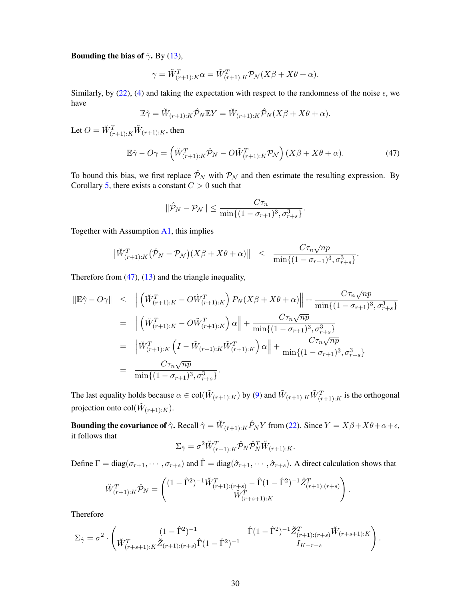#### Bounding the bias of  $\hat{\gamma}$ . By [\(13\)](#page-6-3),

$$
\gamma = \tilde{W}_{(r+1):K}^T \alpha = \tilde{W}_{(r+1):K}^T \mathcal{P}_{\mathcal{N}}(X\beta + X\theta + \alpha).
$$

Similarly, by [\(22\)](#page-8-7), [\(4\)](#page-4-5) and taking the expectation with respect to the randomness of the noise  $\epsilon$ , we have

$$
\mathbb{E}\hat{\gamma} = \breve{W}_{(r+1):K}\hat{\mathcal{P}}_N \mathbb{E}Y = \breve{W}_{(r+1):K}\hat{\mathcal{P}}_N(X\beta + X\theta + \alpha).
$$

Let  $O = \breve W_{(r+1):K}^T \tilde W_{(r+1):K}$ , then

<span id="page-29-0"></span>
$$
\mathbb{E}\hat{\gamma} - O\gamma = \left(\breve{W}_{(r+1):K}^T \hat{\mathcal{P}}_N - O\tilde{W}_{(r+1):K}^T \mathcal{P}_N\right)(X\beta + X\theta + \alpha). \tag{47}
$$

To bound this bias, we first replace  $\hat{\mathcal{P}}_N$  with  $\mathcal{P}_N$  and then estimate the resulting expression. By Corollary [5,](#page-27-2) there exists a constant  $C > 0$  such that

$$
\|\hat{\mathcal{P}}_N - \mathcal{P}_N\| \le \frac{C\tau_n}{\min\{(1 - \sigma_{r+1})^3, \sigma_{r+s}^3\}}.
$$

Together with Assumption [A1,](#page-8-4) this implies

$$
\|\check{W}_{(r+1):K}^T(\hat{\mathcal{P}}_N-\mathcal{P}_N)(X\beta+X\theta+\alpha)\| \leq \frac{C\tau_n\sqrt{np}}{\min\{(1-\sigma_{r+1})^3,\sigma_{r+s}^3\}}.
$$

Therefore from  $(47)$ ,  $(13)$  and the triangle inequality,

$$
\begin{split}\n\|\mathbb{E}\hat{\gamma} - O\gamma\| &\leq \left\| \left( \breve{W}_{(r+1):K}^T - O\tilde{W}_{(r+1):K}^T \right) P_N(X\beta + X\theta + \alpha) \right\| + \frac{C\tau_n\sqrt{np}}{\min\{(1 - \sigma_{r+1})^3, \sigma_{r+s}^3\}} \\
&= \left\| \left( \breve{W}_{(r+1):K}^T - O\tilde{W}_{(r+1):K}^T \right) \alpha \right\| + \frac{C\tau_n\sqrt{np}}{\min\{(1 - \sigma_{r+1})^3, \sigma_{r+s}^3\}} \\
&= \left\| \breve{W}_{(r+1):K}^T \left( I - \tilde{W}_{(r+1):K} \tilde{W}_{(r+1):K}^T \right) \alpha \right\| + \frac{C\tau_n\sqrt{np}}{\min\{(1 - \sigma_{r+1})^3, \sigma_{r+s}^3\}} \\
&= \frac{C\tau_n\sqrt{np}}{\min\{(1 - \sigma_{r+1})^3, \sigma_{r+s}^3\}}.\n\end{split}
$$

The last equality holds because  $\alpha \in \text{col}(\tilde{W}_{(r+1):K})$  by [\(9\)](#page-6-5) and  $\tilde{W}_{(r+1):K}\tilde{W}_{(r+1):K}^T$  is the orthogonal projection onto col $(\tilde{W}_{(r+1):K})$ .

**Bounding the covariance of**  $\hat{\gamma}$ . Recall  $\hat{\gamma} = \breve{W}_{(\hat{r}+1):K} \hat{P}_N Y$  from [\(22\)](#page-8-7). Since  $Y = X\beta + X\theta + \alpha + \epsilon$ , it follows that

$$
\Sigma_{\hat{\gamma}} = \sigma^2 \breve{W}^T_{(r+1):K} \hat{\mathcal{P}}_N \hat{\mathcal{P}}_N^T \breve{W}_{(r+1):K}.
$$

Define  $\Gamma = \text{diag}(\sigma_{r+1}, \dots, \sigma_{r+s})$  and  $\hat{\Gamma} = \text{diag}(\hat{\sigma}_{r+1}, \dots, \hat{\sigma}_{r+s})$ . A direct calculation shows that

.

$$
\check{W}_{(r+1):K}^T \hat{\mathcal{P}}_N = \begin{pmatrix} (1 - \hat{\Gamma}^2)^{-1} \check{W}_{(r+1):(r+s)}^T - \hat{\Gamma}(1 - \hat{\Gamma}^2)^{-1} \hat{Z}_{(r+1):(r+s)}^T \\ \check{W}_{(r+s+1):K}^T \end{pmatrix}
$$

Therefore

$$
\Sigma_{\hat{\gamma}} = \sigma^2 \cdot \begin{pmatrix} (1 - \hat{\Gamma}^2)^{-1} & \hat{\Gamma}(1 - \hat{\Gamma}^2)^{-1} \check{Z}_{(r+1):(r+s)}^T \check{W}_{(r+s+1):K} \\ \check{W}_{(r+s+1):K}^T \check{Z}_{(r+1):(r+s)} \hat{\Gamma}(1 - \hat{\Gamma}^2)^{-1} & I_{K-r-s} \end{pmatrix}.
$$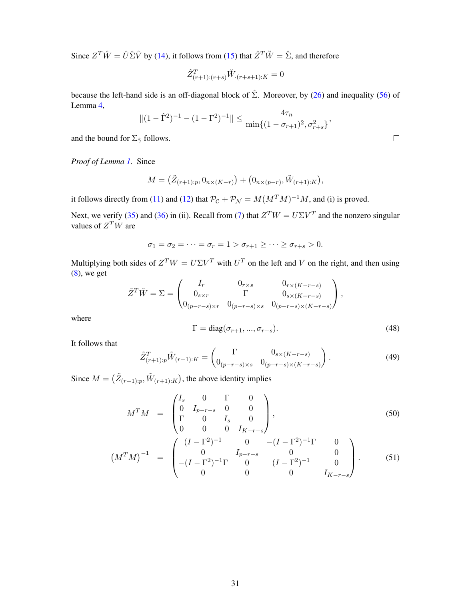Since  $Z^T \hat{W} = \hat{U} \hat{\Sigma} \hat{V}$  by [\(14\)](#page-7-4), it follows from [\(15\)](#page-7-5) that  $\hat{Z}^T \check{W} = \hat{\Sigma}$ , and therefore

$$
\hat{Z}_{(r+1):(r+s)}^T \check{W}_{(r+s+1):K} = 0
$$

because the left-hand side is an off-diagonal block of  $\hat{\Sigma}$ . Moreover, by [\(26\)](#page-9-1) and inequality [\(56\)](#page-33-0) of Lemma [4,](#page-33-1)

$$
||(1-\hat{\Gamma}^2)^{-1} - (1-\Gamma^2)^{-1}|| \le \frac{4\tau_n}{\min\{(1-\sigma_{r+1})^2, \sigma_{r+s}^2\}},
$$

and the bound for  $\Sigma_{\hat{\gamma}}$  follows.

*Proof of Lemma [1.](#page-26-0)* Since

$$
M = (\tilde{Z}_{(r+1):p}, 0_{n \times (K-r)}) + (0_{n \times (p-r)}, \tilde{W}_{(r+1):K}),
$$

it follows directly from [\(11\)](#page-6-1) and [\(12\)](#page-6-1) that  $P_{\mathcal{C}} + P_{\mathcal{N}} = M(M^T M)^{-1} M$ , and (i) is proved.

Next, we verify [\(35\)](#page-26-2) and [\(36\)](#page-26-2) in (ii). Recall from [\(7\)](#page-6-2) that  $Z^T W = U \Sigma V^T$  and the nonzero singular values of  $Z^T W$  are

$$
\sigma_1 = \sigma_2 = \cdots = \sigma_r = 1 > \sigma_{r+1} \geq \cdots \geq \sigma_{r+s} > 0.
$$

Multiplying both sides of  $Z^T W = U \Sigma V^T$  with  $U^T$  on the left and V on the right, and then using  $(8)$ , we get

$$
\tilde{Z}^T \tilde{W} = \Sigma = \begin{pmatrix} I_r & 0_{r \times s} & 0_{r \times (K-r-s)} \\ 0_{s \times r} & \Gamma & 0_{s \times (K-r-s)} \\ 0_{(p-r-s) \times r} & 0_{(p-r-s) \times s} & 0_{(p-r-s) \times (K-r-s)} \end{pmatrix},
$$

where

$$
\Gamma = \text{diag}(\sigma_{r+1}, ..., \sigma_{r+s}).\tag{48}
$$

It follows that

<span id="page-30-0"></span>
$$
\tilde{Z}_{(r+1):p}^T \tilde{W}_{(r+1):K} = \begin{pmatrix} \Gamma & 0_{s \times (K-r-s)} \\ 0_{(p-r-s) \times s} & 0_{(p-r-s) \times (K-r-s)} \end{pmatrix}.
$$
\n(49)

Since  $M = (\tilde{Z}_{(r+1):p}, \tilde{W}_{(r+1):K})$ , the above identity implies

<span id="page-30-1"></span>
$$
M^T M = \begin{pmatrix} I_s & 0 & \Gamma & 0 \\ 0 & I_{p-r-s} & 0 & 0 \\ \Gamma & 0 & I_s & 0 \\ 0 & 0 & 0 & I_{K-r-s} \end{pmatrix},
$$
(50)

$$
\left(M^T M\right)^{-1} = \begin{pmatrix} (I - \Gamma^2)^{-1} & 0 & -(I - \Gamma^2)^{-1} \Gamma & 0\\ 0 & I_{p-r-s} & 0 & 0\\ -(I - \Gamma^2)^{-1} \Gamma & 0 & (I - \Gamma^2)^{-1} & 0\\ 0 & 0 & 0 & I_{K-r-s} \end{pmatrix}.
$$
 (51)

 $\Box$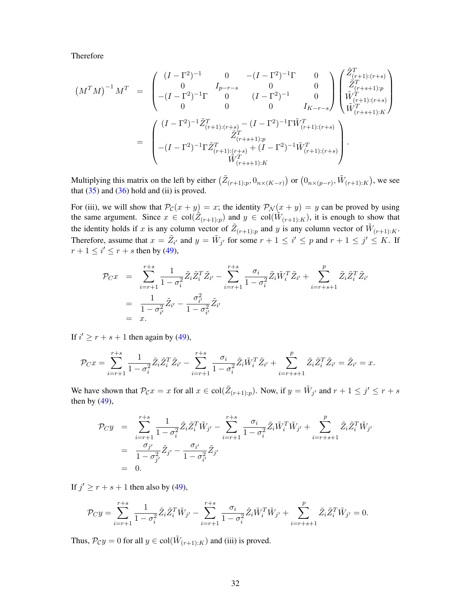Therefore

$$
(M^T M)^{-1} M^T = \begin{pmatrix} (I - \Gamma^2)^{-1} & 0 & -(I - \Gamma^2)^{-1} \Gamma & 0 \\ 0 & I_{p-r-s} & 0 & 0 \\ -(I - \Gamma^2)^{-1} \Gamma & 0 & (I - \Gamma^2)^{-1} & 0 \\ 0 & 0 & 0 & I_{K-r-s} \end{pmatrix} \begin{pmatrix} \tilde{Z}^T_{(r+1):(r+s)} \\ \tilde{Z}^T_{(r+s+1):p} \\ \tilde{W}^T_{(r+1):(r+s)} \\ \tilde{W}^T_{(r+s+1):K} \end{pmatrix}
$$
  
= 
$$
\begin{pmatrix} (I - \Gamma^2)^{-1} \tilde{Z}^T_{(r+1):(r+s)} - (I - \Gamma^2)^{-1} \Gamma \tilde{W}^T_{(r+1):(r+s)} \\ \tilde{Z}^T_{(r+s+1):p} \\ -(I - \Gamma^2)^{-1} \Gamma \tilde{Z}^T_{(r+1):(r+s)} + (I - \Gamma^2)^{-1} \tilde{W}^T_{(r+1):(r+s)} \end{pmatrix}.
$$

Multiplying this matrix on the left by either  $(\tilde{Z}_{(r+1):p}, 0_{n\times (K-r)})$  or  $(0_{n\times (p-r)}, \tilde{W}_{(r+1):K})$ , we see that  $(35)$  and  $(36)$  hold and (ii) is proved.

For (iii), we will show that  $\mathcal{P}_{\mathcal{C}}(x + y) = x$ ; the identity  $\mathcal{P}_{\mathcal{N}}(x + y) = y$  can be proved by using the same argument. Since  $x \in col(\tilde{Z}_{(r+1):p})$  and  $y \in col(\tilde{W}_{(r+1):K})$ , it is enough to show that the identity holds if x is any column vector of  $\tilde{Z}_{(r+1):p}$  and y is any column vector of  $\tilde{W}_{(r+1):K}$ . Therefore, assume that  $x = \tilde{Z}_{i'}$  and  $y = \tilde{W}_{j'}$  for some  $r + 1 \le i' \le p$  and  $r + 1 \le j' \le K$ . If  $r+1 \leq i' \leq r+s$  then by [\(49\)](#page-30-0),

$$
\mathcal{P}_{C}x = \sum_{i=r+1}^{r+s} \frac{1}{1 - \sigma_i^2} \tilde{Z}_i \tilde{Z}_i^T \tilde{Z}_{i'} - \sum_{i=r+1}^{r+s} \frac{\sigma_i}{1 - \sigma_i^2} \tilde{Z}_i \tilde{W}_i^T \tilde{Z}_{i'} + \sum_{i=r+s+1}^{p} \tilde{Z}_i \tilde{Z}_i^T \tilde{Z}_{i'}
$$
  
= 
$$
\frac{1}{1 - \sigma_{i'}^2} \tilde{Z}_{i'} - \frac{\sigma_{i'}^2}{1 - \sigma_{i'}^2} \tilde{Z}_{i'}
$$
  
= x.

If  $i' \geq r + s + 1$  then again by [\(49\)](#page-30-0),

$$
\mathcal{P}_C x = \sum_{i=r+1}^{r+s} \frac{1}{1-\sigma_i^2} \tilde{Z}_i \tilde{Z}_i^T \tilde{Z}_{i'} - \sum_{i=r+1}^{r+s} \frac{\sigma_i}{1-\sigma_i^2} \tilde{Z}_i \tilde{W}_i^T \tilde{Z}_{i'} + \sum_{i=r+s+1}^{p} \tilde{Z}_i \tilde{Z}_i^T \tilde{Z}_{i'} = \tilde{Z}_{i'} = x.
$$

We have shown that  $\mathcal{P}_{\mathcal{C}}x = x$  for all  $x \in col(\tilde{Z}_{(r+1):p})$ . Now, if  $y = \tilde{W}_{j'}$  and  $r + 1 \leq j' \leq r + s$ then by  $(49)$ ,

$$
\begin{array}{rcl}\n\mathcal{P}_C y &=& \sum\limits_{i=r+1}^{r+s} \frac{1}{1-\sigma_i^2} \tilde{Z}_i \tilde{Z}_i^T \tilde{W}_{j'} - \sum\limits_{i=r+1}^{r+s} \frac{\sigma_i}{1-\sigma_i^2} \tilde{Z}_i \tilde{W}_i^T \tilde{W}_{j'} + \sum\limits_{i=r+s+1}^{p} \tilde{Z}_i \tilde{Z}_i^T \tilde{W}_{j'} \\
&=& \frac{\sigma_{j'}}{1-\sigma_{j'}^2} \tilde{Z}_{j'} - \frac{\sigma_{i'}}{1-\sigma_{i'}^2} \tilde{Z}_{j'} \\
&=& 0.\n\end{array}
$$

If  $j' \ge r + s + 1$  then also by [\(49\)](#page-30-0),

$$
\mathcal{P}_C y = \sum_{i=r+1}^{r+s} \frac{1}{1-\sigma_i^2} \tilde{Z}_i \tilde{Z}_i^T \tilde{W}_{j'} - \sum_{i=r+1}^{r+s} \frac{\sigma_i}{1-\sigma_i^2} \tilde{Z}_i \tilde{W}_i^T \tilde{W}_{j'} + \sum_{i=r+s+1}^{p} \tilde{Z}_i \tilde{Z}_i^T \tilde{W}_{j'} = 0.
$$

Thus,  $\mathcal{P}_{\mathcal{C}} y = 0$  for all  $y \in \text{col}(\tilde{W}_{(r+1):K})$  and (iii) is proved.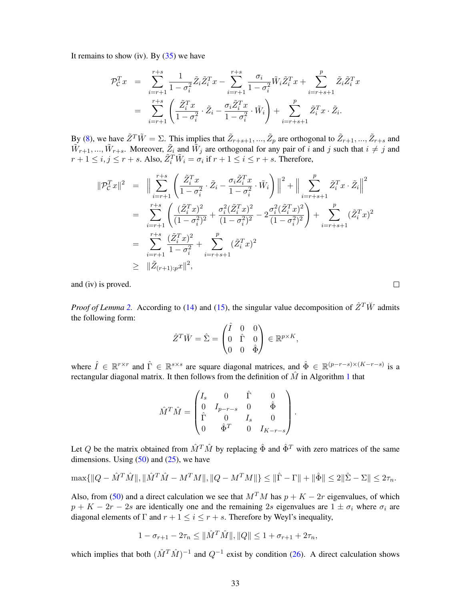It remains to show (iv). By  $(35)$  we have

$$
\mathcal{P}_{\mathcal{C}}^T x = \sum_{i=r+1}^{r+s} \frac{1}{1 - \sigma_i^2} \tilde{Z}_i \tilde{Z}_i^T x - \sum_{i=r+1}^{r+s} \frac{\sigma_i}{1 - \sigma_i^2} \tilde{W}_i \tilde{Z}_i^T x + \sum_{i=r+s+1}^p \tilde{Z}_i \tilde{Z}_i^T x
$$
  
= 
$$
\sum_{i=r+1}^{r+s} \left( \frac{\tilde{Z}_i^T x}{1 - \sigma_i^2} \cdot \tilde{Z}_i - \frac{\sigma_i \tilde{Z}_i^T x}{1 - \sigma_i^2} \cdot \tilde{W}_i \right) + \sum_{i=r+s+1}^p \tilde{Z}_i^T x \cdot \tilde{Z}_i.
$$

By [\(8\)](#page-6-4), we have  $\tilde{Z}^T \tilde{W} = \Sigma$ . This implies that  $\tilde{Z}_{r+s+1}, ..., \tilde{Z}_p$  are orthogonal to  $\tilde{Z}_{r+1}, ..., \tilde{Z}_{r+s}$  and  $\tilde{W}_{r+1},...,\tilde{W}_{r+s}$ . Moreover,  $\tilde{Z}_i$  and  $\tilde{W}_j$  are orthogonal for any pair of i and j such that  $i \neq j$  and  $r+1 \leq i, j \leq r+s$ . Also,  $\tilde{Z}_i^T \tilde{W}_i = \sigma_i$  if  $r+1 \leq i \leq r+s$ . Therefore,

$$
\begin{split}\n\|\mathcal{P}_{\mathcal{C}}^T x\|^2 &= \|\sum_{i=r+1}^{r+s} \left( \frac{\tilde{Z}_i^T x}{1 - \sigma_i^2} \cdot \tilde{Z}_i - \frac{\sigma_i \tilde{Z}_i^T x}{1 - \sigma_i^2} \cdot \tilde{W}_i \right) \|^2 + \|\sum_{i=r+s+1}^{p} \tilde{Z}_i^T x \cdot \tilde{Z}_i \|^2 \\
&= \sum_{i=r+1}^{r+s} \left( \frac{(\tilde{Z}_i^T x)^2}{(1 - \sigma_i^2)^2} + \frac{\sigma_i^2 (\tilde{Z}_i^T x)^2}{(1 - \sigma_i^2)^2} - 2 \frac{\sigma_i^2 (\tilde{Z}_i^T x)^2}{(1 - \sigma_i^2)^2} \right) + \sum_{i=r+s+1}^{p} (\tilde{Z}_i^T x)^2 \\
&= \sum_{i=r+1}^{r+s} \frac{(\tilde{Z}_i^T x)^2}{1 - \sigma_i^2} + \sum_{i=r+s+1}^{p} (\tilde{Z}_i^T x)^2 \\
&\geq \|\tilde{Z}_{(r+1):px}\|^2,\n\end{split}
$$

and (iv) is proved.

*Proof of Lemma* [2.](#page-26-1) According to [\(14\)](#page-7-4) and [\(15\)](#page-7-5), the singular value decomposition of  $\hat{Z}^T\check{W}$  admits the following form:

$$
\hat{Z}^T \breve{W} = \hat{\Sigma} = \begin{pmatrix} \hat{I} & 0 & 0 \\ 0 & \hat{\Gamma} & 0 \\ 0 & 0 & \hat{\Phi} \end{pmatrix} \in \mathbb{R}^{p \times K},
$$

where  $\hat{I} \in \mathbb{R}^{r \times r}$  and  $\hat{\Gamma} \in \mathbb{R}^{s \times s}$  are square diagonal matrices, and  $\hat{\Phi} \in \mathbb{R}^{(p-r-s) \times (K-r-s)}$  is a rectangular diagonal matrix. It then follows from the definition of  $\hat{M}$  in Algorithm [1](#page-7-0) that

$$
\hat{M}^T \hat{M} = \begin{pmatrix} I_s & 0 & \hat{\Gamma} & 0 \\ 0 & I_{p-r-s} & 0 & \hat{\Phi} \\ \hat{\Gamma} & 0 & I_s & 0 \\ 0 & \hat{\Phi}^T & 0 & I_{K-r-s} \end{pmatrix}.
$$

Let Q be the matrix obtained from  $\hat{M}^T \hat{M}$  by replacing  $\hat{\Phi}$  and  $\hat{\Phi}^T$  with zero matrices of the same dimensions. Using  $(50)$  and  $(25)$ , we have

$$
\max\{\|Q - \hat{M}^T\hat{M}\|, \|\hat{M}^T\hat{M} - M^TM\|, \|Q - M^TM\|\} \le \|\hat{\Gamma} - \Gamma\| + \|\hat{\Phi}\| \le 2\|\hat{\Sigma} - \Sigma\| \le 2\tau_n.
$$

Also, from [\(50\)](#page-30-1) and a direct calculation we see that  $M<sup>T</sup>M$  has  $p + K - 2r$  eigenvalues, of which  $p + K - 2r - 2s$  are identically one and the remaining 2s eigenvalues are  $1 \pm \sigma_i$  where  $\sigma_i$  are diagonal elements of  $\Gamma$  and  $r + 1 \le i \le r + s$ . Therefore by Weyl's inequality,

$$
1 - \sigma_{r+1} - 2\tau_n \leq \|\hat{M}^T\hat{M}\|, \|Q\| \leq 1 + \sigma_{r+1} + 2\tau_n,
$$

which implies that both  $(\hat{M}^T \hat{M})^{-1}$  and  $Q^{-1}$  exist by condition [\(26\)](#page-9-1). A direct calculation shows

 $\Box$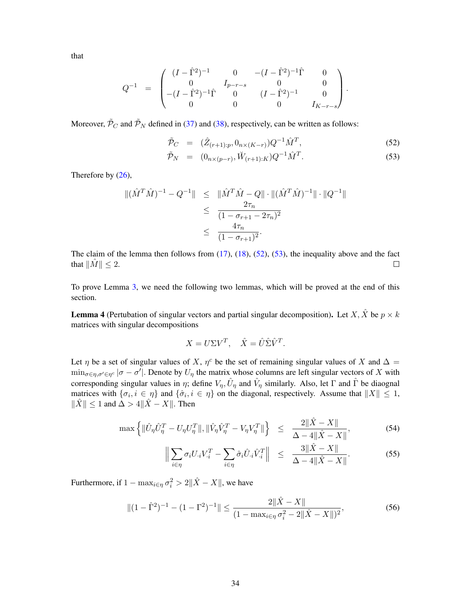that

$$
Q^{-1} \quad = \quad \begin{pmatrix} (I - \hat{\Gamma}^2)^{-1} & 0 & -(I - \hat{\Gamma}^2)^{-1}\hat{\Gamma} & 0 \\ 0 & I_{p-r-s} & 0 & 0 \\ -(I - \hat{\Gamma}^2)^{-1}\hat{\Gamma} & 0 & (I - \hat{\Gamma}^2)^{-1} & 0 \\ 0 & 0 & 0 & I_{K-r-s} \end{pmatrix}.
$$

Moreover,  $\tilde{\mathcal{P}}_C$  and  $\tilde{\mathcal{P}}_N$  defined in [\(37\)](#page-26-3) and [\(38\)](#page-26-3), respectively, can be written as follows:

<span id="page-33-2"></span>
$$
\tilde{\mathcal{P}}_C = (\hat{Z}_{(r+1):p}, 0_{n \times (K-r)}) Q^{-1} \hat{M}^T,
$$
\n(52)

$$
\tilde{\mathcal{P}}_N = (0_{n \times (p-r)}, \tilde{W}_{(r+1):K}) Q^{-1} \hat{M}^T.
$$
\n(53)

Therefore by [\(26\)](#page-9-1),

$$
\begin{array}{rcl} \| (\hat{M}^T \hat{M})^{-1} - Q^{-1} \| & \leq & \| \hat{M}^T \hat{M} - Q \| \cdot \| (\hat{M}^T \hat{M})^{-1} \| \cdot \| Q^{-1} \| \\ & \leq & \frac{2\tau_n}{(1 - \sigma_{r+1} - 2\tau_n)^2} \\ & \leq & \frac{4\tau_n}{(1 - \sigma_{r+1})^2} . \end{array}
$$

The claim of the lemma then follows from  $(17)$ ,  $(18)$ ,  $(52)$ ,  $(53)$ , the inequality above and the fact that  $||M|| \leq 2$ .  $\Box$ 

To prove Lemma [3,](#page-27-0) we need the following two lemmas, which will be proved at the end of this section.

<span id="page-33-1"></span>**Lemma 4** (Pertubation of singular vectors and partial singular decomposition). Let X,  $\hat{X}$  be  $p \times k$ matrices with singular decompositions

$$
X = U\Sigma V^T, \quad \hat{X} = \hat{U}\hat{\Sigma}\hat{V}^T.
$$

Let  $\eta$  be a set of singular values of X,  $\eta^c$  be the set of remaining singular values of X and  $\Delta =$  $\min_{\sigma \in \eta, \sigma' \in \eta^c} |\sigma - \sigma'|$ . Denote by  $U_\eta$  the matrix whose columns are left singular vectors of X with corresponding singular values in  $\eta$ ; define  $V_{\eta}$ ,  $\hat{U}_{\eta}$  and  $\hat{V}_{\eta}$  similarly. Also, let  $\Gamma$  and  $\hat{\Gamma}$  be diaognal matrices with  $\{\sigma_i, i \in \eta\}$  and  $\{\hat{\sigma}_i, i \in \eta\}$  on the diagonal, respectively. Assume that  $||X|| \leq 1$ ,  $\|\hat{X}\|$  ≤ 1 and  $\Delta > 4\|\hat{X} - X\|$ . Then

<span id="page-33-3"></span>
$$
\max \left\{ \|\hat{U}_{\eta}\hat{U}_{\eta}^T - U_{\eta}U_{\eta}^T\|, \|\hat{V}_{\eta}\hat{V}_{\eta}^T - V_{\eta}V_{\eta}^T\| \right\} \le \frac{2\|\hat{X} - X\|}{\Delta - 4\|\hat{X} - X\|},\tag{54}
$$

$$
\Big\| \sum_{i \in \eta} \sigma_i U_i V_{\cdot i}^T - \sum_{i \in \eta} \hat{\sigma}_i \hat{U}_{\cdot i} \hat{V}_{\cdot i}^T \Big\| \le \frac{3\|\hat{X} - X\|}{\Delta - 4\|\hat{X} - X\|}.
$$
 (55)

Furthermore, if  $1 - \max_{i \in \eta} \sigma_i^2 > 2\|\hat{X} - X\|$ , we have

<span id="page-33-0"></span>
$$
||(1 - \hat{\Gamma}^2)^{-1} - (1 - \Gamma^2)^{-1}|| \le \frac{2||\hat{X} - X||}{(1 - \max_{i \in \eta} \sigma_i^2 - 2||\hat{X} - X||)^2},
$$
\n(56)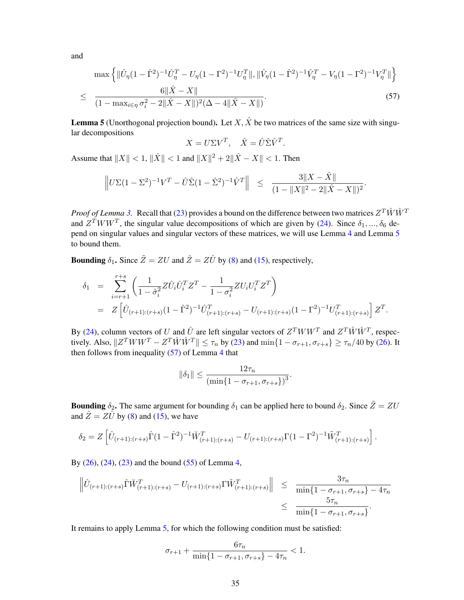and

<span id="page-34-1"></span>
$$
\max \left\{ \|\hat{U}_{\eta}(1-\hat{\Gamma}^{2})^{-1}\hat{U}_{\eta}^{T} - U_{\eta}(1-\Gamma^{2})^{-1}U_{\eta}^{T}\|, \|\hat{V}_{\eta}(1-\hat{\Gamma}^{2})^{-1}\hat{V}_{\eta}^{T} - V_{\eta}(1-\Gamma^{2})^{-1}V_{\eta}^{T}\| \right\}
$$
  

$$
\leq \frac{6\|\hat{X} - X\|}{(1 - \max_{i \in \eta} \sigma_{i}^{2} - 2\|\hat{X} - X\|)^{2}(\Delta - 4\|\hat{X} - X\|)}.
$$
 (57)

<span id="page-34-0"></span>**Lemma 5** (Unorthogonal projection bound). Let X,  $\hat{X}$  be two matrices of the same size with singular decompositions

$$
X = U\Sigma V^T, \quad \hat{X} = \hat{U}\hat{\Sigma}\hat{V}^T.
$$

Assume that  $||X|| < 1$ ,  $||\hat{X}|| < 1$  and  $||X||^2 + 2||\hat{X} - X|| < 1$ . Then

$$
\left\|U\Sigma(1-\Sigma^2)^{-1}V^T - \hat{U}\hat{\Sigma}(1-\hat{\Sigma}^2)^{-1}\hat{V}^T\right\| \leq \frac{3\|X-\hat{X}\|}{(1-\|X\|^2-2\|\hat{X}-X\|)^2}
$$

.

*Proof of Lemma* [3.](#page-27-0) Recall that [\(23\)](#page-8-1) provides a bound on the difference between two matrices  $Z^T \hat{W} \hat{W}^T$ and  $Z^T W W^T$ , the singular value decompositions of which are given by [\(24\)](#page-8-2). Since  $\delta_1, ..., \delta_6$  depend on singular values and singular vectors of these matrices, we will use Lemma [4](#page-33-1) and Lemma [5](#page-34-0) to bound them.

**Bounding**  $\delta_1$ . Since  $\tilde{Z} = ZU$  and  $\hat{Z} = Z\hat{U}$  by [\(8\)](#page-6-4) and [\(15\)](#page-7-5), respectively,

$$
\delta_1 = \sum_{i=r+1}^{r+s} \left( \frac{1}{1-\hat{\sigma}_i^2} Z \hat{U}_i \hat{U}_i^T Z^T - \frac{1}{1-\sigma_i^2} Z U_i U_i^T Z^T \right)
$$
  
= 
$$
Z \left[ \hat{U}_{(r+1):(r+s)} (1-\hat{\Gamma}^2)^{-1} \hat{U}_{(r+1):(r+s)}^T - U_{(r+1):(r+s)} (1-\Gamma^2)^{-1} U_{(r+1):(r+s)}^T \right] Z^T.
$$

By [\(24\)](#page-8-2), column vectors of U and  $\hat{U}$  are left singular vectors of  $Z^T W W^T$  and  $Z^T \hat{W} \hat{W}^T$ , respectively. Also,  $||Z^T W W^T - Z^T \hat{W} \hat{W}^T|| \le \tau_n$  by [\(23\)](#page-8-1) and  $\min\{1 - \sigma_{r+1}, \sigma_{r+s}\} \ge \tau_n/40$  by [\(26\)](#page-9-1). It then follows from inequality  $(57)$  of Lemma [4](#page-33-1) that

$$
\|\delta_1\| \le \frac{12\tau_n}{(\min\{1 - \sigma_{r+1}, \sigma_{r+s}\})^3}
$$

.

**Bounding**  $\delta_2$ . The same argument for bounding  $\delta_1$  can be applied here to bound  $\delta_2$ . Since  $\tilde{Z} = ZU$ and  $\hat{Z} = Z\hat{U}$  by [\(8\)](#page-6-4) and [\(15\)](#page-7-5), we have

$$
\delta_2 = Z \left[ \hat{U}_{(r+1):(r+s)} \hat{\Gamma}(1-\hat{\Gamma}^2)^{-1} \check{W}_{(r+1):(r+s)}^T - U_{(r+1):(r+s)} \Gamma(1-\Gamma^2)^{-1} \tilde{W}_{(r+1):(r+s)}^T \right].
$$

By [\(26\)](#page-9-1), [\(24\)](#page-8-2), [\(23\)](#page-8-1) and the bound [\(55\)](#page-33-3) of Lemma [4,](#page-33-1)

$$
\left\| \hat{U}_{(r+1):(r+s)} \hat{\Gamma} \check{W}_{(r+1):(r+s)}^T - U_{(r+1):(r+s)} \Gamma \check{W}_{(r+1):(r+s)}^T \right\| \leq \frac{3\tau_n}{\min\{1 - \sigma_{r+1}, \sigma_{r+s}\} - 4\tau_n} \leq \frac{5\tau_n}{\min\{1 - \sigma_{r+1}, \sigma_{r+s}\}}.
$$

It remains to apply Lemma [5,](#page-34-0) for which the following condition must be satisfied:

$$
\sigma_{r+1} + \frac{6\tau_n}{\min\{1-\sigma_{r+1},\sigma_{r+s}\} - 4\tau_n} < 1.
$$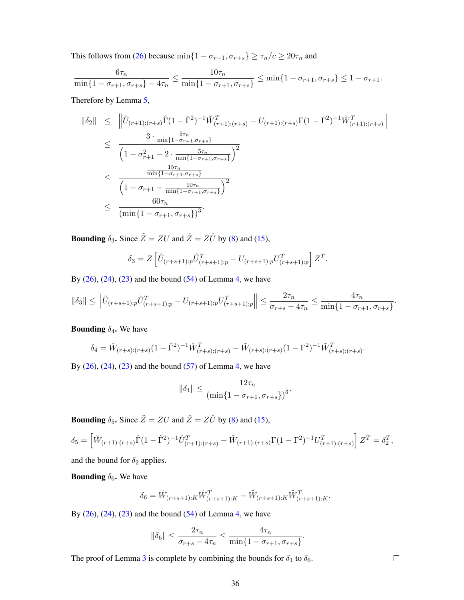This follows from [\(26\)](#page-9-1) because  $\min\{1 - \sigma_{r+1}, \sigma_{r+s}\} \ge \tau_n/c \ge 20\tau_n$  and

$$
\frac{6\tau_n}{\min\{1-\sigma_{r+1},\sigma_{r+s}\}-4\tau_n} \le \frac{10\tau_n}{\min\{1-\sigma_{r+1},\sigma_{r+s}\}} \le \min\{1-\sigma_{r+1},\sigma_{r+s}\} \le 1-\sigma_{r+1}.
$$

Therefore by Lemma [5,](#page-34-0)

$$
\begin{split}\n\|\delta_2\| &\leq \quad \left\|\hat{U}_{(r+1):(r+s)}\hat{\Gamma}(1-\hat{\Gamma}^2)^{-1}\check{W}_{(r+1):(r+s)}^T - U_{(r+1):(r+s)}\Gamma(1-\Gamma^2)^{-1}\tilde{W}_{(r+1):(r+s)}^T\right\| \\
&\leq \quad \frac{3 \cdot \frac{5\tau_n}{\min\{1-\sigma_{r+1}, \sigma_{r+s}\}}}{\left(1-\sigma_{r+1}^2 - 2 \cdot \frac{5\tau_n}{\min\{1-\sigma_{r+1}, \sigma_{r+s}\}}\right)^2} \\
&\leq \quad \frac{\frac{15\tau_n}{\min\{1-\sigma_{r+1}, \sigma_{r+s}\}}}{\left(1-\sigma_{r+1} - \frac{10\tau_n}{\min\{1-\sigma_{r+1}, \sigma_{r+s}\}}\right)^2} \\
&\leq \quad \frac{60\tau_n}{(\min\{1-\sigma_{r+1}, \sigma_{r+s}\})^3}.\n\end{split}
$$

**Bounding**  $\delta_3$ . Since  $\tilde{Z} = ZU$  and  $\hat{Z} = Z\hat{U}$  by [\(8\)](#page-6-4) and [\(15\)](#page-7-5),

$$
\delta_3 = Z \left[ \hat{U}_{(r+s+1):p} \hat{U}_{(r+s+1):p}^T - U_{(r+s+1):p} U_{(r+s+1):p}^T \right] Z^T.
$$

By  $(26)$ ,  $(24)$ ,  $(23)$  and the bound  $(54)$  of Lemma [4,](#page-33-1) we have

$$
\|\delta_3\| \le \left\|\hat{U}_{(r+s+1):p}\hat{U}_{(r+s+1):p}^T - U_{(r+s+1):p}U_{(r+s+1):p}^T\right\| \le \frac{2\tau_n}{\sigma_{r+s} - 4\tau_n} \le \frac{4\tau_n}{\min\{1 - \sigma_{r+1}, \sigma_{r+s}\}}.
$$

#### **Bounding**  $\delta_4$ **.** We have

$$
\delta_4 = \tilde{W}_{(r+s):(r+s)}(1 - \hat{\Gamma}^2)^{-1} \tilde{W}_{(r+s):(r+s)}^T - \tilde{W}_{(r+s):(r+s)}(1 - \Gamma^2)^{-1} \tilde{W}_{(r+s):(r+s)}^T.
$$

By  $(26)$ ,  $(24)$ ,  $(23)$  and the bound  $(57)$  of Lemma [4,](#page-33-1) we have

$$
\|\delta_4\| \le \frac{12\tau_n}{(\min\{1 - \sigma_{r+1}, \sigma_{r+s}\})^3}.
$$

**Bounding**  $\delta_5$ . Since  $\tilde{Z} = ZU$  and  $\hat{Z} = Z\hat{U}$  by [\(8\)](#page-6-4) and [\(15\)](#page-7-5),

$$
\delta_5 = \left[ \check{W}_{(r+1):(r+s)} \hat{\Gamma}(1-\hat{\Gamma}^2)^{-1} \hat{U}_{(r+1):(r+s)}^T - \tilde{W}_{(r+1):(r+s)} \Gamma(1-\Gamma^2)^{-1} U_{(r+1):(r+s)}^T \right] Z^T = \delta_2^T,
$$

and the bound for  $\delta_2$  applies.

**Bounding**  $\delta_6$ . We have

$$
\delta_6 = \breve{W}_{(r+s+1):K} \breve{W}_{(r+s+1):K}^T - \tilde{W}_{(r+s+1):K} \tilde{W}_{(r+s+1):K}^T.
$$

By  $(26)$ ,  $(24)$ ,  $(23)$  and the bound  $(54)$  of Lemma [4,](#page-33-1) we have

$$
\|\delta_6\| \le \frac{2\tau_n}{\sigma_{r+s} - 4\tau_n} \le \frac{4\tau_n}{\min\{1 - \sigma_{r+1}, \sigma_{r+s}\}}.
$$

The proof of Lemma [3](#page-27-0) is complete by combining the bounds for  $\delta_1$  to  $\delta_6$ .

 $\Box$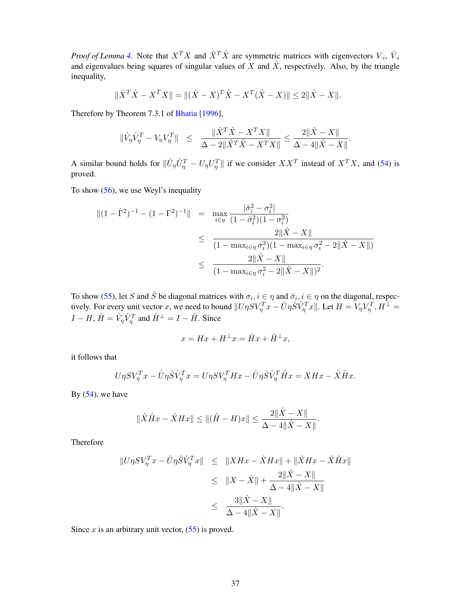*Proof of Lemma [4.](#page-33-1)* Note that  $X^T X$  and  $\hat{X}^T \hat{X}$  are symmetric matrices with eigenvectors  $V_i$ ,  $\hat{V}_i$ and eigenvalues being squares of singular values of  $\hat{X}$  and  $\hat{X}$ , respectively. Also, by the triangle inequality,

$$
\|\hat{X}^T\hat{X} - X^TX\| = \|(\hat{X} - X)^T\hat{X} - X^T(\hat{X} - X)\| \le 2\|\hat{X} - X\|.
$$

Therefore by Theorem 7.3.1 of [Bhatia \[1996\]](#page-21-15),

$$
\|\hat{V}_{\eta}\hat{V}_{\eta}^{T} - V_{\eta}V_{\eta}^{T}\| \leq \frac{\|\hat{X}^{T}\hat{X} - X^{T}X\|}{\Delta - 2\|\hat{X}^{T}\hat{X} - X^{T}X\|} \leq \frac{2\|\hat{X} - X\|}{\Delta - 4\|\hat{X} - X\|}.
$$

A similar bound holds for  $\|\hat{U}_\eta \hat{U}_\eta^T - U_\eta U_\eta^T\|$  if we consider  $XX^T$  instead of  $X^T X$ , and [\(54\)](#page-33-3) is proved.

To show [\(56\)](#page-33-0), we use Weyl's inequality

$$
||(1 - \hat{\Gamma}^2)^{-1} - (1 - \Gamma^2)^{-1}|| = \max_{i \in \eta} \frac{|\hat{\sigma}_i^2 - \sigma_i^2|}{(1 - \hat{\sigma}_i^2)(1 - \sigma_i^2)}
$$
  

$$
\leq \frac{2||\hat{X} - X||}{(1 - \max_{i \in \eta} \sigma_i^2)(1 - \max_{i \in \eta} \sigma_i^2 - 2||\hat{X} - X||)}
$$
  

$$
\leq \frac{2||\hat{X} - X||}{(1 - \max_{i \in \eta} \sigma_i^2 - 2||\hat{X} - X||)^2}.
$$

To show [\(55\)](#page-33-3), let S and  $\hat{S}$  be diagonal matrices with  $\sigma_i, i \in \eta$  and  $\hat{\sigma}_i, i \in \eta$  on the diagonal, respectively. For every unit vector x, we need to bound  $||U\eta SV_{\eta}^Tx - \hat{U}\eta \hat{S}\hat{V}_{\eta}^Tx||$ . Let  $H = V_{\eta}V_{\eta}^T$ ,  $H^{\perp}$  $I - H$ ,  $\hat{H} = \hat{V}_{\eta} \hat{V}_{\eta}^T$  and  $\hat{H}^{\perp} = I - \hat{H}$ . Since

$$
x = Hx + H^{\perp}x = \hat{H}x + \hat{H}^{\perp}x,
$$

it follows that

$$
U\eta SV_{\eta}^T x - \hat{U}\eta \hat{S}\hat{V}_{\eta}^T x = U\eta SV_{\eta}^T H x - \hat{U}\eta \hat{S}\hat{V}_{\eta}^T \hat{H} x = XH x - \hat{X}\hat{H} x.
$$

By  $(54)$ , we have

$$
\|\hat{X}\hat{H}x - \hat{X}Hx\| \le \|(\hat{H} - H)x\| \le \frac{2\|\hat{X} - X\|}{\Delta - 4\|\hat{X} - X\|}.
$$

Therefore

$$
||U\eta SV_{\eta}^{T}x - \hat{U}\eta \hat{S}\hat{V}_{\eta}^{T}x|| \leq ||XHx - \hat{X}Hx|| + ||\hat{X}Hx - \hat{X}\hat{H}x||
$$
  
\n
$$
\leq ||X - \hat{X}|| + \frac{2||\hat{X} - X||}{\Delta - 4||\hat{X} - X||}
$$
  
\n
$$
\leq \frac{3||\hat{X} - X||}{\Delta - 4||\hat{X} - X||}.
$$

Since  $x$  is an arbitrary unit vector,  $(55)$  is proved.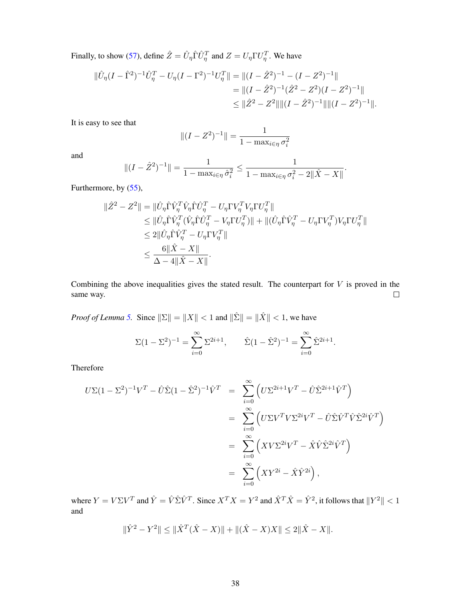Finally, to show [\(57\)](#page-34-1), define  $\hat{Z} = \hat{U}_{\eta} \hat{\Gamma} \hat{U}_{\eta}^T$  and  $Z = U_{\eta} \Gamma U_{\eta}^T$ . We have

$$
\|\hat{U}_{\eta}(I-\hat{\Gamma}^{2})^{-1}\hat{U}_{\eta}^{T} - U_{\eta}(I-\Gamma^{2})^{-1}U_{\eta}^{T}\| = \|(I-\hat{Z}^{2})^{-1} - (I-Z^{2})^{-1}\|
$$
  
\n
$$
= \|(I-\hat{Z}^{2})^{-1}(\hat{Z}^{2} - Z^{2})(I-Z^{2})^{-1}\|
$$
  
\n
$$
\leq \|\hat{Z}^{2} - Z^{2}\| \|(I-\hat{Z}^{2})^{-1}\| \|(I-Z^{2})^{-1}\|.
$$

It is easy to see that

$$
||(I - Z^{2})^{-1}|| = \frac{1}{1 - \max_{i \in \eta} \sigma_{i}^{2}}
$$

and

$$
||(I - \hat{Z}^2)^{-1}|| = \frac{1}{1 - \max_{i \in \eta} \hat{\sigma}_i^2} \le \frac{1}{1 - \max_{i \in \eta} \sigma_i^2 - 2||\hat{X} - X||}.
$$

Furthermore, by [\(55\)](#page-33-3),

$$
\begin{split} \|\hat{Z}^2 - Z^2\| &= \|\hat{U}_{\eta}\hat{\Gamma}\hat{V}_{\eta}^T\hat{V}_{\eta}\hat{\Gamma}\hat{U}_{\eta}^T - U_{\eta}\Gamma V_{\eta}^T V_{\eta}\Gamma U_{\eta}^T\| \\ &\leq \|\hat{U}_{\eta}\hat{\Gamma}\hat{V}_{\eta}^T(\hat{V}_{\eta}\hat{\Gamma}\hat{U}_{\eta}^T - V_{\eta}\Gamma U_{\eta}^T)\| + \|(\hat{U}_{\eta}\hat{\Gamma}\hat{V}_{\eta}^T - U_{\eta}\Gamma V_{\eta}^T)V_{\eta}\Gamma U_{\eta}^T\| \\ &\leq 2\|\hat{U}_{\eta}\hat{\Gamma}\hat{V}_{\eta}^T - U_{\eta}\Gamma V_{\eta}^T\| \\ &\leq \frac{6\|\hat{X} - X\|}{\Delta - 4\|\hat{X} - X\|}. \end{split}
$$

Combining the above inequalities gives the stated result. The counterpart for  $V$  is proved in the same way.  $\Box$ 

*Proof of Lemma [5.](#page-34-0)* Since  $\|\Sigma\| = \|X\| < 1$  and  $\|\hat{\Sigma}\| = \|\hat{X}\| < 1$ , we have

$$
\Sigma (1 - \Sigma^2)^{-1} = \sum_{i=0}^{\infty} \Sigma^{2i+1}, \qquad \hat{\Sigma} (1 - \hat{\Sigma}^2)^{-1} = \sum_{i=0}^{\infty} \hat{\Sigma}^{2i+1}.
$$

Therefore

$$
U\Sigma(1-\Sigma^2)^{-1}V^T - \hat{U}\hat{\Sigma}(1-\hat{\Sigma}^2)^{-1}\hat{V}^T = \sum_{i=0}^{\infty} \left( U\Sigma^{2i+1}V^T - \hat{U}\hat{\Sigma}^{2i+1}\hat{V}^T \right)
$$
  

$$
= \sum_{i=0}^{\infty} \left( U\Sigma V^T V \Sigma^{2i}V^T - \hat{U}\hat{\Sigma}\hat{V}^T\hat{V}\hat{\Sigma}^{2i}\hat{V}^T \right)
$$
  

$$
= \sum_{i=0}^{\infty} \left( XV\Sigma^{2i}V^T - \hat{X}\hat{V}\hat{\Sigma}^{2i}\hat{V}^T \right)
$$
  

$$
= \sum_{i=0}^{\infty} \left( XY^{2i} - \hat{X}\hat{Y}^{2i} \right),
$$

where  $Y = V\Sigma V^T$  and  $\hat{Y} = \hat{V}\hat{\Sigma}\hat{V}^T$ . Since  $X^TX = Y^2$  and  $\hat{X}^T\hat{X} = \hat{Y}^2$ , it follows that  $||Y^2|| < 1$ and

$$
\|\hat{Y}^2 - Y^2\| \le \|\hat{X}^T(\hat{X} - X)\| + \|(\hat{X} - X)X\| \le 2\|\hat{X} - X\|.
$$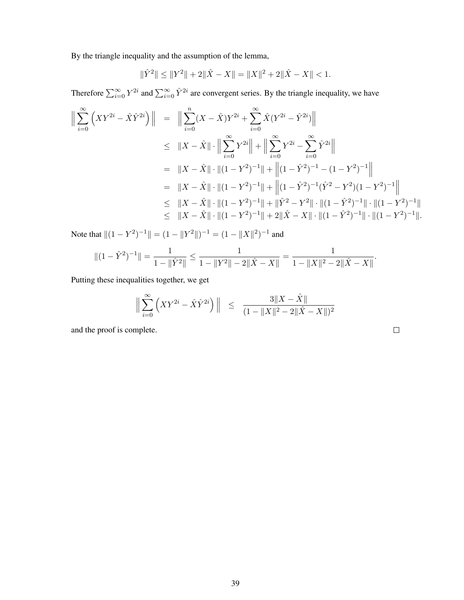By the triangle inequality and the assumption of the lemma,

$$
\|\hat{Y}^{2}\| \le \|Y^{2}\| + 2\|\hat{X} - X\| = \|X\|^{2} + 2\|\hat{X} - X\| < 1.
$$

Therefore  $\sum_{i=0}^{\infty} Y^{2i}$  and  $\sum_{i=0}^{\infty} \hat{Y}^{2i}$  are convergent series. By the triangle inequality, we have

$$
\left\| \sum_{i=0}^{\infty} \left( XY^{2i} - \hat{X} \hat{Y}^{2i} \right) \right\| = \left\| \sum_{i=0}^{n} (X - \hat{X}) Y^{2i} + \sum_{i=0}^{\infty} \hat{X} (Y^{2i} - \hat{Y}^{2i}) \right\|
$$
  
\n
$$
\leq \|X - \hat{X}\| \cdot \left\| \sum_{i=0}^{\infty} Y^{2i} \right\| + \left\| \sum_{i=0}^{\infty} Y^{2i} - \sum_{i=0}^{\infty} \hat{Y}^{2i} \right\|
$$
  
\n
$$
= \|X - \hat{X}\| \cdot \left\| (1 - Y^2)^{-1} \right\| + \left\| (1 - \hat{Y}^2)^{-1} - (1 - Y^2)^{-1} \right\|
$$
  
\n
$$
= \|X - \hat{X}\| \cdot \left\| (1 - Y^2)^{-1} \right\| + \left\| (1 - \hat{Y}^2)^{-1} (\hat{Y}^2 - Y^2)(1 - Y^2)^{-1} \right\|
$$
  
\n
$$
\leq \|X - \hat{X}\| \cdot \left\| (1 - Y^2)^{-1} \right\| + \left\| \hat{Y}^2 - Y^2 \right\| \cdot \left\| (1 - \hat{Y}^2)^{-1} \right\| \cdot \left\| (1 - Y^2)^{-1} \right\|
$$
  
\n
$$
\leq \|X - \hat{X}\| \cdot \left\| (1 - Y^2)^{-1} \right\| + 2\|\hat{X} - X\| \cdot \left\| (1 - \hat{Y}^2)^{-1} \right\| \cdot \left\| (1 - Y^2)^{-1} \right\|.
$$

Note that  $\|(1 - Y^2)^{-1}\| = (1 - \|Y^2\|)^{-1} = (1 - \|X\|^2)^{-1}$  and

$$
\|(1-\hat{Y}^2)^{-1}\| = \frac{1}{1-\|\hat{Y}^2\|} \le \frac{1}{1-\|Y^2\|-2\|\hat{X}-X\|} = \frac{1}{1-\|X\|^2-2\|\hat{X}-X\|}.
$$

Putting these inequalities together, we get

$$
\Big\| \sum_{i=0}^{\infty} \left( XY^{2i} - \hat{X} \hat{Y}^{2i} \right) \Big\| \leq \frac{3 \|X - \hat{X}\|}{(1 - \|X\|^2 - 2\| \hat{X} - X\|)^2}
$$

and the proof is complete.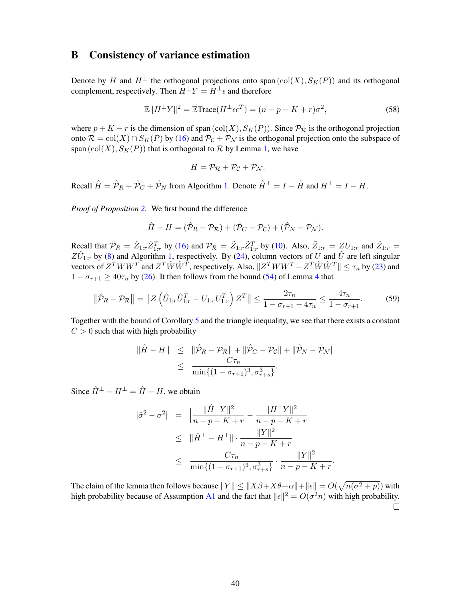# B Consistency of variance estimation

Denote by H and  $H^{\perp}$  the orthogonal projections onto span  $(\text{col}(X), S_K(P))$  and its orthogonal complement, respectively. Then  $H^{\perp}Y = H^{\perp} \epsilon$  and therefore

$$
\mathbb{E}||H^{\perp}Y||^2 = \mathbb{E} \text{Trace}(H^{\perp}\epsilon\epsilon^T) = (n - p - K + r)\sigma^2,
$$
\n(58)

where  $p + K - r$  is the dimension of span (col(X),  $S_K(P)$ ). Since  $P_{\mathcal{R}}$  is the orthogonal projection onto  $\mathcal{R} = \text{col}(X) \cap S_K(P)$  by [\(16\)](#page-7-3) and  $\mathcal{P}_{\mathcal{C}} + \mathcal{P}_{\mathcal{N}}$  is the orthogonal projection onto the subspace of span  $(\text{col}(X), S_K(P))$  that is orthogonal to  $R$  by Lemma [1,](#page-26-0) we have

$$
H = \mathcal{P}_{\mathcal{R}} + \mathcal{P}_{\mathcal{C}} + \mathcal{P}_{\mathcal{N}}.
$$

Recall  $\hat{H} = \hat{\mathcal{P}}_R + \hat{\mathcal{P}}_C + \hat{\mathcal{P}}_N$  from Algorithm [1.](#page-7-0) Denote  $\hat{H}^{\perp} = I - \hat{H}$  and  $H^{\perp} = I - H$ .

*Proof of Proposition [2.](#page-9-4)* We first bound the difference

$$
\hat{H} - H = (\hat{\mathcal{P}}_R - \mathcal{P}_R) + (\hat{\mathcal{P}}_C - \mathcal{P}_C) + (\hat{\mathcal{P}}_N - \mathcal{P}_N).
$$

Recall that  $\hat{\mathcal{P}}_R = \hat{Z}_{1:r} \hat{Z}_{1:r}^T$  by [\(16\)](#page-7-3) and  $\mathcal{P}_R = \tilde{Z}_{1:r} \tilde{Z}_{1:r}^T$  by [\(10\)](#page-6-0). Also,  $\tilde{Z}_{1:r} = ZU_{1:r}$  and  $\hat{Z}_{1:r} =$  $Z\hat{U}_{1:r}$  by [\(8\)](#page-6-4) and Algorithm [1,](#page-7-0) respectively. By [\(24\)](#page-8-2), column vectors of U and  $\hat{U}$  are left singular vectors of  $Z^T W W^T$  and  $Z^T \hat{W} \hat{W}^T$ , respectively. Also,  $||Z^T W W^T - Z^T \hat{W} \hat{W}^T|| \le \tau_n$  by [\(23\)](#page-8-1) and  $1 - \sigma_{r+1} \ge 40\tau_n$  $1 - \sigma_{r+1} \ge 40\tau_n$  $1 - \sigma_{r+1} \ge 40\tau_n$  by [\(26\)](#page-9-1). It then follows from the bound [\(54\)](#page-33-3) of Lemma 4 that

<span id="page-39-0"></span>
$$
\|\hat{\mathcal{P}}_R - \mathcal{P}_R\| = \|Z\left(\hat{U}_{1:r}\hat{U}_{1:r}^T - U_{1:r}U_{1:r}^T\right)Z^T\| \le \frac{2\tau_n}{1 - \sigma_{r+1} - 4\tau_n} \le \frac{4\tau_n}{1 - \sigma_{r+1}}.\tag{59}
$$

Together with the bound of Corollary [5](#page-27-2) and the triangle inequality, we see that there exists a constant  $C > 0$  such that with high probability

$$
\|\hat{H} - H\| \leq \|\hat{\mathcal{P}}_R - \mathcal{P}_R\| + \|\hat{\mathcal{P}}_C - \mathcal{P}_C\| + \|\hat{\mathcal{P}}_N - \mathcal{P}_N\|
$$
  

$$
\leq \frac{C\tau_n}{\min\{(1 - \sigma_{r+1})^3, \sigma_{r+s}^3\}}.
$$

Since  $\hat{H}^{\perp} - H^{\perp} = \hat{H} - H$ , we obtain

$$
\begin{array}{rcl} |\hat{\sigma}^2 - \sigma^2| & = & \left| \frac{\|\hat{H}^\perp Y\|^2}{n - p - K + r} - \frac{\|H^\perp Y\|^2}{n - p - K + r} \right| \\ & \leq & \|\hat{H}^\perp - H^\perp\| \cdot \frac{\|Y\|^2}{n - p - K + r} \\ & \leq & \frac{C\tau_n}{\min\{(1 - \sigma_{r+1})^3, \sigma_{r+s}^3\}} \cdot \frac{\|Y\|^2}{n - p - K + r} . \end{array}
$$

The claim of the lemma then follows because  $||Y|| \le ||X\beta + X\theta + \alpha|| + ||\epsilon|| = O(\sqrt{n(\sigma^2 + p)})$  with high probability because of Assumption [A1](#page-8-4) and the fact that  $||\epsilon||^2 = O(\sigma^2 n)$  with high probability.  $\Box$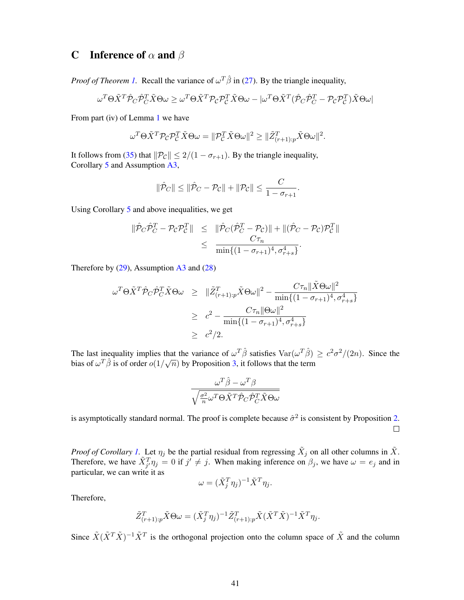# C Inference of  $\alpha$  and  $\beta$

*Proof of Theorem [1.](#page-9-0)* Recall the variance of  $\omega^T \hat{\beta}$  in [\(27\)](#page-9-5). By the triangle inequality,

$$
\omega^T \Theta \tilde{X}^T \hat{\mathcal{P}}_C \hat{\mathcal{P}}_C^T \tilde{X} \Theta \omega \geq \omega^T \Theta \tilde{X}^T \mathcal{P}_C \mathcal{P}_C^T \tilde{X} \Theta \omega - |\omega^T \Theta \tilde{X}^T (\hat{\mathcal{P}}_C \hat{\mathcal{P}}_C^T - \mathcal{P}_C \mathcal{P}_C^T) \tilde{X} \Theta \omega|
$$

From part (iv) of Lemma [1](#page-26-0) we have

$$
\omega^T \Theta \tilde{X}^T \mathcal{P}_\mathcal{C} \mathcal{P}_\mathcal{C}^T \tilde{X} \Theta \omega = \| \mathcal{P}_\mathcal{C}^T \tilde{X} \Theta \omega \|^2 \geq \| \tilde{Z}_{(r+1):p}^T \tilde{X} \Theta \omega \|^2.
$$

It follows from [\(35\)](#page-26-2) that  $||P_C|| \leq 2/(1 - \sigma_{r+1})$ . By the triangle inequality, Corollary [5](#page-27-2) and Assumption [A3,](#page-8-5)

$$
\|\hat{\mathcal{P}}_C\| \le \|\hat{\mathcal{P}}_C - \mathcal{P}_C\| + \|\mathcal{P}_C\| \le \frac{C}{1 - \sigma_{r+1}}.
$$

Using Corollary [5](#page-27-2) and above inequalities, we get

$$
\begin{array}{rcl}\n\|\hat{\mathcal{P}}_C\hat{\mathcal{P}}_C^T - \mathcal{P}_C\mathcal{P}_C^T\| & \leq & \|\hat{\mathcal{P}}_C(\hat{\mathcal{P}}_C^T - \mathcal{P}_C)\| + \|(\hat{\mathcal{P}}_C - \mathcal{P}_C)\mathcal{P}_C^T\| \\
& \leq & \frac{C\tau_n}{\min\{(1 - \sigma_{r+1})^4, \sigma_{r+s}^4\}}.\n\end{array}
$$

Therefore by  $(29)$ , Assumption  $\overline{A3}$  $\overline{A3}$  $\overline{A3}$  and  $(28)$ 

$$
\omega^T \Theta \tilde{X}^T \hat{\mathcal{P}}_C \hat{\mathcal{P}}_C^T \tilde{X} \Theta \omega \geq \|\tilde{Z}_{(r+1):p}^T \tilde{X} \Theta \omega\|^2 - \frac{C\tau_n \|\tilde{X} \Theta \omega\|^2}{\min\{(1 - \sigma_{r+1})^4, \sigma_{r+s}^4\}} \geq c^2 - \frac{C\tau_n \|\Theta \omega\|^2}{\min\{(1 - \sigma_{r+1})^4, \sigma_{r+s}^4\}} \geq c^2/2.
$$

The last inequality implies that the variance of  $\omega^T \hat{\beta}$  satisfies  $\text{Var}(\omega^T \hat{\beta}) \geq c^2 \sigma^2/(2n)$ . Since the bias of  $\omega^T \hat{\beta}$  is of order  $o(1/\sqrt{n})$  by Proposition [3,](#page-9-2) it follows that the term

$$
\frac{\omega^T\hat{\beta}-\omega^T\beta}{\sqrt{\frac{\sigma^2}{n}\omega^T\Theta\tilde{X}^T\hat{\mathcal{P}}_C\hat{\mathcal{P}}_C^T\tilde{X}\Theta\omega}}
$$

is asymptotically standard normal. The proof is complete because  $\hat{\sigma}^2$  is consistent by Proposition [2.](#page-9-4)  $\Box$ 

*Proof of Corollary [1.](#page-10-2)* Let  $\eta_j$  be the partial residual from regressing  $\tilde{X}_j$  on all other columns in  $\tilde{X}$ . Therefore, we have  $\tilde{X}_{j}^{T} \eta_j = 0$  if  $j' \neq j$ . When making inference on  $\beta_j$ , we have  $\omega = e_j$  and in particular, we can write it as

$$
\omega = (\tilde{X}_j^T \eta_j)^{-1} \tilde{X}^T \eta_j.
$$

Therefore,

$$
\tilde{Z}_{(r+1):p}^T \tilde{X} \Theta \omega = (\tilde{X}_j^T \eta_j)^{-1} \tilde{Z}_{(r+1):p}^T \tilde{X} (\tilde{X}^T \tilde{X})^{-1} \tilde{X}^T \eta_j.
$$

Since  $\tilde{X}(\tilde{X}^T\tilde{X})^{-1}\tilde{X}^T$  is the orthogonal projection onto the column space of  $\tilde{X}$  and the column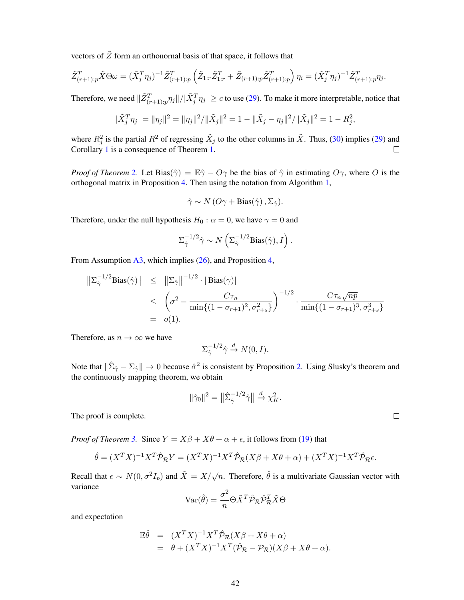vectors of  $\tilde{Z}$  form an orthonornal basis of that space, it follows that

$$
\tilde{Z}_{(r+1):p}^T \tilde{X} \Theta \omega = (\tilde{X}_j^T \eta_j)^{-1} \tilde{Z}_{(r+1):p}^T \left( \tilde{Z}_{1:r} \tilde{Z}_{1:r}^T + \tilde{Z}_{(r+1):p} \tilde{Z}_{(r+1):p}^T \right) \eta_i = (\tilde{X}_j^T \eta_j)^{-1} \tilde{Z}_{(r+1):p}^T \eta_j.
$$

Therefore, we need  $\|\tilde{Z}^T_{(r+1):p}\eta_j\|/|\tilde{X}^T_j\eta_j|\geq c$  to use [\(29\)](#page-9-3). To make it more interpretable, notice that

$$
|\tilde{X}_j^T \eta_j| = \|\eta_j\|^2 = \|\eta_j\|^2 / \|\tilde{X}_j\|^2 = 1 - \|\tilde{X}_j - \eta_j\|^2 / \|\tilde{X}_j\|^2 = 1 - R_j^2,
$$

where  $R_j^2$  is the partial  $R^2$  of regressing  $\tilde{X}_j$  to the other columns in  $\tilde{X}$ . Thus, [\(30\)](#page-10-0) implies [\(29\)](#page-9-3) and Corollary [1](#page-10-2) is a consequence of Theorem [1.](#page-9-0)  $\Box$ 

*Proof of Theorem* [2.](#page-11-1) Let Bias( $\hat{\gamma}$ ) =  $\mathbb{E}\hat{\gamma}$  –  $O\gamma$  be the bias of  $\hat{\gamma}$  in estimating  $O\gamma$ , where O is the orthogonal matrix in Proposition [4.](#page-10-1) Then using the notation from Algorithm [1,](#page-7-0)

$$
\hat{\gamma} \sim N\left(O\gamma + \text{Bias}(\hat{\gamma})\,, \Sigma_{\hat{\gamma}}\right).
$$

Therefore, under the null hypothesis  $H_0$ :  $\alpha = 0$ , we have  $\gamma = 0$  and

$$
\Sigma_{\hat{\gamma}}^{-1/2} \hat{\gamma} \sim N\left(\Sigma_{\hat{\gamma}}^{-1/2} \text{Bias}(\hat{\gamma}), I\right).
$$

From Assumption [A3,](#page-8-5) which implies [\(26\)](#page-9-1), and Proposition [4,](#page-10-1)

$$
\begin{array}{rcl}\n\left\|\Sigma_{\hat{\gamma}}^{-1/2} \text{Bias}(\hat{\gamma})\right\| & \leq & \left\|\Sigma_{\hat{\gamma}}\right\|^{-1/2} \cdot \|\text{Bias}(\gamma)\| \\
& \leq & \left(\sigma^2 - \frac{C\tau_n}{\min\{(1 - \sigma_{r+1})^2, \sigma_{r+s}^2\}}\right)^{-1/2} \cdot \frac{C\tau_n \sqrt{np}}{\min\{(1 - \sigma_{r+1})^3, \sigma_{r+s}^3\}} \\
& = & o(1).\n\end{array}
$$

Therefore, as  $n \to \infty$  we have

$$
\Sigma_{\hat{\gamma}}^{-1/2} \hat{\gamma} \xrightarrow{d} N(0, I).
$$

Note that  $\|\hat{\Sigma}_{\hat{\gamma}} - \Sigma_{\hat{\gamma}}\| \to 0$  because  $\hat{\sigma}^2$  is consistent by Proposition [2.](#page-9-4) Using Slusky's theorem and the continuously mapping theorem, we obtain

$$
\|\hat{\gamma}_0\|^2 = \left\|\hat{\Sigma}_{\hat{\gamma}}^{-1/2}\hat{\gamma}\right\| \stackrel{d}{\to} \chi_K^2.
$$

The proof is complete.

*Proof of Theorem [3.](#page-11-3)* Since  $Y = X\beta + X\theta + \alpha + \epsilon$ , it follows from [\(19\)](#page-7-2) that

$$
\hat{\theta} = (X^T X)^{-1} X^T \hat{\mathcal{P}}_{\mathcal{R}} Y = (X^T X)^{-1} X^T \hat{\mathcal{P}}_{\mathcal{R}} (X\beta + X\theta + \alpha) + (X^T X)^{-1} X^T \hat{\mathcal{P}}_{\mathcal{R}} \epsilon.
$$

Recall that  $\epsilon \sim N(0, \sigma^2 I_p)$  and  $\tilde{X} = X/\sqrt{n}$ . Therefore,  $\hat{\theta}$  is a multivariate Gaussian vector with variance

$$
Var(\hat{\theta}) = \frac{\sigma^2}{n} \Theta \tilde{X}^T \hat{\mathcal{P}}_{\mathcal{R}} \hat{\mathcal{P}}_{\mathcal{R}}^T \tilde{X} \Theta
$$

and expectation

$$
\mathbb{E}\hat{\theta} = (X^T X)^{-1} X^T \hat{\mathcal{P}}_{\mathcal{R}} (X\beta + X\theta + \alpha)
$$
  
=  $\theta + (X^T X)^{-1} X^T (\hat{\mathcal{P}}_{\mathcal{R}} - \mathcal{P}_{\mathcal{R}}) (X\beta + X\theta + \alpha).$ 

 $\Box$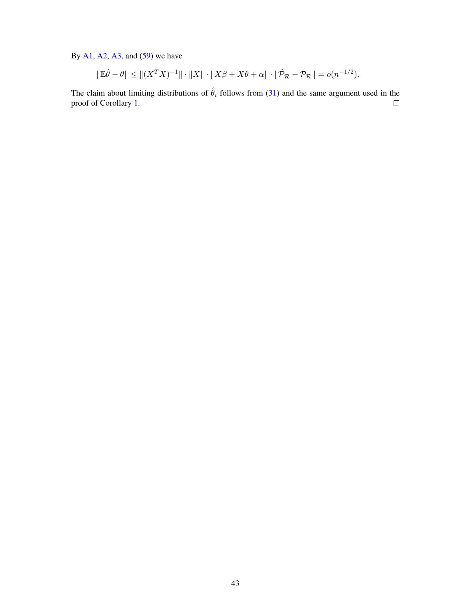By  $A1$ ,  $A2$ ,  $A3$ , and  $(59)$  we have

$$
\|\mathbb{E}\hat{\theta} - \theta\| \le \| (X^T X)^{-1} \| \cdot \|X\| \cdot \|X\beta + X\theta + \alpha \| \cdot \|\hat{\mathcal{P}}_{\mathcal{R}} - \mathcal{P}_{\mathcal{R}} \| = o(n^{-1/2}).
$$

The claim about limiting distributions of  $\hat{\theta}_i$  follows from [\(31\)](#page-11-2) and the same argument used in the proof of Corollary 1. proof of Corollary [1.](#page-10-2)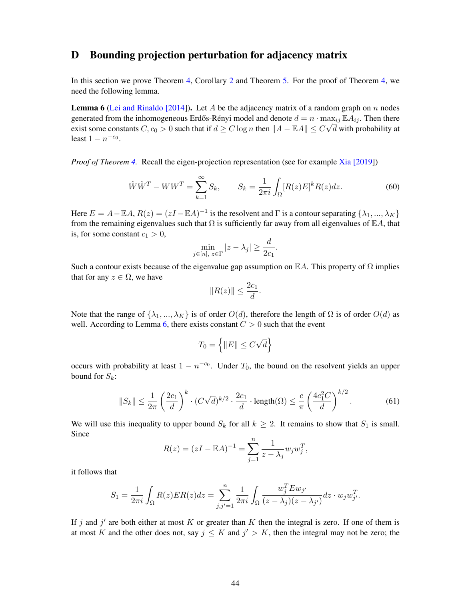# <span id="page-43-3"></span>D Bounding projection perturbation for adjacency matrix

In this section we prove Theorem [4,](#page-12-4) Corollary [2](#page-12-3) and Theorem [5.](#page-13-1) For the proof of Theorem [4,](#page-12-4) we need the following lemma.

<span id="page-43-0"></span>**Lemma 6** [\(Lei and Rinaldo \[2014\]](#page-23-13)). Let A be the adjacency matrix of a random graph on n nodes generated from the inhomogeneous Erdős-Rényi model and denote  $d = n \cdot \max_{ij} \mathbb{E} A_{ij}$ . Then there exist some constants  $C, c_0 > 0$  such that if  $d \geq C \log n$  then  $||A - \mathbb{E}A|| \leq C \sqrt{d}$  with probability at least  $1 - n^{-c_0}$ .

*Proof of Theorem [4.](#page-12-4)* Recall the eigen-projection representation (see for example [Xia \[2019\]](#page-25-4))

<span id="page-43-1"></span>
$$
\hat{W}\hat{W}^T - WW^T = \sum_{k=1}^{\infty} S_k, \qquad S_k = \frac{1}{2\pi i} \int_{\Omega} [R(z)E]^k R(z) dz.
$$
 (60)

Here  $E = A - \mathbb{E}A$ ,  $R(z) = (zI - \mathbb{E}A)^{-1}$  is the resolvent and  $\Gamma$  is a contour separating  $\{\lambda_1, ..., \lambda_K\}$ from the remaining eigenvalues such that  $\Omega$  is sufficiently far away from all eigenvalues of  $\mathbb{E}A$ , that is, for some constant  $c_1 > 0$ ,

$$
\min_{j \in [n], \ z \in \Gamma} |z - \lambda_j| \ge \frac{d}{2c_1}.
$$

Such a contour exists because of the eigenvalue gap assumption on  $\mathbb{E}A$ . This property of  $\Omega$  implies that for any  $z \in \Omega$ , we have

$$
||R(z)|| \le \frac{2c_1}{d}.
$$

Note that the range of  $\{\lambda_1, ..., \lambda_K\}$  is of order  $O(d)$ , therefore the length of  $\Omega$  is of order  $O(d)$  as well. According to Lemma [6,](#page-43-0) there exists constant  $C > 0$  such that the event

$$
T_0 = \left\{ \|E\| \le C\sqrt{d} \right\}
$$

occurs with probability at least  $1 - n^{-c_0}$ . Under  $T_0$ , the bound on the resolvent yields an upper bound for  $S_k$ :

<span id="page-43-2"></span>
$$
||S_k|| \le \frac{1}{2\pi} \left(\frac{2c_1}{d}\right)^k \cdot (C\sqrt{d})^{k/2} \cdot \frac{2c_1}{d} \cdot \text{length}(\Omega) \le \frac{c}{\pi} \left(\frac{4c_1^2 C}{d}\right)^{k/2}.
$$
 (61)

We will use this inequality to upper bound  $S_k$  for all  $k \geq 2$ . It remains to show that  $S_1$  is small. Since

$$
R(z) = (zI - \mathbb{E}A)^{-1} = \sum_{j=1}^{n} \frac{1}{z - \lambda_j} w_j w_j^T,
$$

it follows that

$$
S_1 = \frac{1}{2\pi i} \int_{\Omega} R(z) ER(z) dz = \sum_{j,j'=1}^{n} \frac{1}{2\pi i} \int_{\Omega} \frac{w_j^T E w_{j'}}{(z - \lambda_j)(z - \lambda_{j'})} dz \cdot w_j w_{j'}^T.
$$

If j and j' are both either at most K or greater than K then the integral is zero. If one of them is at most K and the other does not, say  $j \leq K$  and  $j' > K$ , then the integral may not be zero; the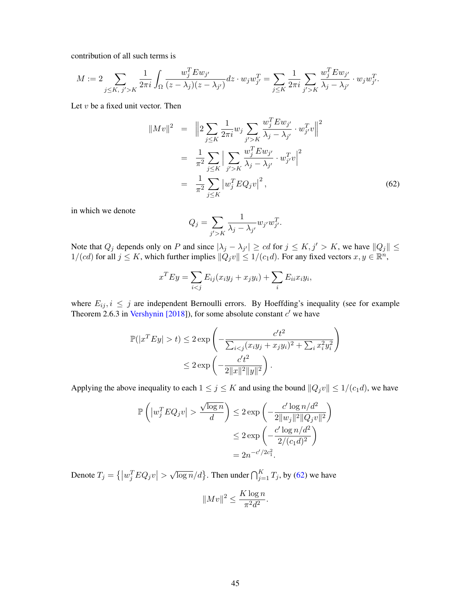contribution of all such terms is

$$
M := 2 \sum_{j \le K, j' > K} \frac{1}{2\pi i} \int_{\Omega} \frac{w_j^T E w_{j'}}{(z - \lambda_j)(z - \lambda_{j'})} dz \cdot w_j w_{j'}^T = \sum_{j \le K} \frac{1}{2\pi i} \sum_{j' > K} \frac{w_j^T E w_{j'}}{\lambda_j - \lambda_{j'}} \cdot w_j w_{j'}^T.
$$

Let  $v$  be a fixed unit vector. Then

<span id="page-44-0"></span>
$$
||Mv||^{2} = ||2 \sum_{j \leq K} \frac{1}{2\pi i} w_{j} \sum_{j' > K} \frac{w_{j}^{T} E w_{j'}}{\lambda_{j} - \lambda_{j'}} \cdot w_{j'}^{T} v||^{2}
$$
  

$$
= \frac{1}{\pi^{2}} \sum_{j \leq K} \Big| \sum_{j' > K} \frac{w_{j}^{T} E w_{j'}}{\lambda_{j} - \lambda_{j'}} \cdot w_{j'}^{T} v \Big|^{2}
$$
  

$$
= \frac{1}{\pi^{2}} \sum_{j \leq K} |w_{j}^{T} E Q_{j} v|^{2}, \qquad (62)
$$

in which we denote

$$
Q_j = \sum_{j' > K} \frac{1}{\lambda_j - \lambda_{j'}} w_{j'} w_{j'}^T.
$$

Note that  $Q_j$  depends only on P and since  $|\lambda_j - \lambda_{j'}| \geq cd$  for  $j \leq K, j' > K$ , we have  $||Q_j|| \leq$  $1/(cd)$  for all  $j \leq K$ , which further implies  $\|\tilde{Q}_j v\| \leq 1/(c_1 d)$ . For any fixed vectors  $x, y \in \mathbb{R}^n$ ,

$$
x^T E y = \sum_{i < j} E_{ij}(x_i y_j + x_j y_i) + \sum_i E_{ii} x_i y_i,
$$

where  $E_{ij}$ ,  $i \leq j$  are independent Bernoulli errors. By Hoeffding's inequality (see for example Theorem 2.6.3 in [Vershynin \[2018\]](#page-24-14)), for some absolute constant  $c'$  we have

$$
\mathbb{P}(|x^T E y| > t) \le 2 \exp\left(-\frac{c't^2}{\sum_{i < j} (x_i y_j + x_j y_i)^2 + \sum_i x_i^2 y_i^2}\right) \le 2 \exp\left(-\frac{c't^2}{2||x||^2||y||^2}\right).
$$

Applying the above inequality to each  $1 \le j \le K$  and using the bound  $||Q_jv|| \le 1/(c_1d)$ , we have

$$
\mathbb{P}\left(\left|w_j^T E Q_j v\right| > \frac{\sqrt{\log n}}{d}\right) \le 2 \exp\left(-\frac{c' \log n/d^2}{2\|w_j\|^2 \|Q_j v\|^2}\right)
$$

$$
\le 2 \exp\left(-\frac{c' \log n/d^2}{2/(c_1 d)^2}\right)
$$

$$
= 2n^{-c'/2c_1^2}.
$$

Denote  $T_j = \left\{ \left| w_j^T E Q_j v \right| > \right\}$  $\sqrt{\log n}/d$ . Then under  $\bigcap_{j=1}^K T_j$ , by [\(62\)](#page-44-0) we have

$$
||Mv||^2 \le \frac{K \log n}{\pi^2 d^2}.
$$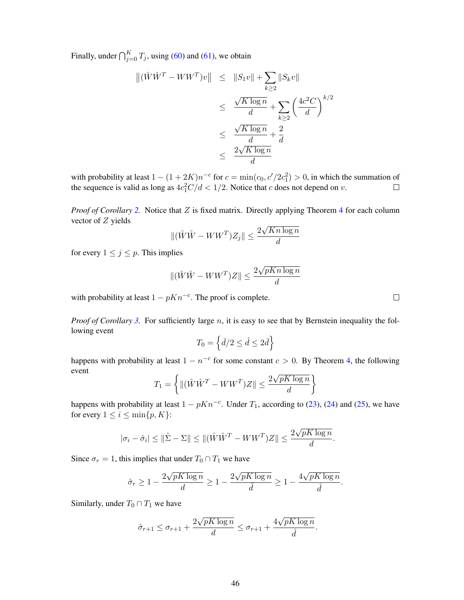Finally, under  $\bigcap_{j=0}^{K} T_j$ , using [\(60\)](#page-43-1) and [\(61\)](#page-43-2), we obtain

$$
\begin{aligned} \left\| (\hat{W}\hat{W}^T - WW^T)v \right\| &\leq \quad \|S_1 v\| + \sum_{k\geq 2} \|S_k v\| \\ &\leq \quad \frac{\sqrt{K \log n}}{d} + \sum_{k\geq 2} \left(\frac{4c^2 C}{d}\right)^{k/2} \\ &\leq \quad \frac{\sqrt{K \log n}}{d} + \frac{2}{d} \\ &\leq \quad \frac{2\sqrt{K \log n}}{d} \end{aligned}
$$

with probability at least  $1 - (1 + 2K)n^{-c}$  for  $c = \min(c_0, c'/2c_1^2) > 0$ , in which the summation of the sequence is valid as long as  $4c_1^2C/d < 1/2$ . Notice that c does not depend on v.  $\Box$ 

*Proof of Corollary [2.](#page-12-3)* Notice that Z is fixed matrix. Directly applying Theorem [4](#page-12-4) for each column vector of Z yields √

$$
\|(\hat{W}\hat{W} - WW^T)Z_j\| \le \frac{2\sqrt{Kn\log n}}{d}
$$

for every  $1 \leq j \leq p$ . This implies

$$
\|(\hat{W}\hat{W} - WW^T)Z\| \le \frac{2\sqrt{pKn\log n}}{d}
$$

with probability at least  $1 - pKn^{-c}$ . The proof is complete.

*Proof of Corollary [3.](#page-13-0)* For sufficiently large n, it is easy to see that by Bernstein inequality the following event

$$
T_0=\left\{\bar{d}/2\leq\hat{d}\leq 2\bar{d}\right\}
$$

happens with probability at least  $1 - n^{-c}$  for some constant  $c > 0$ . By Theorem [4,](#page-12-4) the following event √

$$
T_1 = \left\{ \left\| (\hat{W}\hat{W}^T - WW^T)Z \right\| \le \frac{2\sqrt{pK\log n}}{d} \right\}
$$

happens with probability at least  $1 - pKn^{-c}$ . Under  $T_1$ , according to [\(23\)](#page-8-1), [\(24\)](#page-8-2) and [\(25\)](#page-8-3), we have for every  $1 \leq i \leq \min\{p, K\}$ :

$$
|\sigma_i - \hat{\sigma}_i| \le ||\hat{\Sigma} - \Sigma|| \le ||(\hat{W}\hat{W}^T - WW^T)Z|| \le \frac{2\sqrt{pK\log n}}{d}.
$$

Since  $\sigma_r = 1$ , this implies that under  $T_0 \cap T_1$  we have

$$
\hat{\sigma}_r \ge 1 - \frac{2\sqrt{pK\log n}}{d} \ge 1 - \frac{2\sqrt{pK\log n}}{\bar{d}} \ge 1 - \frac{4\sqrt{pK\log n}}{\hat{d}}.
$$

Similarly, under  $T_0 \cap T_1$  we have

$$
\hat{\sigma}_{r+1} \le \sigma_{r+1} + \frac{2\sqrt{pK\log n}}{d} \le \sigma_{r+1} + \frac{4\sqrt{pK\log n}}{\hat{d}}.
$$

 $\Box$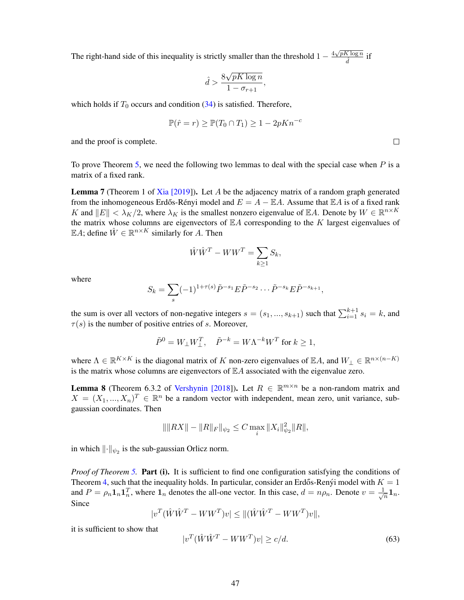The right-hand side of this inequality is strictly smaller than the threshold  $1 - \frac{4\sqrt{pK \log n}}{2}$  $\frac{\Delta \log n}{d}$  if

$$
\hat{d} > \frac{8\sqrt{pK\log n}}{1 - \sigma_{r+1}},
$$

which holds if  $T_0$  occurs and condition [\(34\)](#page-13-3) is satisfied. Therefore,

$$
\mathbb{P}(\hat{r} = r) \ge \mathbb{P}(T_0 \cap T_1) \ge 1 - 2pKn^{-c}
$$

and the proof is complete.

To prove Theorem [5,](#page-13-1) we need the following two lemmas to deal with the special case when  $P$  is a matrix of a fixed rank.

<span id="page-46-0"></span>**Lemma 7** (Theorem 1 of [Xia \[2019\]](#page-25-4)). Let A be the adjacency matrix of a random graph generated from the inhomogeneous Erdős-Rényi model and  $E = A - \mathbb{E}A$ . Assume that  $\mathbb{E}A$  is of a fixed rank K and  $||E|| < \lambda_K/2$ , where  $\lambda_K$  is the smallest nonzero eigenvalue of EA. Denote by  $W \in \mathbb{R}^{n \times K}$ the matrix whose columns are eigenvectors of  $\mathbb{E} A$  corresponding to the K largest eigenvalues of EA; define  $\hat{W} \in \mathbb{R}^{n \times K}$  similarly for A. Then

$$
\hat{W}\hat{W}^T - WW^T = \sum_{k \ge 1} S_k,
$$

where

$$
S_k = \sum_s (-1)^{1+\tau(s)} \tilde{P}^{-s_1} E \tilde{P}^{-s_2} \cdots \tilde{P}^{-s_k} E \tilde{P}^{-s_{k+1}},
$$

the sum is over all vectors of non-negative integers  $s = (s_1, ..., s_{k+1})$  such that  $\sum_{i=1}^{k+1} s_i = k$ , and  $\tau(s)$  is the number of positive entries of s. Moreover,

$$
\tilde{P}^0 = W_\perp W_\perp^T, \quad \tilde{P}^{-k} = W \Lambda^{-k} W^T \text{ for } k \ge 1,
$$

where  $\Lambda \in \mathbb{R}^{K \times K}$  is the diagonal matrix of K non-zero eigenvalues of  $\mathbb{E}A$ , and  $W_{\perp} \in \mathbb{R}^{n \times (n-K)}$ is the matrix whose columns are eigenvectors of  $\mathbb{E} A$  associated with the eigenvalue zero.

<span id="page-46-1"></span>**Lemma 8** (Theorem 6.3.2 of [Vershynin \[2018\]](#page-24-14)). Let  $R \in \mathbb{R}^{m \times n}$  be a non-random matrix and  $X = (X_1, ..., X_n)^T \in \mathbb{R}^n$  be a random vector with independent, mean zero, unit variance, subgaussian coordinates. Then

$$
\|\|RX\| - \|R\|_F\|_{\psi_2} \leq C \max_i \|X_i\|_{\psi_2}^2 \|R\|,
$$

in which  $\lVert \cdot \rVert_{\psi_2}$  is the sub-gaussian Orlicz norm.

*Proof of Theorem [5.](#page-13-1)* Part (i). It is sufficient to find one configuration satisfying the conditions of Theorem [4,](#page-12-4) such that the inequality holds. In particular, consider an Erdős-Ren  $\gamma$ i model with  $K = 1$ and  $P = \rho_n \mathbf{1}_n \mathbf{1}_n^T$ , where  $\mathbf{1}_n$  denotes the all-one vector. In this case,  $d = n \rho_n$ . Denote  $v = \frac{1}{\sqrt{n}}$  $\frac{1}{n} \mathbf{1}_n.$ Since

$$
|v^T(\hat{W}\hat{W}^T - WW^T)v| \leq \|(\hat{W}\hat{W}^T - WW^T)v\|,
$$

it is sufficient to show that

$$
|v^T(\hat{W}\hat{W}^T - WW^T)v| \ge c/d. \tag{63}
$$

 $\Box$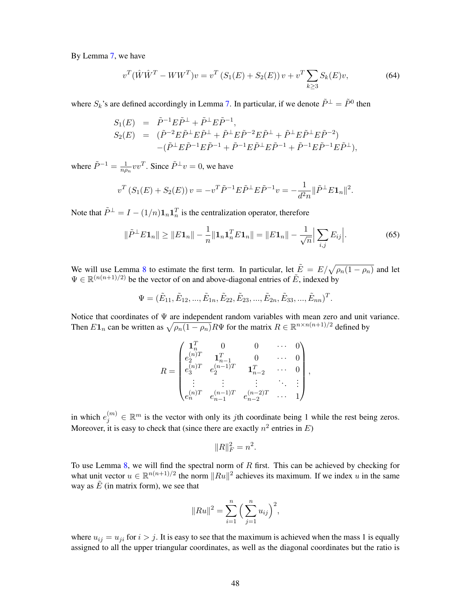By Lemma [7,](#page-46-0) we have

<span id="page-47-1"></span>
$$
v^{T}(\hat{W}\hat{W}^{T} - WW^{T})v = v^{T}\left(S_{1}(E) + S_{2}(E)\right)v + v^{T}\sum_{k\geq 3}S_{k}(E)v,
$$
\n(64)

where  $S_k$ 's are defined accordingly in Lemma [7.](#page-46-0) In particular, if we denote  $\tilde{P}^{\perp} = \tilde{P}^0$  then

$$
S_1(E) = \tilde{P}^{-1} E \tilde{P}^{\perp} + \tilde{P}^{\perp} E \tilde{P}^{-1},
$$
  
\n
$$
S_2(E) = (\tilde{P}^{-2} E \tilde{P}^{\perp} E \tilde{P}^{\perp} + \tilde{P}^{\perp} E \tilde{P}^{-2} E \tilde{P}^{\perp} + \tilde{P}^{\perp} E \tilde{P}^{\perp} E \tilde{P}^{-2})
$$
  
\n
$$
-(\tilde{P}^{\perp} E \tilde{P}^{-1} E \tilde{P}^{-1} + \tilde{P}^{-1} E \tilde{P}^{\perp} E \tilde{P}^{-1} + \tilde{P}^{-1} E \tilde{P}^{-1} E \tilde{P}^{\perp}),
$$

where  $\tilde{P}^{-1} = \frac{1}{nq}$  $\frac{1}{n\rho_n}vv^T$ . Since  $\tilde{P}^{\perp}v=0$ , we have

$$
v^T \left( S_1(E) + S_2(E) \right) v = -v^T \tilde{P}^{-1} E \tilde{P}^{\perp} E \tilde{P}^{-1} v = -\frac{1}{d^2 n} ||\tilde{P}^{\perp} E \mathbf{1}_n||^2.
$$

Note that  $\tilde{P}^{\perp} = I - (1/n) \mathbf{1}_n \mathbf{1}_n^T$  is the centralization operator, therefore

<span id="page-47-0"></span>
$$
\|\tilde{P}^{\perp}E\mathbf{1}_n\| \ge \|E\mathbf{1}_n\| - \frac{1}{n}\|\mathbf{1}_n\mathbf{1}_n^T E\mathbf{1}_n\| = \|E\mathbf{1}_n\| - \frac{1}{\sqrt{n}}\Big|\sum_{i,j} E_{ij}\Big|.
$$
 (65)

We will use Lemma [8](#page-46-1) to estimate the first term. In particular, let  $\tilde{E} = E/\sqrt{\rho_n(1-\rho_n)}$  and let  $\Psi \in \mathbb{R}^{(n(n+1)/2)}$  be the vector of on and above-diagonal entries of  $\tilde{E}$ , indexed by

$$
\Psi = (\tilde{E}_{11}, \tilde{E}_{12}, ..., \tilde{E}_{1n}, \tilde{E}_{22}, \tilde{E}_{23}, ..., \tilde{E}_{2n}, \tilde{E}_{33}, ..., \tilde{E}_{nn})^T.
$$

Notice that coordinates of Ψ are independent random variables with mean zero and unit variance. Then  $E1_n$  can be written as  $\sqrt{\rho_n(1-\rho_n)}R\Psi$  for the matrix  $R \in \mathbb{R}^{n \times n(n+1)/2}$  defined by

$$
R = \begin{pmatrix} \mathbf{1}_n^T & 0 & 0 & \cdots & 0 \\ e_2^{(n)T} & \mathbf{1}_{n-1}^T & 0 & \cdots & 0 \\ e_3^{(n)T} & e_2^{(n-1)T} & \mathbf{1}_{n-2}^T & \cdots & 0 \\ \vdots & \vdots & \vdots & \ddots & \vdots \\ e_n^{(n)T} & e_{n-1}^{(n-1)T} & e_{n-2}^{(n-2)T} & \cdots & 1 \end{pmatrix},
$$

in which  $e_j^{(m)} \in \mathbb{R}^m$  is the vector with only its *j*th coordinate being 1 while the rest being zeros. Moreover, it is easy to check that (since there are exactly  $n^2$  entries in E)

$$
||R||_F^2 = n^2.
$$

To use Lemma [8,](#page-46-1) we will find the spectral norm of  $R$  first. This can be achieved by checking for what unit vector  $u \in \mathbb{R}^{n(n+1)/2}$  the norm  $||Ru||^2$  achieves its maximum. If we index u in the same way as  $\tilde{E}$  (in matrix form), we see that

$$
||Ru||^{2} = \sum_{i=1}^{n} \left(\sum_{j=1}^{n} u_{ij}\right)^{2},
$$

where  $u_{ij} = u_{ji}$  for  $i > j$ . It is easy to see that the maximum is achieved when the mass 1 is equally assigned to all the upper triangular coordinates, as well as the diagonal coordinates but the ratio is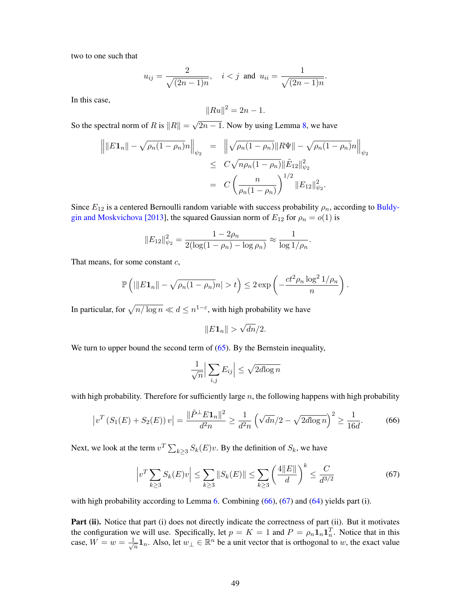two to one such that

$$
u_{ij} = \frac{2}{\sqrt{(2n-1)n}}, \quad i < j \text{ and } u_{ii} = \frac{1}{\sqrt{(2n-1)n}}.
$$

In this case,

$$
||Ru||^2 = 2n - 1.
$$

So the spectral norm of R is  $||R|| =$ √  $\sqrt{2n-1}$ . Now by using Lemma [8,](#page-46-1) we have

$$
\|E\mathbf{1}_n\| - \sqrt{\rho_n(1-\rho_n)}n\|_{\psi_2} = \left\| \sqrt{\rho_n(1-\rho_n)} \|R\Psi\| - \sqrt{\rho_n(1-\rho_n)}n\right\|_{\psi_2}
$$
  
\n
$$
\leq C\sqrt{n\rho_n(1-\rho_n)} \|\tilde{E}_{12}\|_{\psi_2}^2
$$
  
\n
$$
= C\left(\frac{n}{\rho_n(1-\rho_n)}\right)^{1/2} \|E_{12}\|_{\psi_2}^2.
$$

Since  $E_{12}$  is a centered Bernoulli random variable with success probability  $\rho_n$ , according to [Buldy](#page-21-16)[gin and Moskvichova \[2013\]](#page-21-16), the squared Gaussian norm of  $E_{12}$  for  $\rho_n = o(1)$  is

$$
||E_{12}||_{\psi_2}^2 = \frac{1 - 2\rho_n}{2(\log(1 - \rho_n) - \log \rho_n)} \approx \frac{1}{\log 1/\rho_n}.
$$

That means, for some constant  $c$ ,

$$
\mathbb{P}\left(||E\mathbf{1}_n|| - \sqrt{\rho_n(1-\rho_n)}n| > t\right) \leq 2\exp\left(-\frac{ct^2\rho_n\log^2 1/\rho_n}{n}\right).
$$

In particular, for  $\sqrt{n/\log n} \ll d \leq n^{1-\varepsilon}$ , with high probability we have

$$
||E\mathbf{1}_n|| > \sqrt{dn}/2.
$$

We turn to upper bound the second term of  $(65)$ . By the Bernstein inequality,

<span id="page-48-1"></span>
$$
\frac{1}{\sqrt{n}} \Big| \sum_{i,j} E_{ij} \Big| \le \sqrt{2d \log n}
$$

with high probability. Therefore for sufficiently large  $n$ , the following happens with high probability

<span id="page-48-0"></span>
$$
\left|v^T\left(S_1(E) + S_2(E)\right)v\right| = \frac{\|\tilde{P}^{\perp}E\mathbf{1}_n\|^2}{d^2n} \ge \frac{1}{d^2n} \left(\sqrt{dn}/2 - \sqrt{2d\log n}\right)^2 \ge \frac{1}{16d}.\tag{66}
$$

Next, we look at the term  $v^T \sum_{k \ge 3} S_k(E)v$ . By the definition of  $S_k$ , we have

$$
\left| v^T \sum_{k \ge 3} S_k(E) v \right| \le \sum_{k \ge 3} \| S_k(E) \| \le \sum_{k \ge 3} \left( \frac{4 \| E \| }{d} \right)^k \le \frac{C}{d^{3/2}} \tag{67}
$$

with high probability according to Lemma [6.](#page-43-0) Combining [\(66\)](#page-48-0), [\(67\)](#page-48-1) and [\(64\)](#page-47-1) yields part (i).

Part (ii). Notice that part (i) does not directly indicate the correctness of part (ii). But it motivates the configuration we will use. Specifically, let  $p = K = 1$  and  $P = \rho_n \mathbf{1}_n \mathbf{1}_n^T$ . Notice that in this case,  $W = w = \frac{1}{\sqrt{2}}$  $\frac{1}{n}$ 1<sub>n</sub>. Also, let  $w_{\perp} \in \mathbb{R}^n$  be a unit vector that is orthogonal to w, the exact value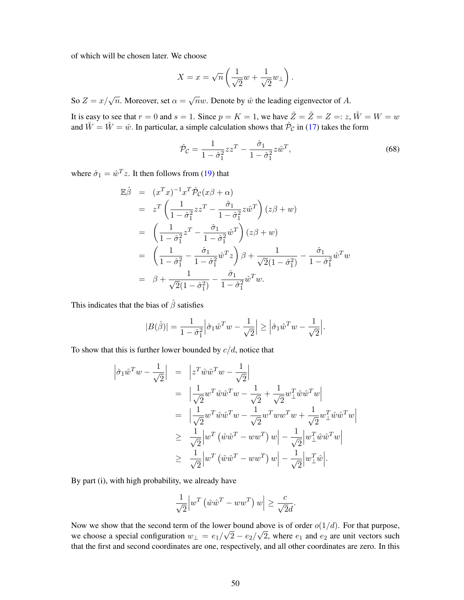of which will be chosen later. We choose

$$
X = x = \sqrt{n} \left( \frac{1}{\sqrt{2}} w + \frac{1}{\sqrt{2}} w_{\perp} \right).
$$

So  $Z = x/\sqrt{n}$ . Moreover, set  $\alpha = \sqrt{n}w$ . Denote by  $\hat{w}$  the leading eigenvector of A.

It is easy to see that  $r = 0$  and  $s = 1$ . Since  $p = K = 1$ , we have  $\hat{Z} = \tilde{Z} = Z =: z$ ,  $\tilde{W} = W = w$ and  $\check{W} = \hat{W} = \hat{w}$ . In particular, a simple calculation shows that  $\hat{\mathcal{P}}_{\mathcal{C}}$  in [\(17\)](#page-7-3) takes the form

<span id="page-49-0"></span>
$$
\hat{\mathcal{P}}_{\mathcal{C}} = \frac{1}{1 - \hat{\sigma}_1^2} z z^T - \frac{\hat{\sigma}_1}{1 - \hat{\sigma}_1^2} z \hat{w}^T,\tag{68}
$$

where  $\hat{\sigma}_1 = \hat{w}^T z$ . It then follows from [\(19\)](#page-7-2) that

$$
\mathbb{E}\hat{\beta} = (x^T x)^{-1} x^T \hat{\mathcal{P}}_C(x\beta + \alpha)
$$
\n
$$
= z^T \left(\frac{1}{1 - \hat{\sigma}_1^2} z z^T - \frac{\hat{\sigma}_1}{1 - \hat{\sigma}_1^2} z \hat{w}^T\right) (z\beta + w)
$$
\n
$$
= \left(\frac{1}{1 - \hat{\sigma}_1^2} z^T - \frac{\hat{\sigma}_1}{1 - \hat{\sigma}_1^2} \hat{w}^T\right) (z\beta + w)
$$
\n
$$
= \left(\frac{1}{1 - \hat{\sigma}_1^2} - \frac{\hat{\sigma}_1}{1 - \hat{\sigma}_1^2} \hat{w}^T z\right) \beta + \frac{1}{\sqrt{2}(1 - \hat{\sigma}_1^2)} - \frac{\hat{\sigma}_1}{1 - \hat{\sigma}_1^2} \hat{w}^T w
$$
\n
$$
= \beta + \frac{1}{\sqrt{2}(1 - \hat{\sigma}_1^2)} - \frac{\hat{\sigma}_1}{1 - \hat{\sigma}_1^2} \hat{w}^T w.
$$

This indicates that the bias of  $\hat{\beta}$  satisfies

$$
|B(\hat{\beta})| = \frac{1}{1-\hat{\sigma}_1^2} \left| \hat{\sigma}_1 \hat{w}^T w - \frac{1}{\sqrt{2}} \right| \ge \left| \hat{\sigma}_1 \hat{w}^T w - \frac{1}{\sqrt{2}} \right|.
$$

To show that this is further lower bounded by  $c/d$ , notice that

$$
\begin{aligned}\n\left|\hat{\sigma}_{1}\hat{w}^{T}w - \frac{1}{\sqrt{2}}\right| &= \left|z^{T}\hat{w}\hat{w}^{T}w - \frac{1}{\sqrt{2}}\right| \\
&= \left|\frac{1}{\sqrt{2}}w^{T}\hat{w}\hat{w}^{T}w - \frac{1}{\sqrt{2}} + \frac{1}{\sqrt{2}}w_{\perp}^{T}\hat{w}\hat{w}^{T}w\right| \\
&= \left|\frac{1}{\sqrt{2}}w^{T}\hat{w}\hat{w}^{T}w - \frac{1}{\sqrt{2}}w^{T}ww^{T}w + \frac{1}{\sqrt{2}}w_{\perp}^{T}\hat{w}\hat{w}^{T}w\right| \\
&\geq \frac{1}{\sqrt{2}}\left|w^{T}\left(\hat{w}\hat{w}^{T} - ww^{T}\right)w\right| - \frac{1}{\sqrt{2}}\left|w_{\perp}^{T}\hat{w}\hat{w}^{T}w\right| \\
&\geq \frac{1}{\sqrt{2}}\left|w^{T}\left(\hat{w}\hat{w}^{T} - ww^{T}\right)w\right| - \frac{1}{\sqrt{2}}\left|w_{\perp}^{T}\hat{w}\right|.\n\end{aligned}
$$

By part (i), with high probability, we already have

$$
\frac{1}{\sqrt{2}} \left| w^T \left( \hat{w} \hat{w}^T - ww^T \right) w \right| \ge \frac{c}{\sqrt{2}d}.
$$

Now we show that the second term of the lower bound above is of order  $o(1/d)$ . For that purpose, we choose a special configuration  $w_{\perp} = e_1/\sqrt{2} - e_2/\sqrt{2}$ , where  $e_1$  and  $e_2$  are unit vectors such that the first and second coordinates are one, respectively, and all other coordinates are zero. In this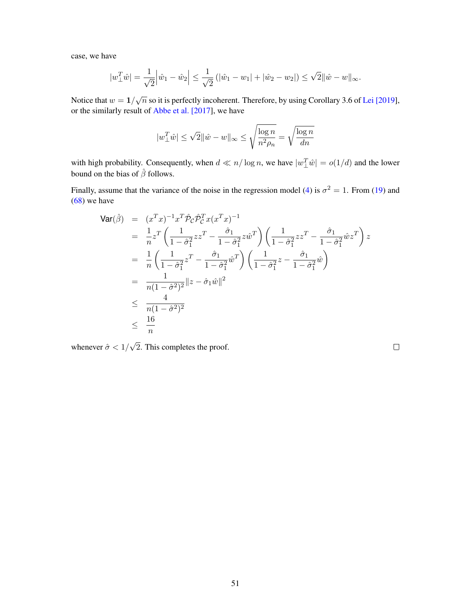case, we have

$$
|w_{\perp}^T \hat{w}| = \frac{1}{\sqrt{2}} \Big| \hat{w}_1 - \hat{w}_2 \Big| \le \frac{1}{\sqrt{2}} \left( |\hat{w}_1 - w_1| + |\hat{w}_2 - w_2| \right) \le \sqrt{2} ||\hat{w} - w||_{\infty}.
$$

Notice that  $w = 1/\sqrt{n}$  so it is perfectly incoherent. Therefore, by using Corollary 3.6 of [Lei \[2019\]](#page-23-12), or the similarly result of [Abbe et al. \[2017\]](#page-21-11), we have

$$
|w_{\perp}^T\hat{w}| \le \sqrt{2} \|\hat{w} - w\|_{\infty} \le \sqrt{\frac{\log n}{n^2 \rho_n}} = \sqrt{\frac{\log n}{dn}}
$$

with high probability. Consequently, when  $d \ll n/\log n$ , we have  $|w_{\perp}^T \hat{w}| = o(1/d)$  and the lower bound on the bias of  $\hat{\beta}$  follows.

Finally, assume that the variance of the noise in the regression model [\(4\)](#page-4-5) is  $\sigma^2 = 1$ . From [\(19\)](#page-7-2) and [\(68\)](#page-49-0) we have

$$
\begin{split}\n\text{Var}(\hat{\beta}) &= (x^T x)^{-1} x^T \hat{\mathcal{P}}_{\mathcal{C}} \hat{\mathcal{P}}_{\mathcal{C}}^T x (x^T x)^{-1} \\
&= \frac{1}{n} z^T \left( \frac{1}{1 - \hat{\sigma}_1^2} z z^T - \frac{\hat{\sigma}_1}{1 - \hat{\sigma}_1^2} z \hat{w}^T \right) \left( \frac{1}{1 - \hat{\sigma}_1^2} z z^T - \frac{\hat{\sigma}_1}{1 - \hat{\sigma}_1^2} \hat{w} z^T \right) z \\
&= \frac{1}{n} \left( \frac{1}{1 - \hat{\sigma}_1^2} z^T - \frac{\hat{\sigma}_1}{1 - \hat{\sigma}_1^2} \hat{w}^T \right) \left( \frac{1}{1 - \hat{\sigma}_1^2} z - \frac{\hat{\sigma}_1}{1 - \hat{\sigma}_1^2} \hat{w} \right) \\
&= \frac{1}{n(1 - \hat{\sigma}^2)^2} \|z - \hat{\sigma}_1 \hat{w}\|^2 \\
&\leq \frac{4}{n(1 - \hat{\sigma}^2)^2} \\
&\leq \frac{16}{n}\n\end{split}
$$

whenever  $\hat{\sigma}$  < 1/ √ 2. This completes the proof.

 $\Box$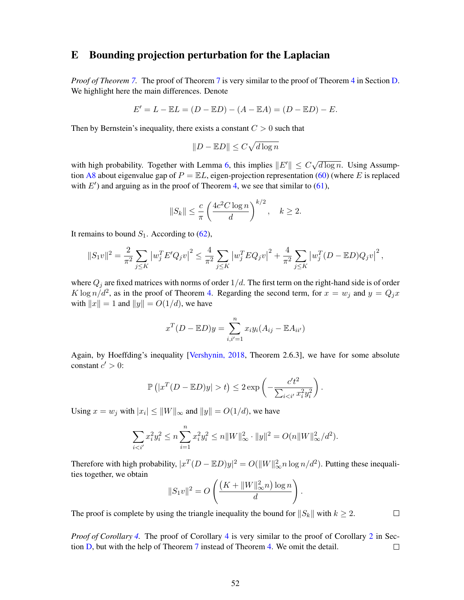# E Bounding projection perturbation for the Laplacian

*Proof of Theorem [7.](#page-16-1)* The proof of Theorem [7](#page-16-1) is very similar to the proof of Theorem [4](#page-12-4) in Section [D.](#page-43-3) We highlight here the main differences. Denote

$$
E' = L - \mathbb{E}L = (D - \mathbb{E}D) - (A - \mathbb{E}A) = (D - \mathbb{E}D) - E.
$$

Then by Bernstein's inequality, there exists a constant  $C > 0$  such that

$$
||D - \mathbb{E}D|| \leq C\sqrt{d \log n}
$$

with high probability. Together with Lemma [6,](#page-43-0) this implies  $||E'|| \leq C\sqrt{\frac{2}{n}}$  $\overline{d \log n}$ . Using Assump-tion [A8](#page-15-1) about eigenvalue gap of  $P = \mathbb{E}L$ , eigen-projection representation [\(60\)](#page-43-1) (where E is replaced with  $E'$ ) and arguing as in the proof of Theorem [4,](#page-12-4) we see that similar to [\(61\)](#page-43-2),

$$
||S_k|| \le \frac{c}{\pi} \left(\frac{4c^2 C \log n}{d}\right)^{k/2}, \quad k \ge 2.
$$

It remains to bound  $S_1$ . According to [\(62\)](#page-44-0),

$$
||S_1v||^2 = \frac{2}{\pi^2} \sum_{j \leq K} \left| w_j^T E' Q_j v \right|^2 \leq \frac{4}{\pi^2} \sum_{j \leq K} \left| w_j^T E Q_j v \right|^2 + \frac{4}{\pi^2} \sum_{j \leq K} \left| w_j^T (D - \mathbb{E} D) Q_j v \right|^2,
$$

where  $Q_i$  are fixed matrices with norms of order  $1/d$ . The first term on the right-hand side is of order  $K \log n/d^2$ , as in the proof of Theorem [4.](#page-12-4) Regarding the second term, for  $x = w_j$  and  $y = Q_j x$ with  $||x|| = 1$  and  $||y|| = O(1/d)$ , we have

$$
x^{T}(D - \mathbb{E}D)y = \sum_{i,i'=1}^{n} x_{i}y_{i}(A_{ij} - \mathbb{E}A_{ii'})
$$

Again, by Hoeffding's inequality [\[Vershynin, 2018,](#page-24-14) Theorem 2.6.3], we have for some absolute constant  $c' > 0$ :

$$
\mathbb{P}\left(|x^T(D - \mathbb{E}D)y| > t\right) \leq 2 \exp\left(-\frac{c't^2}{\sum_{i < i'} x_i^2 y_i^2}\right).
$$

Using  $x = w_j$  with  $|x_i| \le ||W||_{\infty}$  and  $||y|| = O(1/d)$ , we have

$$
\sum_{i < i'} x_i^2 y_i^2 \le n \sum_{i=1}^n x_i^2 y_i^2 \le n \|W\|_{\infty}^2 \cdot \|y\|^2 = O(n \|W\|_{\infty}^2 / d^2).
$$

Therefore with high probability,  $|x^T(D - \mathbb{E}D)y|^2 = O(||W||^2_{\infty} n \log n/d^2)$ . Putting these inequalities together, we obtain

$$
||S_1v||^2 = O\left(\frac{(K + ||W||_{\infty}^2 n) \log n}{d}\right).
$$

The proof is complete by using the triangle inequality the bound for  $||S_k||$  with  $k \geq 2$ .

 $\Box$ 

*Proof of Corollary [4.](#page-16-2)* The proof of Corollary [4](#page-16-2) is very similar to the proof of Corollary [2](#page-12-3) in Section [D,](#page-43-3) but with the help of Theorem [7](#page-16-1) instead of Theorem [4.](#page-12-4) We omit the detail.  $\Box$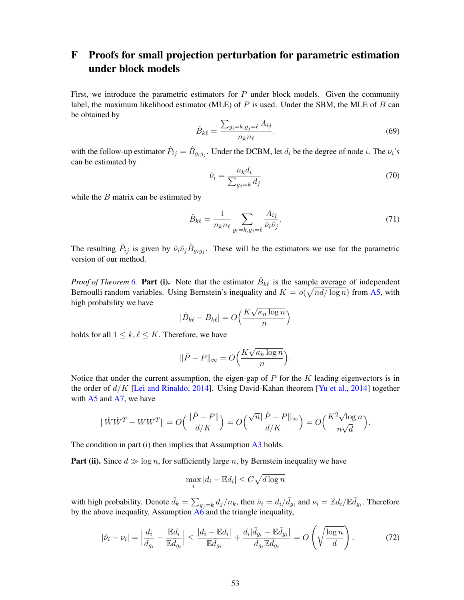# <span id="page-52-0"></span>F Proofs for small projection perturbation for parametric estimation under block models

First, we introduce the parametric estimators for  $P$  under block models. Given the community label, the maximum likelihood estimator (MLE) of  $P$  is used. Under the SBM, the MLE of  $B$  can be obtained by

$$
\hat{B}_{k\ell} = \frac{\sum_{g_i = k, g_j = \ell} A_{ij}}{n_k n_\ell}.
$$
\n(69)

with the follow-up estimator  $\hat{P}_{ij} = \hat{B}_{g_i g_j}$ . Under the DCBM, let  $d_i$  be the degree of node *i*. The  $\nu_i$ 's can be estimated by

$$
\hat{\nu}_i = \frac{n_k d_i}{\sum_{g_j = k} d_j} \tag{70}
$$

while the  $B$  matrix can be estimated by

$$
\hat{B}_{k\ell} = \frac{1}{n_k n_\ell} \sum_{g_i = k, g_j = \ell} \frac{A_{ij}}{\hat{\nu}_i \hat{\nu}_j}.
$$
\n(71)

The resulting  $\hat{P}_{ij}$  is given by  $\hat{\nu}_i \hat{\nu}_j \hat{B}_{g_i g_j}$ . These will be the estimators we use for the parametric version of our method.

*Proof of Theorem [6.](#page-15-2)* Part (i). Note that the estimator  $\hat{B}_{k\ell}$  is the sample average of independent Bernoulli random variables. Using Bernstein's inequality and  $K = o(\sqrt{nd/\log n})$  from [A5,](#page-14-1) with high probability we have √

$$
|\hat{B}_{k\ell} - B_{k\ell}| = O\left(\frac{K\sqrt{\kappa_n \log n}}{n}\right)
$$

holds for all  $1 \leq k, \ell \leq K$ . Therefore, we have

$$
\|\hat{P} - P\|_{\infty} = O\left(\frac{K\sqrt{\kappa_n \log n}}{n}\right).
$$

Notice that under the current assumption, the eigen-gap of  $P$  for the  $K$  leading eigenvectors is in the order of  $d/K$  [\[Lei and Rinaldo, 2014\]](#page-23-13). Using David-Kahan theorem [\[Yu et al., 2014\]](#page-25-5) together with  $A5$  and  $A7$ , we have

$$
\|\hat{W}\hat{W}^T-WW^T\|=O\Big(\frac{\|\hat{P}-P\|}{d/K}\Big)=O\Big(\frac{\sqrt{n}\|\hat{P}-P\|_\infty}{d/K}\Big)=O\Big(\frac{K^2\sqrt{\log n}}{n\sqrt{d}}\Big).
$$

The condition in part (i) then implies that Assumption [A3](#page-8-5) holds.

**Part (ii).** Since  $d \gg \log n$ , for sufficiently large n, by Bernstein inequality we have

$$
\max_{i} |d_i - \mathbb{E}d_i| \le C\sqrt{d \log n}
$$

with high probability. Denote  $\bar{d}_k = \sum_{g_j=k} d_j/n_k$ , then  $\hat{\nu}_i = d_i/\bar{d}_{g_i}$  and  $\nu_i = \mathbb{E} d_i/\mathbb{E} \bar{d}_{g_i}$ . Therefore by the above inequality, Assumption  $\overline{A6}$  $\overline{A6}$  $\overline{A6}$  and the triangle inequality,

<span id="page-52-1"></span>
$$
|\hat{\nu}_i - \nu_i| = \left| \frac{d_i}{\bar{d}_{g_i}} - \frac{\mathbb{E}d_i}{\mathbb{E}\bar{d}_{g_i}} \right| \le \frac{|d_i - \mathbb{E}d_i|}{\mathbb{E}\bar{d}_{g_i}} + \frac{d_i|\bar{d}_{g_i} - \mathbb{E}\bar{d}_{g_i}|}{\bar{d}_{g_i}\mathbb{E}\bar{d}_{g_i}} = O\left(\sqrt{\frac{\log n}{d}}\right). \tag{72}
$$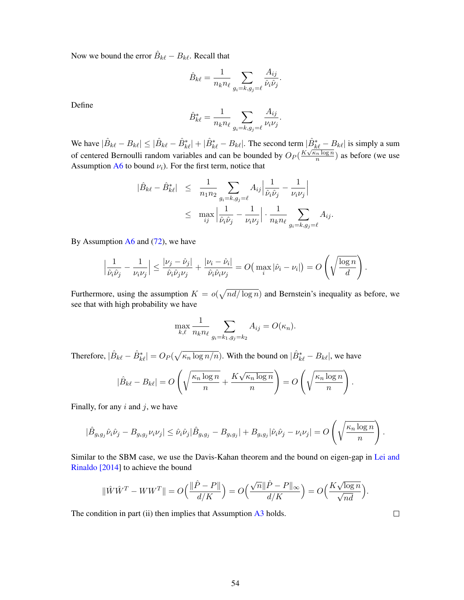Now we bound the error  $\hat{B}_{k\ell} - B_{k\ell}$ . Recall that

$$
\hat{B}_{k\ell} = \frac{1}{n_k n_\ell} \sum_{g_i = k, g_j = \ell} \frac{A_{ij}}{\hat{\nu}_i \hat{\nu}_j}.
$$

Define

$$
\hat{B}_{k\ell}^* = \frac{1}{n_k n_\ell} \sum_{g_i = k, g_j = \ell} \frac{A_{ij}}{\nu_i \nu_j}.
$$

We have  $|\hat{B}_{k\ell} - B_{k\ell}| \leq |\hat{B}_{k\ell} - \hat{B}_{k\ell}^*| + |\hat{B}_{k\ell}^* - B_{k\ell}|$ . The second term  $|\hat{B}_{k\ell}^* - B_{k\ell}|$  is simply a sum of centered Bernoulli random variables and can be bounded by  $O_P(\frac{K\sqrt{\kappa}n \log n}{n})$  $\frac{n \log n}{n}$ ) as before (we use Assumption  $A6$  to bound  $\nu_i$ ). For the first term, notice that

$$
\begin{array}{rcl} |\hat{B}_{k\ell}-\hat{B}_{k\ell}^*| & \leq & \frac{1}{n_1 n_2} \sum_{g_i=k,g_j=\ell} A_{ij} \left| \frac{1}{\hat{\nu}_i \hat{\nu}_j} - \frac{1}{\nu_i \nu_j} \right| \\ & \leq & \max_{ij} \left| \frac{1}{\hat{\nu}_i \hat{\nu}_j} - \frac{1}{\nu_i \nu_j} \right| \cdot \frac{1}{n_k n_\ell} \sum_{g_i=k,g_j=\ell} A_{ij} . \end{array}
$$

By Assumption  $A6$  and [\(72\)](#page-52-1), we have

$$
\left|\frac{1}{\hat{\nu}_i\hat{\nu}_j} - \frac{1}{\nu_i\nu_j}\right| \le \frac{|\nu_j - \hat{\nu}_j|}{\hat{\nu}_i\hat{\nu}_j\nu_j} + \frac{|\nu_i - \hat{\nu}_i|}{\hat{\nu}_i\hat{\nu}_i\nu_j} = O\left(\max_i |\hat{\nu}_i - \nu_i|\right) = O\left(\sqrt{\frac{\log n}{d}}\right).
$$

Furthermore, using the assumption  $K = o(\sqrt{nd/\log n})$  and Bernstein's inequality as before, we see that with high probability we have

$$
\max_{k,\ell} \frac{1}{n_k n_\ell} \sum_{g_i = k_1, g_j = k_2} A_{ij} = O(\kappa_n).
$$

Therefore,  $|\hat{B}_{k\ell} - \hat{B}^*_{k\ell}| = O_P(\sqrt{\kappa_n \log n/n})$ . With the bound on  $|\hat{B}^*_{k\ell} - B_{k\ell}|$ , we have

$$
|\hat{B}_{k\ell} - B_{k\ell}| = O\left(\sqrt{\frac{\kappa_n \log n}{n}} + \frac{K\sqrt{\kappa_n \log n}}{n}\right) = O\left(\sqrt{\frac{\kappa_n \log n}{n}}\right).
$$

Finally, for any  $i$  and  $j$ , we have

$$
|\hat{B}_{g_ig_j}\hat{\nu}_i\hat{\nu}_j - B_{g_ig_j}\nu_i\nu_j| \leq \hat{\nu}_i\hat{\nu}_j|\hat{B}_{g_ig_j} - B_{g_ig_j}| + B_{g_ig_j}|\hat{\nu}_i\hat{\nu}_j - \nu_i\nu_j| = O\left(\sqrt{\frac{\kappa_n \log n}{n}}\right).
$$

Similar to the SBM case, we use the Davis-Kahan theorem and the bound on eigen-gap in [Lei and](#page-23-13) [Rinaldo \[2014\]](#page-23-13) to achieve the bound

$$
\|\hat{W}\hat{W}^T-WW^T\|=O\Big(\frac{\|\hat{P}-P\|}{d/K}\Big)=O\Big(\frac{\sqrt{n}\|\hat{P}-P\|_\infty}{d/K}\Big)=O\Big(\frac{K\sqrt{\log n}}{\sqrt{nd}}\Big).
$$

The condition in part (ii) then implies that Assumption [A3](#page-8-5) holds.

 $\Box$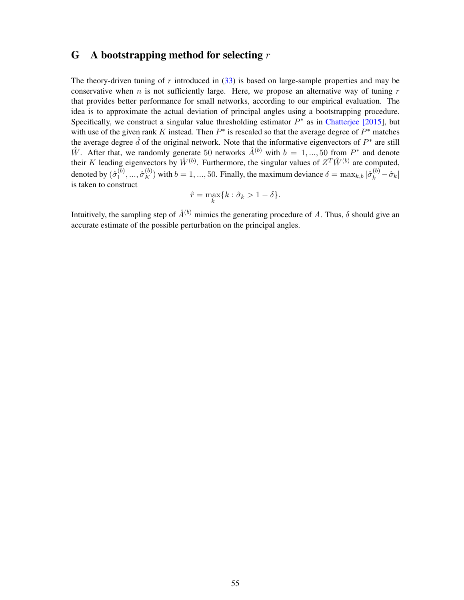# <span id="page-54-0"></span>G A bootstrapping method for selecting  $r$

The theory-driven tuning of  $r$  introduced in  $(33)$  is based on large-sample properties and may be conservative when  $n$  is not sufficiently large. Here, we propose an alternative way of tuning  $r$ that provides better performance for small networks, according to our empirical evaluation. The idea is to approximate the actual deviation of principal angles using a bootstrapping procedure. Specifically, we construct a singular value thresholding estimator  $P^*$  as in [Chatterjee \[2015\]](#page-21-6), but with use of the given rank K instead. Then  $P^*$  is rescaled so that the average degree of  $P^*$  matches the average degree  $\hat{d}$  of the original network. Note that the informative eigenvectors of  $P^*$  are still  $\hat{W}$ . After that, we randomly generate 50 networks  $\hat{A}^{(b)}$  with  $b = 1, ..., 50$  from  $P^*$  and denote their K leading eigenvectors by  $\hat{W}^{(b)}$ . Furthermore, the singular values of  $Z^T \hat{W}^{(b)}$  are computed, denoted by  $(\hat{\sigma}_1^{(b)}$  $\hat{\sigma}_1^{(b)},...,\hat{\sigma}_K^{(b)}$  with  $b=1,...,50$ . Finally, the maximum deviance  $\delta = \max_{k,b} |\hat{\sigma}_k^{(b)} - \hat{\sigma}_k|$ is taken to construct

$$
\hat{r} = \max_{k} \{k : \hat{\sigma}_k > 1 - \delta\}.
$$

Intuitively, the sampling step of  $\hat{A}^{(b)}$  mimics the generating procedure of A. Thus,  $\delta$  should give an accurate estimate of the possible perturbation on the principal angles.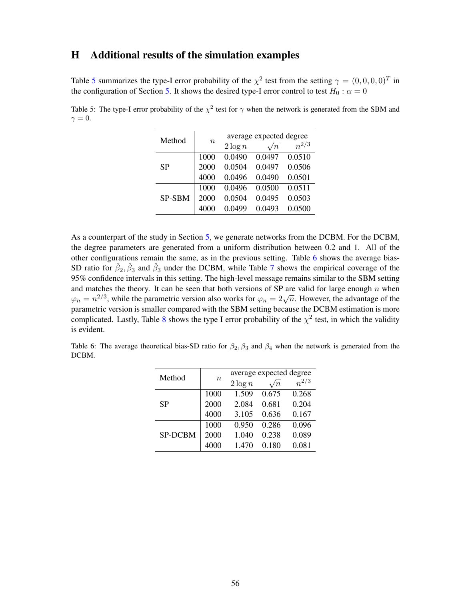# <span id="page-55-0"></span>H Additional results of the simulation examples

Table [5](#page-55-1) summarizes the type-I error probability of the  $\chi^2$  test from the setting  $\gamma = (0,0,0,0)^T$  in the configuration of Section [5.](#page-16-0) It shows the desired type-I error control to test  $H_0$  :  $\alpha = 0$ 

<span id="page-55-1"></span>Table 5: The type-I error probability of the  $\chi^2$  test for  $\gamma$  when the network is generated from the SBM and  $\gamma = 0.$ 

| Method |       |            | average expected degree |           |
|--------|-------|------------|-------------------------|-----------|
|        | $\,n$ | $2 \log n$ | $\sqrt{n}$              | $n^{2/3}$ |
|        | 1000  | 0.0490     | 0.0497                  | 0.0510    |
| SP     | 2000  | 0.0504     | 0.0497                  | 0.0506    |
|        | 4000  | 0.0496     | 0.0490                  | 0.0501    |
|        | 1000  | 0.0496     | 0.0500                  | 0.0511    |
| SP-SBM | 2000  | 0.0504     | 0.0495                  | 0.0503    |
|        | 4000  | 0.0499     | 0.0493                  | 0.0500    |

As a counterpart of the study in Section [5,](#page-16-0) we generate networks from the DCBM. For the DCBM, the degree parameters are generated from a uniform distribution between 0.2 and 1. All of the other configurations remain the same, as in the previous setting. Table [6](#page-55-2) shows the average bias-SD ratio for  $\hat{\beta}_2, \hat{\beta}_3$  and  $\hat{\beta}_3$  under the DCBM, while Table [7](#page-56-0) shows the empirical coverage of the 95% confidence intervals in this setting. The high-level message remains similar to the SBM setting and matches the theory. It can be seen that both versions of SP are valid for large enough  $n$  when  $\varphi_n = n^{2/3}$ , while the parametric version also works for  $\varphi_n = 2\sqrt{n}$ . However, the advantage of the parametric version is smaller compared with the SBM setting because the DCBM estimation is more complicated. Lastly, Table [8](#page-56-1) shows the type I error probability of the  $\chi^2$  test, in which the validity is evident.

<span id="page-55-2"></span>Table 6: The average theoretical bias-SD ratio for  $\beta_2$ ,  $\beta_3$  and  $\beta_4$  when the network is generated from the DCBM.

| Method         |                  |            | average expected degree |           |
|----------------|------------------|------------|-------------------------|-----------|
|                | $\boldsymbol{n}$ | $2 \log n$ | $\sqrt{n}$              | $n^{2/3}$ |
| <b>SP</b>      | 1000             | 1.509      | 0.675                   | 0.268     |
|                | 2000             | 2.084      | 0.681                   | 0.204     |
|                | 4000             | 3.105      | 0.636                   | 0.167     |
|                | 1000             | 0.950      | 0.286                   | 0.096     |
| <b>SP-DCBM</b> | 2000             | 1.040      | 0.238                   | 0.089     |
|                | 4000             | 1.470      | 0.180                   | 0.081     |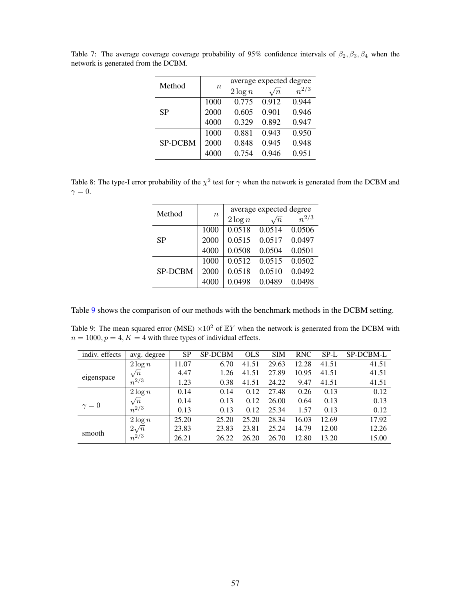| Method         |                  |            | average expected degree |           |
|----------------|------------------|------------|-------------------------|-----------|
|                | $\boldsymbol{n}$ | $2 \log n$ | $\sqrt{n}$              | $n^{2/3}$ |
| SP             | 1000             | 0.775      | 0.912                   | 0.944     |
|                | 2000             | 0.605      | 0.901                   | 0.946     |
|                | 4000             | 0.329      | 0.892                   | 0.947     |
|                | 1000             | 0.881      | 0.943                   | 0.950     |
| <b>SP-DCBM</b> | 2000             | 0.848      | 0.945                   | 0.948     |
|                | 4000             | 0.754      | 0.946                   | 0.951     |

<span id="page-56-0"></span>Table 7: The average coverage coverage probability of 95% confidence intervals of  $\beta_2, \beta_3, \beta_4$  when the network is generated from the DCBM.

<span id="page-56-1"></span>Table 8: The type-I error probability of the  $\chi^2$  test for  $\gamma$  when the network is generated from the DCBM and  $\gamma = 0.$ 

|                |                  | average expected degree |            |           |  |  |  |
|----------------|------------------|-------------------------|------------|-----------|--|--|--|
| Method         | $\boldsymbol{n}$ | $2 \log n$              | $\sqrt{n}$ | $n^{2/3}$ |  |  |  |
| SP             | 1000             | 0.0518                  | 0.0514     | 0.0506    |  |  |  |
|                | 2000             | 0.0515                  | 0.0517     | 0.0497    |  |  |  |
|                | 4000             | 0.0508                  | 0.0504     | 0.0501    |  |  |  |
|                | 1000             | 0.0512                  | 0.0515     | 0.0502    |  |  |  |
| <b>SP-DCBM</b> | 2000             | 0.0518                  | 0.0510     | 0.0492    |  |  |  |
|                | 4000             | 0.0498                  | 0.0489     | 0.0498    |  |  |  |

Table [9](#page-56-2) shows the comparison of our methods with the benchmark methods in the DCBM setting.

<span id="page-56-2"></span>Table 9: The mean squared error (MSE)  $\times 10^2$  of  $EY$  when the network is generated from the DCBM with  $n = 1000, p = 4, K = 4$  with three types of individual effects.

| indiv. effects | avg. degree | <b>SP</b> | <b>SP-DCBM</b> | <b>OLS</b> | <b>SIM</b> | <b>RNC</b> | SP-L  | SP-DCBM-L |
|----------------|-------------|-----------|----------------|------------|------------|------------|-------|-----------|
|                | $2 \log n$  | 11.07     | 6.70           | 41.51      | 29.63      | 12.28      | 41.51 | 41.51     |
|                | $\sqrt{n}$  | 4.47      | 1.26           | 41.51      | 27.89      | 10.95      | 41.51 | 41.51     |
| eigenspace     | $n^{2/3}$   | 1.23      | 0.38           | 41.51      | 24.22      | 9.47       | 41.51 | 41.51     |
|                | $2 \log n$  | 0.14      | 0.14           | 0.12       | 27.48      | 0.26       | 0.13  | 0.12      |
|                | $\sqrt{n}$  | 0.14      | 0.13           | 0.12       | 26.00      | 0.64       | 0.13  | 0.13      |
| $\gamma = 0$   | $n^{2/3}$   | 0.13      | 0.13           | 0.12       | 25.34      | 1.57       | 0.13  | 0.12      |
|                | $2 \log n$  | 25.20     | 25.20          | 25.20      | 28.34      | 16.03      | 12.69 | 17.92     |
|                | $2\sqrt{n}$ | 23.83     | 23.83          | 23.81      | 25.24      | 14.79      | 12.00 | 12.26     |
| smooth         | $n^{2/3}$   | 26.21     | 26.22          | 26.20      | 26.70      | 12.80      | 13.20 | 15.00     |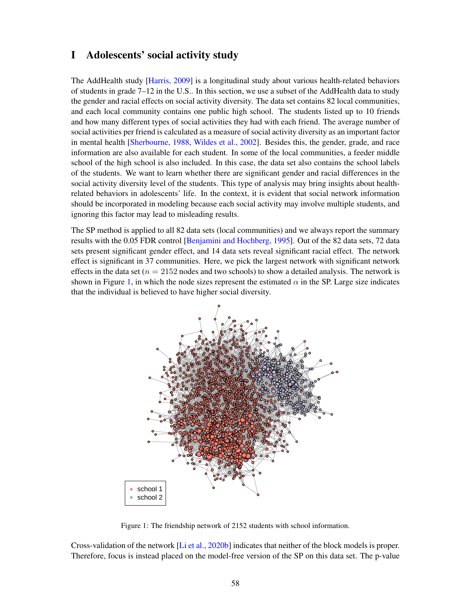# <span id="page-57-0"></span>I Adolescents' social activity study

The AddHealth study [\[Harris, 2009\]](#page-22-17) is a longitudinal study about various health-related behaviors of students in grade 7–12 in the U.S.. In this section, we use a subset of the AddHealth data to study the gender and racial effects on social activity diversity. The data set contains 82 local communities, and each local community contains one public high school. The students listed up to 10 friends and how many different types of social activities they had with each friend. The average number of social activities per friend is calculated as a measure of social activity diversity as an important factor in mental health [\[Sherbourne, 1988,](#page-24-15) [Wildes et al., 2002\]](#page-24-16). Besides this, the gender, grade, and race information are also available for each student. In some of the local communities, a feeder middle school of the high school is also included. In this case, the data set also contains the school labels of the students. We want to learn whether there are significant gender and racial differences in the social activity diversity level of the students. This type of analysis may bring insights about healthrelated behaviors in adolescents' life. In the context, it is evident that social network information should be incorporated in modeling because each social activity may involve multiple students, and ignoring this factor may lead to misleading results.

The SP method is applied to all 82 data sets (local communities) and we always report the summary results with the 0.05 FDR control [\[Benjamini and Hochberg, 1995\]](#page-21-17). Out of the 82 data sets, 72 data sets present significant gender effect, and 14 data sets reveal significant racial effect. The network effect is significant in 37 communities. Here, we pick the largest network with significant network effects in the data set ( $n = 2152$  nodes and two schools) to show a detailed analysis. The network is shown in Figure [1,](#page-57-1) in which the node sizes represent the estimated  $\alpha$  in the SP. Large size indicates that the individual is believed to have higher social diversity.

<span id="page-57-1"></span>

Figure 1: The friendship network of 2152 students with school information.

Cross-validation of the network [\[Li et al., 2020b\]](#page-23-10) indicates that neither of the block models is proper. Therefore, focus is instead placed on the model-free version of the SP on this data set. The p-value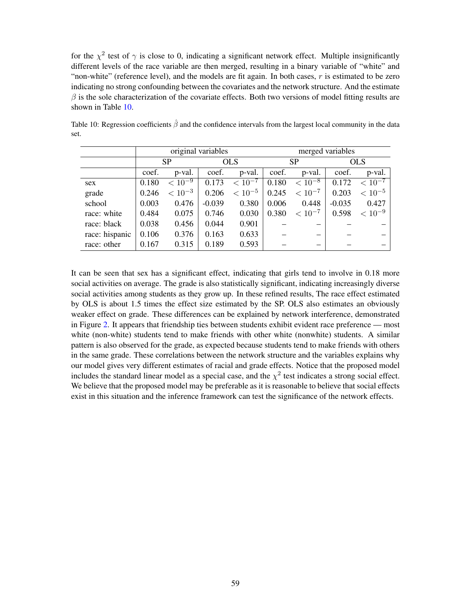for the  $\chi^2$  test of  $\gamma$  is close to 0, indicating a significant network effect. Multiple insignificantly different levels of the race variable are then merged, resulting in a binary variable of "white" and "non-white" (reference level), and the models are fit again. In both cases,  $r$  is estimated to be zero indicating no strong confounding between the covariates and the network structure. And the estimate  $\beta$  is the sole characterization of the covariate effects. Both two versions of model fitting results are shown in Table [10.](#page-58-0)

|                |           |             | original variables |             | merged variables |             |            |             |
|----------------|-----------|-------------|--------------------|-------------|------------------|-------------|------------|-------------|
|                | <b>SP</b> |             | <b>OLS</b>         |             |                  | <b>SP</b>   | <b>OLS</b> |             |
|                | coef.     | p-val.      | coef.              | p-val.      | coef.            | p-val.      | coef.      | p-val.      |
| sex            | 0.180     | $< 10^{-9}$ | 0.173              | $< 10^{-7}$ | 0.180            | $< 10^{-8}$ | 0.172      | $< 10^{-7}$ |
| grade          | 0.246     | $< 10^{-3}$ | 0.206              | $< 10^{-5}$ | 0.245            | $< 10^{-7}$ | 0.203      | $< 10^{-5}$ |
| school         | 0.003     | 0.476       | $-0.039$           | 0.380       | 0.006            | 0.448       | $-0.035$   | 0.427       |
| race: white    | 0.484     | 0.075       | 0.746              | 0.030       | 0.380            | $< 10^{-7}$ | 0.598      | $< 10^{-9}$ |
| race: black    | 0.038     | 0.456       | 0.044              | 0.901       |                  |             |            |             |
| race: hispanic | 0.106     | 0.376       | 0.163              | 0.633       |                  |             |            |             |
| race: other    | 0.167     | 0.315       | 0.189              | 0.593       |                  |             |            |             |

<span id="page-58-0"></span>Table 10: Regression coefficients  $\hat{\beta}$  and the confidence intervals from the largest local community in the data set.

It can be seen that sex has a significant effect, indicating that girls tend to involve in 0.18 more social activities on average. The grade is also statistically significant, indicating increasingly diverse social activities among students as they grow up. In these refined results, The race effect estimated by OLS is about 1.5 times the effect size estimated by the SP. OLS also estimates an obviously weaker effect on grade. These differences can be explained by network interference, demonstrated in Figure [2.](#page-59-0) It appears that friendship ties between students exhibit evident race preference — most white (non-white) students tend to make friends with other white (nonwhite) students. A similar pattern is also observed for the grade, as expected because students tend to make friends with others in the same grade. These correlations between the network structure and the variables explains why our model gives very different estimates of racial and grade effects. Notice that the proposed model includes the standard linear model as a special case, and the  $\chi^2$  test indicates a strong social effect. We believe that the proposed model may be preferable as it is reasonable to believe that social effects exist in this situation and the inference framework can test the significance of the network effects.